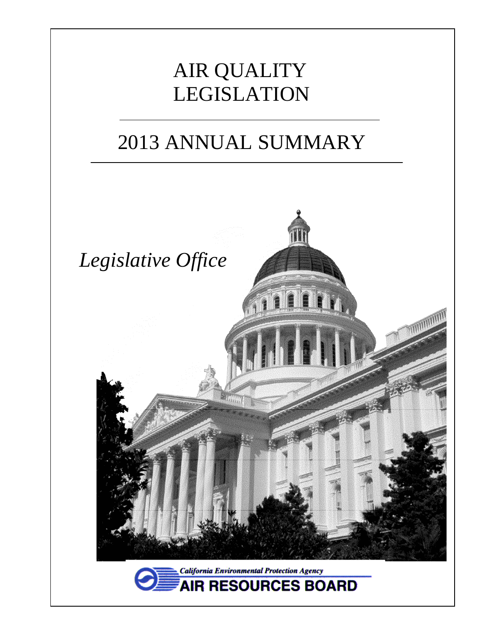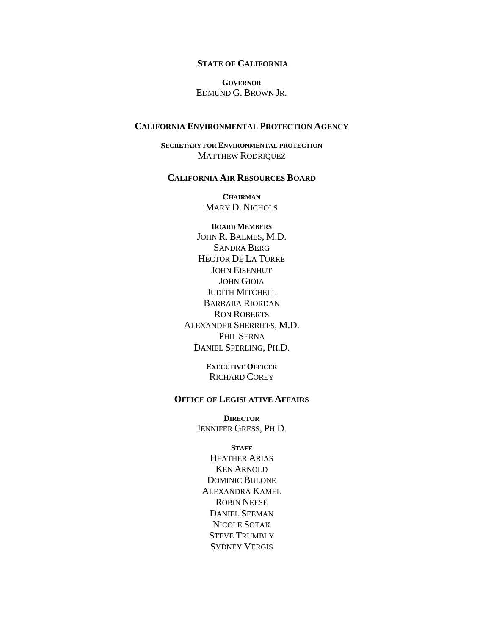#### **STATE OF CALIFORNIA**

**GOVERNOR** EDMUND G. BROWN JR.

#### **CALIFORNIA ENVIRONMENTAL PROTECTION AGENCY**

**SECRETARY FOR ENVIRONMENTAL PROTECTION** MATTHEW RODRIQUEZ

#### **CALIFORNIA AIR RESOURCES BOARD**

**CHAIRMAN** MARY D. NICHOLS

**BOARD MEMBERS** JOHN R. BALMES, M.D. SANDRA BERG HECTOR DE LA TORRE JOHN EISENHUT JOHN GIOIA JUDITH MITCHELL BARBARA RIORDAN RON ROBERTS ALEXANDER SHERRIFFS, M.D. PHIL SERNA DANIEL SPERLING, PH.D.

> **EXECUTIVE OFFICER** RICHARD COREY

#### **OFFICE OF LEGISLATIVE AFFAIRS**

**DIRECTOR** JENNIFER GRESS, PH.D.

#### **STAFF**

HEATHER ARIAS KEN ARNOLD DOMINIC BULONE ALEXANDRA KAMEL ROBIN NEESE DANIEL SEEMAN NICOLE SOTAK STEVE TRUMBLY SYDNEY VERGIS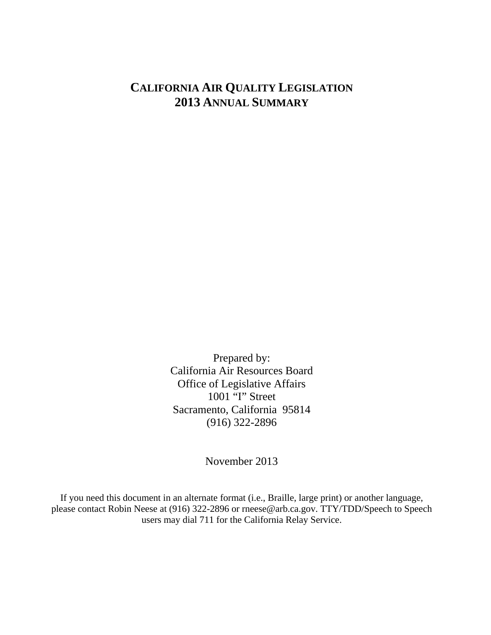# **CALIFORNIA AIR QUALITY LEGISLATION 2013 ANNUAL SUMMARY**

Prepared by: California Air Resources Board Office of Legislative Affairs 1001 "I" Street Sacramento, California 95814 (916) 322-2896

November 2013

If you need this document in an alternate format (i.e., Braille, large print) or another language, please contact Robin Neese at (916) 322-2896 or rneese@arb.ca.gov. TTY/TDD/Speech to Speech users may dial 711 for the California Relay Service.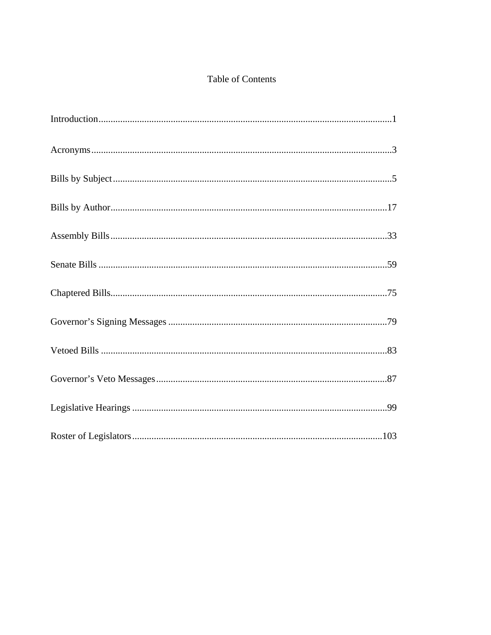# Table of Contents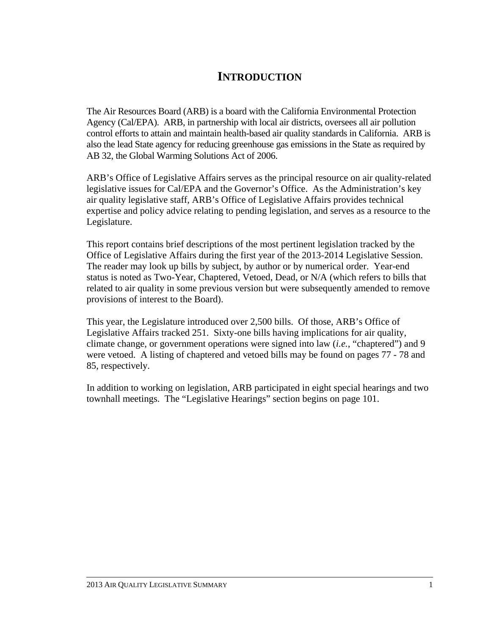# **INTRODUCTION**

The Air Resources Board (ARB) is a board with the California Environmental Protection Agency (Cal/EPA). ARB, in partnership with local air districts, oversees all air pollution control efforts to attain and maintain health-based air quality standards in California. ARB is also the lead State agency for reducing greenhouse gas emissions in the State as required by AB 32, the Global Warming Solutions Act of 2006.

ARB's Office of Legislative Affairs serves as the principal resource on air quality-related legislative issues for Cal/EPA and the Governor's Office. As the Administration's key air quality legislative staff, ARB's Office of Legislative Affairs provides technical expertise and policy advice relating to pending legislation, and serves as a resource to the Legislature.

This report contains brief descriptions of the most pertinent legislation tracked by the Office of Legislative Affairs during the first year of the 2013-2014 Legislative Session. The reader may look up bills by subject, by author or by numerical order. Year-end status is noted as Two-Year, Chaptered, Vetoed, Dead, or N/A (which refers to bills that related to air quality in some previous version but were subsequently amended to remove provisions of interest to the Board).

This year, the Legislature introduced over 2,500 bills. Of those, ARB's Office of Legislative Affairs tracked 251. Sixty-one bills having implications for air quality, climate change, or government operations were signed into law (*i.e.*, "chaptered") and 9 were vetoed. A listing of chaptered and vetoed bills may be found on pages 77 - 78 and 85, respectively.

In addition to working on legislation, ARB participated in eight special hearings and two townhall meetings. The "Legislative Hearings" section begins on page 101.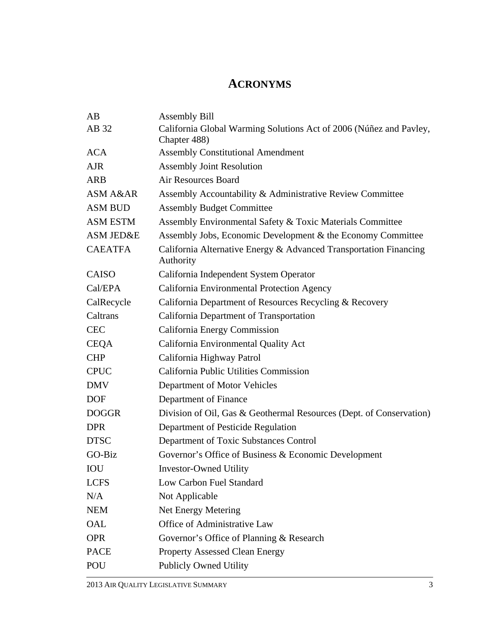# **ACRONYMS**

| AB                   | <b>Assembly Bill</b>                                                               |
|----------------------|------------------------------------------------------------------------------------|
| AB 32                | California Global Warming Solutions Act of 2006 (Núñez and Pavley,<br>Chapter 488) |
| <b>ACA</b>           | <b>Assembly Constitutional Amendment</b>                                           |
| <b>AJR</b>           | <b>Assembly Joint Resolution</b>                                                   |
| <b>ARB</b>           | <b>Air Resources Board</b>                                                         |
| ASM A&AR             | Assembly Accountability & Administrative Review Committee                          |
| <b>ASM BUD</b>       | <b>Assembly Budget Committee</b>                                                   |
| <b>ASM ESTM</b>      | Assembly Environmental Safety & Toxic Materials Committee                          |
| <b>ASM JED&amp;E</b> | Assembly Jobs, Economic Development & the Economy Committee                        |
| <b>CAEATFA</b>       | California Alternative Energy & Advanced Transportation Financing<br>Authority     |
| <b>CAISO</b>         | California Independent System Operator                                             |
| Cal/EPA              | California Environmental Protection Agency                                         |
| CalRecycle           | California Department of Resources Recycling & Recovery                            |
| Caltrans             | California Department of Transportation                                            |
| <b>CEC</b>           | California Energy Commission                                                       |
| <b>CEQA</b>          | California Environmental Quality Act                                               |
| <b>CHP</b>           | California Highway Patrol                                                          |
| <b>CPUC</b>          | California Public Utilities Commission                                             |
| <b>DMV</b>           | Department of Motor Vehicles                                                       |
| <b>DOF</b>           | Department of Finance                                                              |
| <b>DOGGR</b>         | Division of Oil, Gas & Geothermal Resources (Dept. of Conservation)                |
| <b>DPR</b>           | Department of Pesticide Regulation                                                 |
| <b>DTSC</b>          | Department of Toxic Substances Control                                             |
| GO-Biz               | Governor's Office of Business & Economic Development                               |
| IOU                  | <b>Investor-Owned Utility</b>                                                      |
| <b>LCFS</b>          | Low Carbon Fuel Standard                                                           |
| N/A                  | Not Applicable                                                                     |
| <b>NEM</b>           | Net Energy Metering                                                                |
| OAL                  | Office of Administrative Law                                                       |
| <b>OPR</b>           | Governor's Office of Planning & Research                                           |
| <b>PACE</b>          | <b>Property Assessed Clean Energy</b>                                              |
| POU                  | <b>Publicly Owned Utility</b>                                                      |
|                      |                                                                                    |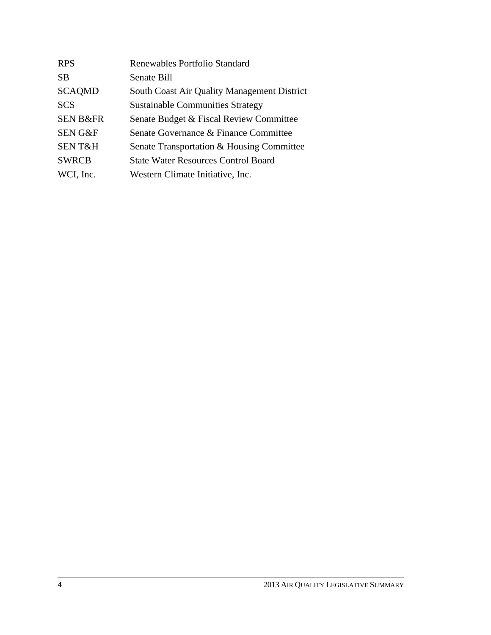| <b>RPS</b>          | Renewables Portfolio Standard               |
|---------------------|---------------------------------------------|
| <b>SB</b>           | Senate Bill                                 |
| <b>SCAQMD</b>       | South Coast Air Quality Management District |
| <b>SCS</b>          | <b>Sustainable Communities Strategy</b>     |
| <b>SEN B&amp;FR</b> | Senate Budget & Fiscal Review Committee     |
| <b>SEN G&amp;F</b>  | Senate Governance & Finance Committee       |
| <b>SENT&amp;H</b>   | Senate Transportation & Housing Committee   |
| <b>SWRCB</b>        | <b>State Water Resources Control Board</b>  |
| WCI, Inc.           | Western Climate Initiative, Inc.            |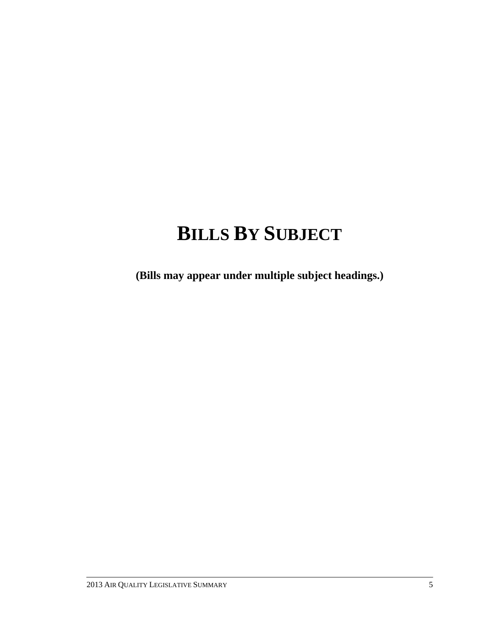# **BILLS BY SUBJECT**

**(Bills may appear under multiple subject headings.)**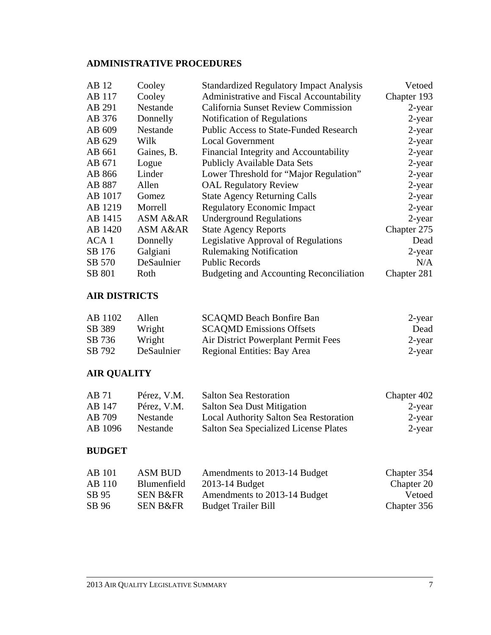# **ADMINISTRATIVE PROCEDURES**

| AB 12   | Cooley     | <b>Standardized Regulatory Impact Analysis</b> | Vetoed      |
|---------|------------|------------------------------------------------|-------------|
| AB 117  | Cooley     | Administrative and Fiscal Accountability       | Chapter 193 |
| AB 291  | Nestande   | <b>California Sunset Review Commission</b>     | $2$ -year   |
| AB 376  | Donnelly   | Notification of Regulations                    | $2$ -year   |
| AB 609  | Nestande   | <b>Public Access to State-Funded Research</b>  | $2$ -year   |
| AB 629  | Wilk       | <b>Local Government</b>                        | $2$ -year   |
| AB 661  | Gaines, B. | Financial Integrity and Accountability         | $2$ -year   |
| AB 671  | Logue      | <b>Publicly Available Data Sets</b>            | $2$ -year   |
| AB 866  | Linder     | Lower Threshold for "Major Regulation"         | $2$ -year   |
| AB 887  | Allen      | <b>OAL Regulatory Review</b>                   | $2$ -year   |
| AB 1017 | Gomez      | <b>State Agency Returning Calls</b>            | $2$ -year   |
| AB 1219 | Morrell    | <b>Regulatory Economic Impact</b>              | $2$ -year   |
| AB 1415 | ASM A&AR   | <b>Underground Regulations</b>                 | $2$ -year   |
| AB 1420 | ASM A&AR   | <b>State Agency Reports</b>                    | Chapter 275 |
| ACA 1   | Donnelly   | Legislative Approval of Regulations            | Dead        |
| SB 176  | Galgiani   | <b>Rulemaking Notification</b>                 | $2$ -year   |
| SB 570  | DeSaulnier | <b>Public Records</b>                          | N/A         |
| SB 801  | Roth       | <b>Budgeting and Accounting Reconciliation</b> | Chapter 281 |

# **AIR DISTRICTS**

| AB 1102 | Allen      | <b>SCAQMD Beach Bonfire Ban</b>     | 2-year    |
|---------|------------|-------------------------------------|-----------|
| SB 389  | Wright     | <b>SCAQMD</b> Emissions Offsets     | Dead      |
| SB 736  | Wright     | Air District Powerplant Permit Fees | $2$ -year |
| SB 792  | DeSaulnier | Regional Entities: Bay Area         | $2$ -year |

# **AIR QUALITY**

| AB 71   | Pérez, V.M. | <b>Salton Sea Restoration</b>          | Chapter 402 |
|---------|-------------|----------------------------------------|-------------|
| AB 147  | Pérez, V.M. | <b>Salton Sea Dust Mitigation</b>      | 2-year      |
| AB 709  | Nestande    | Local Authority Salton Sea Restoration | 2-year      |
| AB 1096 | Nestande    | Salton Sea Specialized License Plates  | 2-year      |

#### **BUDGET**

| <b>AB</b> 101 | ASM BUD             | Amendments to 2013-14 Budget | Chapter 354 |
|---------------|---------------------|------------------------------|-------------|
| AB 110        | Blumenfield         | 2013-14 Budget               | Chapter 20  |
| SB 95         | <b>SEN B&amp;FR</b> | Amendments to 2013-14 Budget | Vetoed      |
| SB 96         | <b>SEN B&amp;FR</b> | <b>Budget Trailer Bill</b>   | Chapter 356 |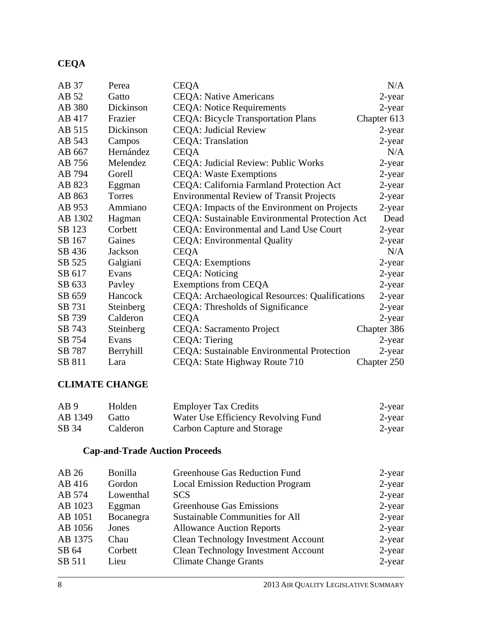# **CEQA**

| AB 37   | Perea     | <b>CEQA</b>                                     | N/A         |
|---------|-----------|-------------------------------------------------|-------------|
| AB 52   | Gatto     | <b>CEQA: Native Americans</b>                   | 2-year      |
| AB 380  | Dickinson | <b>CEQA: Notice Requirements</b>                | 2-year      |
| AB 417  | Frazier   | <b>CEQA: Bicycle Transportation Plans</b>       | Chapter 613 |
| AB 515  | Dickinson | <b>CEQA: Judicial Review</b>                    | $2$ -year   |
| AB 543  | Campos    | <b>CEQA</b> : Translation                       | 2-year      |
| AB 667  | Hernández | <b>CEQA</b>                                     | N/A         |
| AB 756  | Melendez  | CEQA: Judicial Review: Public Works             | 2-year      |
| AB 794  | Gorell    | <b>CEQA: Waste Exemptions</b>                   | 2-year      |
| AB 823  | Eggman    | CEQA: California Farmland Protection Act        | 2-year      |
| AB 863  | Torres    | <b>Environmental Review of Transit Projects</b> | 2-year      |
| AB 953  | Ammiano   | CEQA: Impacts of the Environment on Projects    | 2-year      |
| AB 1302 | Hagman    | CEQA: Sustainable Environmental Protection Act  | Dead        |
| SB 123  | Corbett   | CEQA: Environmental and Land Use Court          | 2-year      |
| SB 167  | Gaines    | <b>CEQA</b> : Environmental Quality             | 2-year      |
| SB 436  | Jackson   | <b>CEQA</b>                                     | N/A         |
| SB 525  | Galgiani  | <b>CEQA</b> : Exemptions                        | 2-year      |
| SB 617  | Evans     | <b>CEQA</b> : Noticing                          | 2-year      |
| SB 633  | Payley    | <b>Exemptions from CEQA</b>                     | 2-year      |
| SB 659  | Hancock   | CEQA: Archaeological Resources: Qualifications  | 2-year      |
| SB 731  | Steinberg | CEQA: Thresholds of Significance                | 2-year      |
| SB 739  | Calderon  | <b>CEQA</b>                                     | 2-year      |
| SB 743  | Steinberg | <b>CEQA: Sacramento Project</b>                 | Chapter 386 |
| SB 754  | Evans     | CEQA: Tiering                                   | 2-year      |
| SB 787  | Berryhill | CEQA: Sustainable Environmental Protection      | 2-year      |
| SB 811  | Lara      | CEQA: State Highway Route 710                   | Chapter 250 |

### **CLIMATE CHANGE**

| AB <sub>9</sub> | Holden   | <b>Employer Tax Credits</b>         | 2-year |
|-----------------|----------|-------------------------------------|--------|
| AB 1349         | Gatto    | Water Use Efficiency Revolving Fund | 2-year |
| SB 34           | Calderon | Carbon Capture and Storage          | 2-year |

# **Cap-and-Trade Auction Proceeds**

| 2-year    |
|-----------|
| $2$ -year |
| $2$ -year |
| 2-year    |
| $2$ -year |
| $2$ -year |
| $2$ -year |
| $2$ -year |
| $2$ -year |
|           |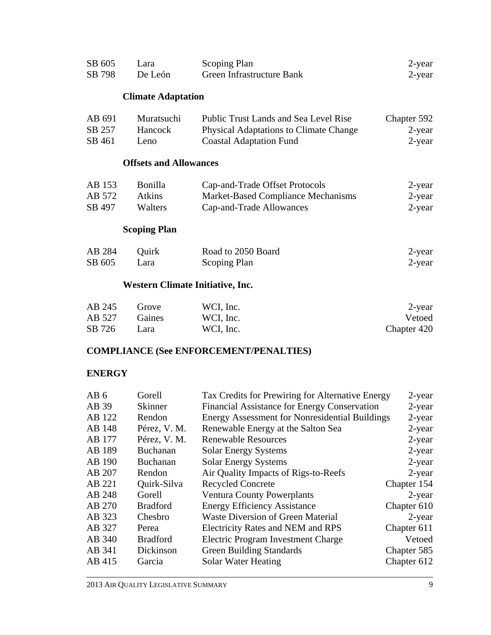| SB 605 | Lara    | Scoping Plan              | 2-year |
|--------|---------|---------------------------|--------|
| SB 798 | De León | Green Infrastructure Bank | 2-year |

#### **Climate Adaptation**

| AB 691 | Muratsuchi | Public Trust Lands and Sea Level Rise         | Chapter 592 |
|--------|------------|-----------------------------------------------|-------------|
| SB 257 | Hancock    | <b>Physical Adaptations to Climate Change</b> | 2-year      |
| SB 461 | Leno.      | <b>Coastal Adaptation Fund</b>                | 2-year      |

#### **Offsets and Allowances**

| AB 153 | Bonilla        | Cap-and-Trade Offset Protocols     | 2-year |
|--------|----------------|------------------------------------|--------|
| AB 572 | Atkins         | Market-Based Compliance Mechanisms | 2-year |
| SB 497 | <b>Walters</b> | Cap-and-Trade Allowances           | 2-year |

### **Scoping Plan**

| AB 284 | Ouirk | Road to 2050 Board | 2-year |
|--------|-------|--------------------|--------|
| SB 605 | Lara  | Scoping Plan       | 2-year |

# **Western Climate Initiative, Inc.**

| AB 245 | Grove         | WCI, Inc. | 2-year      |
|--------|---------------|-----------|-------------|
| AB 527 | <b>Gaines</b> | WCI, Inc. | Vetoed      |
| SB 726 | Lara          | WCI, Inc. | Chapter 420 |

# **COMPLIANCE (See ENFORCEMENT/PENALTIES)**

#### **ENERGY**

| Gorell          |                                              | $2$ -year                                                                                                 |
|-----------------|----------------------------------------------|-----------------------------------------------------------------------------------------------------------|
| <b>Skinner</b>  | Financial Assistance for Energy Conservation | $2$ -year                                                                                                 |
| Rendon          |                                              | $2$ -year                                                                                                 |
| Pérez, V. M.    | Renewable Energy at the Salton Sea           | $2$ -year                                                                                                 |
| Pérez, V. M.    | <b>Renewable Resources</b>                   | $2$ -year                                                                                                 |
| <b>Buchanan</b> | <b>Solar Energy Systems</b>                  | 2-year                                                                                                    |
| Buchanan        | <b>Solar Energy Systems</b>                  | $2$ -year                                                                                                 |
| Rendon          | Air Quality Impacts of Rigs-to-Reefs         | $2$ -year                                                                                                 |
| Quirk-Silva     | <b>Recycled Concrete</b>                     | Chapter 154                                                                                               |
| Gorell          | <b>Ventura County Powerplants</b>            | $2$ -year                                                                                                 |
| <b>Bradford</b> | <b>Energy Efficiency Assistance</b>          | Chapter 610                                                                                               |
| Chesbro         | <b>Waste Diversion of Green Material</b>     | $2$ -year                                                                                                 |
| Perea           | <b>Electricity Rates and NEM and RPS</b>     | Chapter 611                                                                                               |
| <b>Bradford</b> | Electric Program Investment Charge           | Vetoed                                                                                                    |
| Dickinson       | <b>Green Building Standards</b>              | Chapter 585                                                                                               |
| Garcia          | Solar Water Heating                          | Chapter 612                                                                                               |
|                 |                                              | Tax Credits for Prewiring for Alternative Energy<br><b>Energy Assessment for Nonresidential Buildings</b> |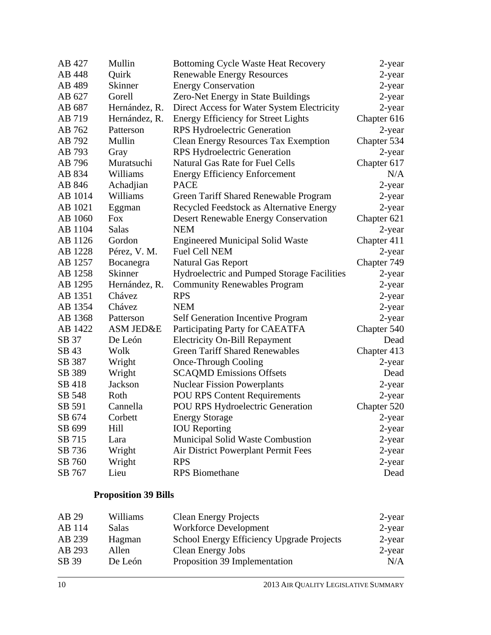| AB 427  | Mullin         | <b>Bottoming Cycle Waste Heat Recovery</b>  | 2-year      |
|---------|----------------|---------------------------------------------|-------------|
| AB 448  | Quirk          | <b>Renewable Energy Resources</b>           | 2-year      |
| AB 489  | <b>Skinner</b> | <b>Energy Conservation</b>                  | 2-year      |
| AB 627  | Gorell         | Zero-Net Energy in State Buildings          | 2-year      |
| AB 687  | Hernández, R.  | Direct Access for Water System Electricity  | 2-year      |
| AB 719  | Hernández, R.  | <b>Energy Efficiency for Street Lights</b>  | Chapter 616 |
| AB 762  | Patterson      | <b>RPS Hydroelectric Generation</b>         | 2-year      |
| AB 792  | Mullin         | <b>Clean Energy Resources Tax Exemption</b> | Chapter 534 |
| AB 793  | Gray           | <b>RPS Hydroelectric Generation</b>         | 2-year      |
| AB 796  | Muratsuchi     | <b>Natural Gas Rate for Fuel Cells</b>      | Chapter 617 |
| AB 834  | Williams       | <b>Energy Efficiency Enforcement</b>        | N/A         |
| AB 846  | Achadjian      | <b>PACE</b>                                 | 2-year      |
| AB 1014 | Williams       | Green Tariff Shared Renewable Program       | 2-year      |
| AB 1021 | Eggman         | Recycled Feedstock as Alternative Energy    | 2-year      |
| AB 1060 | Fox            | <b>Desert Renewable Energy Conservation</b> | Chapter 621 |
| AB 1104 | <b>Salas</b>   | <b>NEM</b>                                  | 2-year      |
| AB 1126 | Gordon         | <b>Engineered Municipal Solid Waste</b>     | Chapter 411 |
| AB 1228 | Pérez, V. M.   | <b>Fuel Cell NEM</b>                        | 2-year      |
| AB 1257 | Bocanegra      | <b>Natural Gas Report</b>                   | Chapter 749 |
| AB 1258 | <b>Skinner</b> | Hydroelectric and Pumped Storage Facilities | 2-year      |
| AB 1295 | Hernández, R.  | <b>Community Renewables Program</b>         | 2-year      |
| AB 1351 | Chávez         | <b>RPS</b>                                  | 2-year      |
| AB 1354 | Chávez         | <b>NEM</b>                                  | $2$ -year   |
| AB 1368 | Patterson      | <b>Self Generation Incentive Program</b>    | 2-year      |
| AB 1422 | ASM JED&E      | Participating Party for CAEATFA             | Chapter 540 |
| SB 37   | De León        | <b>Electricity On-Bill Repayment</b>        | Dead        |
| SB 43   | Wolk           | <b>Green Tariff Shared Renewables</b>       | Chapter 413 |
| SB 387  | Wright         | <b>Once-Through Cooling</b>                 | 2-year      |
| SB 389  | Wright         | <b>SCAQMD Emissions Offsets</b>             | Dead        |
| SB 418  | Jackson        | <b>Nuclear Fission Powerplants</b>          | 2-year      |
| SB 548  | Roth           | <b>POU RPS Content Requirements</b>         | 2-year      |
| SB 591  | Cannella       | POU RPS Hydroelectric Generation            | Chapter 520 |
| SB 674  | Corbett        | <b>Energy Storage</b>                       | 2-year      |
| SB 699  | Hill           | <b>IOU</b> Reporting                        | 2-year      |
| SB 715  | Lara           | Municipal Solid Waste Combustion            | 2-year      |
| SB 736  | Wright         | Air District Powerplant Permit Fees         | 2-year      |
| SB 760  | Wright         | <b>RPS</b>                                  | $2$ -year   |
| SB 767  | Lieu           | <b>RPS</b> Biomethane                       | Dead        |

# **Proposition 39 Bills**

| AB 29  | Williams     | <b>Clean Energy Projects</b>              | 2-year    |
|--------|--------------|-------------------------------------------|-----------|
| AB 114 | <b>Salas</b> | <b>Workforce Development</b>              | 2-year    |
| AB 239 | Hagman       | School Energy Efficiency Upgrade Projects | 2-year    |
| AB 293 | Allen        | <b>Clean Energy Jobs</b>                  | $2$ -year |
| SB 39  | De León      | Proposition 39 Implementation             | N/A       |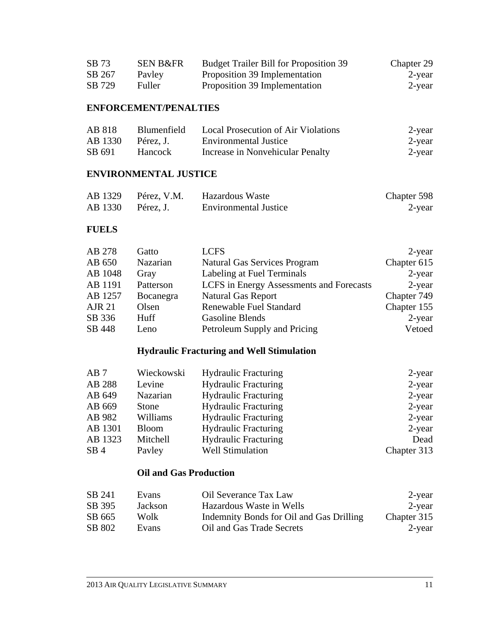| SB 73  | <b>SEN B&amp;FR</b> | <b>Budget Trailer Bill for Proposition 39</b> | Chapter 29 |
|--------|---------------------|-----------------------------------------------|------------|
| SB 267 | Payley              | Proposition 39 Implementation                 | 2-year     |
| SB 729 | Fuller              | Proposition 39 Implementation                 | 2-year     |

## **ENFORCEMENT/PENALTIES**

| AB 818  | Blumenfield | Local Prosecution of Air Violations | 2-year |
|---------|-------------|-------------------------------------|--------|
| AB 1330 | Pérez. J.   | <b>Environmental Justice</b>        | 2-year |
| SB 691  | Hancock     | Increase in Nonvehicular Penalty    | 2-year |

#### **ENVIRONMENTAL JUSTICE**

|                   | AB 1329 Pérez, V.M. | Hazardous Waste              | Chapter 598 |
|-------------------|---------------------|------------------------------|-------------|
| AB 1330 Pérez, J. |                     | <b>Environmental Justice</b> | 2-year      |

#### **FUELS**

| AB 278        | Gatto       | <b>LCFS</b>                              | 2-year      |
|---------------|-------------|------------------------------------------|-------------|
| AB 650        | Nazarian    | <b>Natural Gas Services Program</b>      | Chapter 615 |
| AB 1048       | Gray        | Labeling at Fuel Terminals               | $2$ -year   |
| AB 1191       | Patterson   | LCFS in Energy Assessments and Forecasts | $2$ -year   |
| AB 1257       | Bocanegra   | <b>Natural Gas Report</b>                | Chapter 749 |
| <b>AJR 21</b> | Olsen       | Renewable Fuel Standard                  | Chapter 155 |
| SB 336        | <b>Huff</b> | Gasoline Blends                          | $2$ -year   |
| SB 448        | Leno        | Petroleum Supply and Pricing             | Vetoed      |

# **Hydraulic Fracturing and Well Stimulation**

| AB7             | Wieckowski   | <b>Hydraulic Fracturing</b> | 2-year      |
|-----------------|--------------|-----------------------------|-------------|
| AB 288          | Levine       | <b>Hydraulic Fracturing</b> | $2$ -year   |
| AB 649          | Nazarian     | <b>Hydraulic Fracturing</b> | 2-year      |
| AB 669          | Stone        | <b>Hydraulic Fracturing</b> | $2$ -year   |
| AB 982          | Williams     | <b>Hydraulic Fracturing</b> | $2$ -year   |
| AB 1301         | <b>Bloom</b> | <b>Hydraulic Fracturing</b> | $2$ -year   |
| AB 1323         | Mitchell     | <b>Hydraulic Fracturing</b> | Dead        |
| SB <sub>4</sub> | Payley       | <b>Well Stimulation</b>     | Chapter 313 |

#### **Oil and Gas Production**

| SB 241 | Evans   | Oil Severance Tax Law                    | 2-year      |
|--------|---------|------------------------------------------|-------------|
| SB 395 | Jackson | Hazardous Waste in Wells                 | 2-year      |
| SB 665 | Wolk    | Indemnity Bonds for Oil and Gas Drilling | Chapter 315 |
| SB 802 | Evans   | Oil and Gas Trade Secrets                | 2-year      |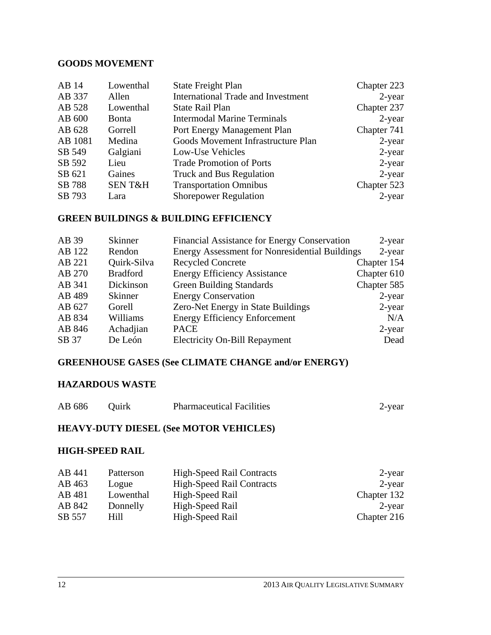#### **GOODS MOVEMENT**

| Lowenthal         | <b>State Freight Plan</b>                 | Chapter 223 |
|-------------------|-------------------------------------------|-------------|
| Allen             | <b>International Trade and Investment</b> | $2$ -year   |
| Lowenthal         | State Rail Plan                           | Chapter 237 |
| <b>Bonta</b>      | <b>Intermodal Marine Terminals</b>        | $2$ -year   |
| Gorrell           | Port Energy Management Plan               | Chapter 741 |
| Medina            | Goods Movement Infrastructure Plan        | $2$ -year   |
| Galgiani          | Low-Use Vehicles                          | $2$ -year   |
| Lieu              | <b>Trade Promotion of Ports</b>           | $2$ -year   |
| Gaines            | Truck and Bus Regulation                  | $2$ -year   |
| <b>SENT&amp;H</b> | <b>Transportation Omnibus</b>             | Chapter 523 |
| Lara              | <b>Shorepower Regulation</b>              | $2$ -year   |
|                   |                                           |             |

## **GREEN BUILDINGS & BUILDING EFFICIENCY**

| AB 39  | <b>Skinner</b>  | Financial Assistance for Energy Conservation          | 2-year      |
|--------|-----------------|-------------------------------------------------------|-------------|
| AB 122 | Rendon          | <b>Energy Assessment for Nonresidential Buildings</b> | 2-year      |
| AB 221 | Quirk-Silva     | <b>Recycled Concrete</b>                              | Chapter 154 |
| AB 270 | <b>Bradford</b> | <b>Energy Efficiency Assistance</b>                   | Chapter 610 |
| AB 341 | Dickinson       | <b>Green Building Standards</b>                       | Chapter 585 |
| AB 489 | <b>Skinner</b>  | <b>Energy Conservation</b>                            | $2$ -year   |
| AB 627 | Gorell          | Zero-Net Energy in State Buildings                    | $2$ -year   |
| AB 834 | Williams        | <b>Energy Efficiency Enforcement</b>                  | N/A         |
| AB 846 | Achadjian       | <b>PACE</b>                                           | $2$ -year   |
| SB 37  | De León         | <b>Electricity On-Bill Repayment</b>                  | Dead        |

## **GREENHOUSE GASES (See CLIMATE CHANGE and/or ENERGY)**

#### **HAZARDOUS WASTE**

| AB 686 | Ouirk | <b>Pharmaceutical Facilities</b> | $2$ -vear |
|--------|-------|----------------------------------|-----------|
|--------|-------|----------------------------------|-----------|

#### **HEAVY-DUTY DIESEL (See MOTOR VEHICLES)**

### **HIGH-SPEED RAIL**

| AB 441 | Patterson | <b>High-Speed Rail Contracts</b> | $2$ -year   |
|--------|-----------|----------------------------------|-------------|
| AB 463 | Logue     | High-Speed Rail Contracts        | $2$ -year   |
| AB 481 | Lowenthal | High-Speed Rail                  | Chapter 132 |
| AB 842 | Donnelly  | High-Speed Rail                  | $2$ -year   |
| SB 557 | Hill      | High-Speed Rail                  | Chapter 216 |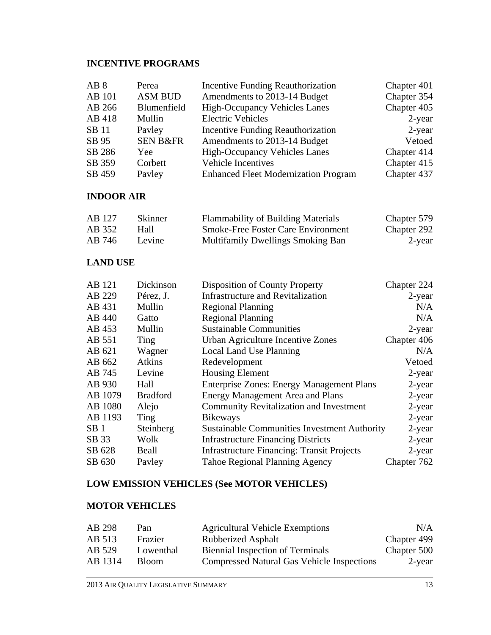# **INCENTIVE PROGRAMS**

| AB <sub>8</sub> | Perea               | <b>Incentive Funding Reauthorization</b>    | Chapter 401 |
|-----------------|---------------------|---------------------------------------------|-------------|
| AB 101          | <b>ASM BUD</b>      | Amendments to 2013-14 Budget                | Chapter 354 |
| AB 266          | Blumenfield         | <b>High-Occupancy Vehicles Lanes</b>        | Chapter 405 |
| AB 418          | Mullin              | <b>Electric Vehicles</b>                    | 2-year      |
| <b>SB</b> 11    | Payley              | Incentive Funding Reauthorization           | $2$ -year   |
| SB 95           | <b>SEN B&amp;FR</b> | Amendments to 2013-14 Budget                | Vetoed      |
| SB 286          | Yee                 | <b>High-Occupancy Vehicles Lanes</b>        | Chapter 414 |
| SB 359          | Corbett             | Vehicle Incentives                          | Chapter 415 |
| SB 459          | Payley              | <b>Enhanced Fleet Modernization Program</b> | Chapter 437 |

#### **INDOOR AIR**

| AB 127 | <b>Skinner</b> | <b>Flammability of Building Materials</b> | Chapter 579 |
|--------|----------------|-------------------------------------------|-------------|
| AB 352 | Hall           | <b>Smoke-Free Foster Care Environment</b> | Chapter 292 |
| AB 746 | Levine         | Multifamily Dwellings Smoking Ban         | 2-year      |

### **LAND USE**

| AB 121          | Dickinson       | Disposition of County Property                      | Chapter 224 |
|-----------------|-----------------|-----------------------------------------------------|-------------|
| AB 229          | Pérez, J.       | <b>Infrastructure and Revitalization</b>            | $2$ -year   |
| AB 431          | Mullin          | <b>Regional Planning</b>                            | N/A         |
| AB 440          | Gatto           | <b>Regional Planning</b>                            | N/A         |
| AB 453          | Mullin          | <b>Sustainable Communities</b>                      | 2-year      |
| AB 551          | Ting            | Urban Agriculture Incentive Zones                   | Chapter 406 |
| AB 621          | Wagner          | Local Land Use Planning                             | N/A         |
| AB 662          | <b>Atkins</b>   | Redevelopment                                       | Vetoed      |
| AB 745          | Levine          | <b>Housing Element</b>                              | $2$ -year   |
| AB 930          | Hall            | <b>Enterprise Zones: Energy Management Plans</b>    | 2-year      |
| AB 1079         | <b>Bradford</b> | <b>Energy Management Area and Plans</b>             | $2$ -year   |
| AB 1080         | Alejo           | <b>Community Revitalization and Investment</b>      | $2$ -year   |
| AB 1193         | Ting            | <b>Bikeways</b>                                     | $2$ -year   |
| SB <sub>1</sub> | Steinberg       | <b>Sustainable Communities Investment Authority</b> | $2$ -year   |
| SB 33           | Wolk            | <b>Infrastructure Financing Districts</b>           | 2-year      |
| SB 628          | Beall           | <b>Infrastructure Financing: Transit Projects</b>   | $2$ -year   |
| SB 630          | Payley          | <b>Tahoe Regional Planning Agency</b>               | Chapter 762 |

# **LOW EMISSION VEHICLES (See MOTOR VEHICLES)**

## **MOTOR VEHICLES**

| AB 298  | Pan       | <b>Agricultural Vehicle Exemptions</b>            | N/A         |
|---------|-----------|---------------------------------------------------|-------------|
| AB 513  | Frazier   | <b>Rubberized Asphalt</b>                         | Chapter 499 |
| AB 529  | Lowenthal | <b>Biennial Inspection of Terminals</b>           | Chapter 500 |
| AB 1314 | Bloom.    | <b>Compressed Natural Gas Vehicle Inspections</b> | 2-year      |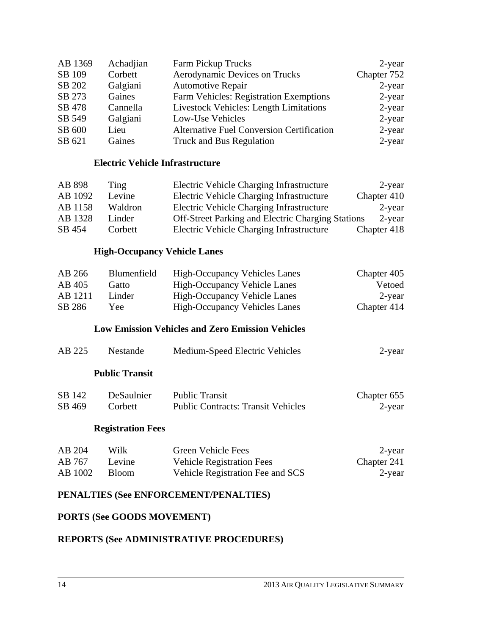| AB 1369 | Achadjian | <b>Farm Pickup Trucks</b>                        | $2$ -year   |
|---------|-----------|--------------------------------------------------|-------------|
| SB 109  | Corbett   | <b>Aerodynamic Devices on Trucks</b>             | Chapter 752 |
| SB 202  | Galgiani  | <b>Automotive Repair</b>                         | $2$ -year   |
| SB 273  | Gaines    | Farm Vehicles: Registration Exemptions           | $2$ -year   |
| SB 478  | Cannella  | <b>Livestock Vehicles: Length Limitations</b>    | $2$ -year   |
| SB 549  | Galgiani  | Low-Use Vehicles                                 | $2$ -year   |
| SB 600  | Lieu      | <b>Alternative Fuel Conversion Certification</b> | 2-year      |
| SB 621  | Gaines    | Truck and Bus Regulation                         | $2$ -year   |

#### **Electric Vehicle Infrastructure**

| AB 898  | Ting    | Electric Vehicle Charging Infrastructure                 | $2$ -year   |
|---------|---------|----------------------------------------------------------|-------------|
| AB 1092 | Levine  | Electric Vehicle Charging Infrastructure                 | Chapter 410 |
| AB 1158 | Waldron | Electric Vehicle Charging Infrastructure                 | $2$ -year   |
| AB 1328 | Linder  | <b>Off-Street Parking and Electric Charging Stations</b> | 2-year      |
| SB 454  | Corbett | Electric Vehicle Charging Infrastructure                 | Chapter 418 |

#### **High-Occupancy Vehicle Lanes**

| AB 266  | Blumenfield | <b>High-Occupancy Vehicles Lanes</b> | Chapter 405 |
|---------|-------------|--------------------------------------|-------------|
| AB 405  | Gatto       | <b>High-Occupancy Vehicle Lanes</b>  | Vetoed      |
| AB 1211 | Linder      | High-Occupancy Vehicle Lanes         | $2$ -year   |
| SB 286  | Yee.        | <b>High-Occupancy Vehicles Lanes</b> | Chapter 414 |

#### **Low Emission Vehicles and Zero Emission Vehicles**

| AB 225 | Nestande              | Medium-Speed Electric Vehicles | 2-year |
|--------|-----------------------|--------------------------------|--------|
|        | <b>Public Transit</b> |                                |        |

# SB 142 DeSaulnier Public Transit Chapter 655 SB 469 Corbett Public Contracts: Transit Vehicles 2-year

#### **Registration Fees**

| AB 204  | Wilk   | Green Vehicle Fees               | 2-year      |
|---------|--------|----------------------------------|-------------|
| AB 767  | Levine | <b>Vehicle Registration Fees</b> | Chapter 241 |
| AB 1002 | Bloom  | Vehicle Registration Fee and SCS | 2-year      |

#### **PENALTIES (See ENFORCEMENT/PENALTIES)**

#### **PORTS (See GOODS MOVEMENT)**

## **REPORTS (See ADMINISTRATIVE PROCEDURES)**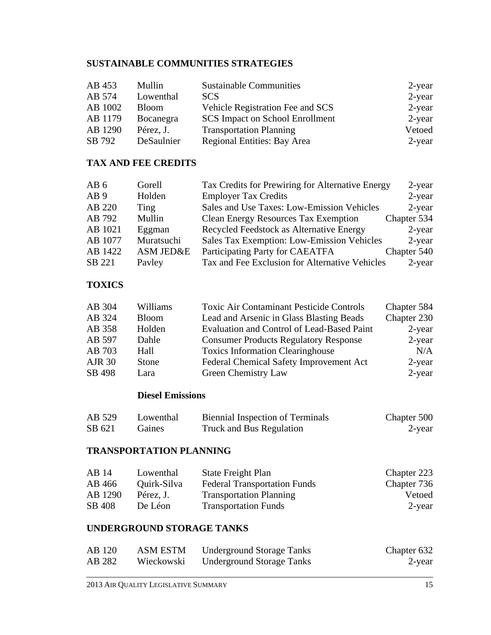# **SUSTAINABLE COMMUNITIES STRATEGIES**

| AB 453  | Mullin       | <b>Sustainable Communities</b>         | 2-year    |
|---------|--------------|----------------------------------------|-----------|
| AB 574  | Lowenthal    | <b>SCS</b>                             | $2$ -year |
| AB 1002 | <b>Bloom</b> | Vehicle Registration Fee and SCS       | $2$ -year |
| AB 1179 | Bocanegra    | <b>SCS Impact on School Enrollment</b> | $2$ -year |
| AB 1290 | Pérez, J.    | <b>Transportation Planning</b>         | Vetoed    |
| SB 792  | DeSaulnier   | <b>Regional Entities: Bay Area</b>     | 2-year    |

## **TAX AND FEE CREDITS**

| AB <sub>6</sub> | Gorell     | Tax Credits for Prewiring for Alternative Energy  | $2$ -year   |
|-----------------|------------|---------------------------------------------------|-------------|
| AB <sub>9</sub> | Holden     | <b>Employer Tax Credits</b>                       | $2$ -year   |
| AB 220          | Ting       | Sales and Use Taxes: Low-Emission Vehicles        | $2$ -year   |
| AB 792          | Mullin     | <b>Clean Energy Resources Tax Exemption</b>       | Chapter 534 |
| AB 1021         | Eggman     | Recycled Feedstock as Alternative Energy          | $2$ -year   |
| AB 1077         | Muratsuchi | <b>Sales Tax Exemption: Low-Emission Vehicles</b> | 2-year      |
| AB 1422         | ASM JED&E  | Participating Party for CAEATFA                   | Chapter 540 |
| SB 221          | Payley     | Tax and Fee Exclusion for Alternative Vehicles    | $2$ -year   |

## **TOXICS**

| AB 304        | Williams     | <b>Toxic Air Contaminant Pesticide Controls</b>   | Chapter 584 |
|---------------|--------------|---------------------------------------------------|-------------|
| AB 324        | <b>Bloom</b> | Lead and Arsenic in Glass Blasting Beads          | Chapter 230 |
| AB 358        | Holden       | <b>Evaluation and Control of Lead-Based Paint</b> | $2$ -year   |
| AB 597        | Dahle        | <b>Consumer Products Regulatory Response</b>      | 2-year      |
| AB 703        | Hall         | <b>Toxics Information Clearinghouse</b>           | N/A         |
| <b>AJR 30</b> | Stone        | Federal Chemical Safety Improvement Act           | $2$ -year   |
| SB 498        | Lara         | Green Chemistry Law                               | $2$ -year   |

#### **Diesel Emissions**

| AB 529 | Lowenthal | <b>Biennial Inspection of Terminals</b> | Chapter 500 |
|--------|-----------|-----------------------------------------|-------------|
| SB 621 | Gaines    | Truck and Bus Regulation                | 2-year      |

### **TRANSPORTATION PLANNING**

| AB 14   | Lowenthal   | State Freight Plan                  | Chapter 223 |
|---------|-------------|-------------------------------------|-------------|
| AB 466  | Quirk-Silva | <b>Federal Transportation Funds</b> | Chapter 736 |
| AB 1290 | Pérez, J.   | <b>Transportation Planning</b>      | Vetoed      |
| SB 408  | De Léon     | <b>Transportation Funds</b>         | $2$ -year   |

#### **UNDERGROUND STORAGE TANKS**

| AB 120 | <b>ASM ESTM</b> | <b>Underground Storage Tanks</b> | Chapter 632 |
|--------|-----------------|----------------------------------|-------------|
| AB 282 | Wieckowski      | <b>Underground Storage Tanks</b> | 2-year      |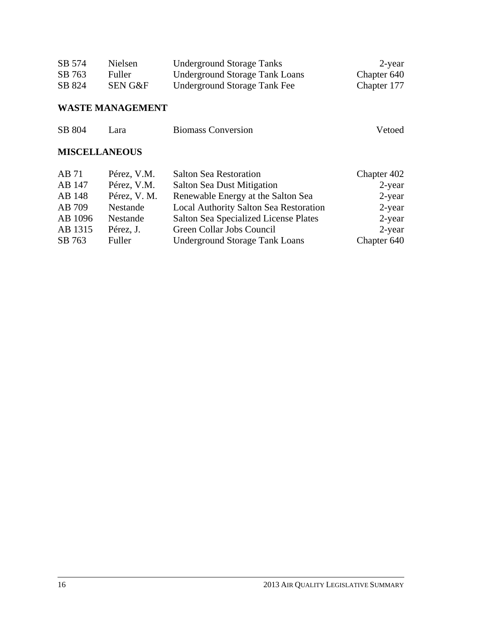| SB 574 | Nielsen       | Underground Storage Tanks      | 2-year      |
|--------|---------------|--------------------------------|-------------|
| SB 763 | <b>Fuller</b> | Underground Storage Tank Loans | Chapter 640 |
| SB 824 | SEN G&F       | Underground Storage Tank Fee   | Chapter 177 |

# **WASTE MANAGEMENT**

| SB 804 | Lara | <b>Biomass Conversion</b> | Vetoed |
|--------|------|---------------------------|--------|
|        |      |                           |        |

# **MISCELLANEOUS**

| AB 71   | Pérez, V.M.  | <b>Salton Sea Restoration</b>                 | Chapter 402 |
|---------|--------------|-----------------------------------------------|-------------|
| AB 147  | Pérez, V.M.  | <b>Salton Sea Dust Mitigation</b>             | $2$ -year   |
| AB 148  | Pérez, V. M. | Renewable Energy at the Salton Sea            | $2$ -year   |
| AB 709  | Nestande     | <b>Local Authority Salton Sea Restoration</b> | $2$ -year   |
| AB 1096 | Nestande     | Salton Sea Specialized License Plates         | $2$ -year   |
| AB 1315 | Pérez, J.    | Green Collar Jobs Council                     | 2-year      |
| SB 763  | Fuller       | <b>Underground Storage Tank Loans</b>         | Chapter 640 |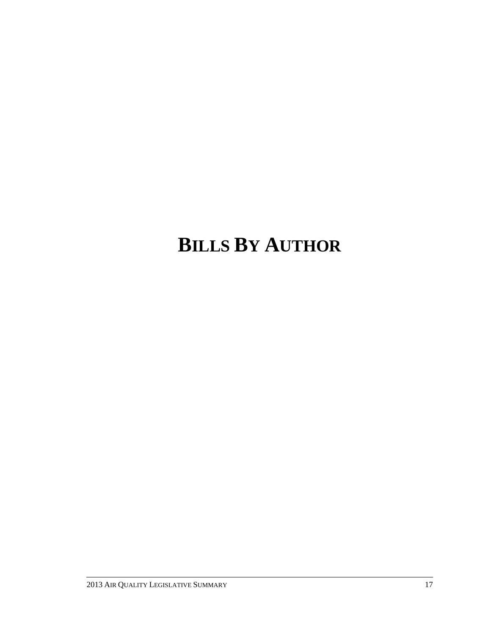# **BILLS BY AUTHOR**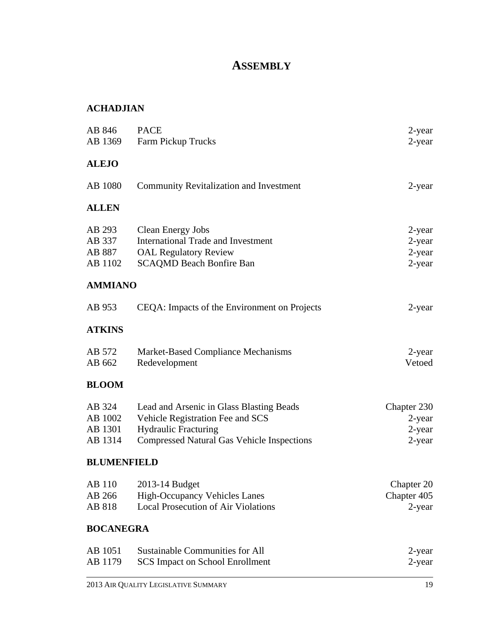# **ASSEMBLY**

# **ACHADJIAN**

| <b>ALEJO</b><br>AB 1080 | <b>Community Revitalization and Investment</b>                                   | 2-year              |
|-------------------------|----------------------------------------------------------------------------------|---------------------|
| <b>ALLEN</b>            |                                                                                  |                     |
| AB 293                  | <b>Clean Energy Jobs</b>                                                         | 2-year              |
| AB 337                  | <b>International Trade and Investment</b>                                        | 2-year              |
| AB 887<br>AB 1102       | <b>OAL Regulatory Review</b><br><b>SCAQMD Beach Bonfire Ban</b>                  | 2-year<br>$2$ -year |
| <b>AMMIANO</b>          |                                                                                  |                     |
| AB 953                  | CEQA: Impacts of the Environment on Projects                                     | 2-year              |
| <b>ATKINS</b>           |                                                                                  |                     |
| AB 572                  | Market-Based Compliance Mechanisms                                               | $2$ -year           |
| AB 662                  | Redevelopment                                                                    | Vetoed              |
| <b>BLOOM</b>            |                                                                                  |                     |
| AB 324                  | Lead and Arsenic in Glass Blasting Beads                                         | Chapter 230         |
| AB 1002                 | Vehicle Registration Fee and SCS                                                 | 2-year              |
| AB 1301<br>AB 1314      | <b>Hydraulic Fracturing</b><br><b>Compressed Natural Gas Vehicle Inspections</b> | 2-year<br>2-year    |
| <b>BLUMENFIELD</b>      |                                                                                  |                     |
| AB 110                  | 2013-14 Budget                                                                   | Chapter 20          |
| AB 266                  | High-Occupancy Vehicles Lanes                                                    | Chapter 405         |
| AB 818                  | <b>Local Prosecution of Air Violations</b>                                       | $2$ -year           |
| <b>BOCANEGRA</b>        |                                                                                  |                     |
| AB 1051                 | <b>Sustainable Communities for All</b>                                           | 2-year              |
| AB 1179                 | <b>SCS Impact on School Enrollment</b>                                           | 2-year              |
|                         |                                                                                  |                     |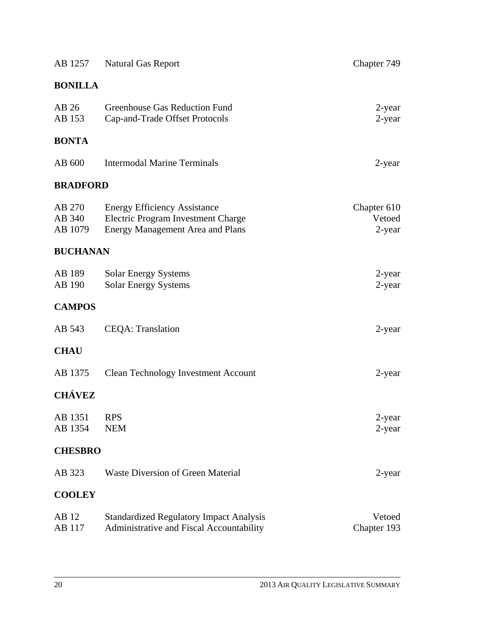| AB 1257                     | <b>Natural Gas Report</b>                                                                                            | Chapter 749                     |
|-----------------------------|----------------------------------------------------------------------------------------------------------------------|---------------------------------|
| <b>BONILLA</b>              |                                                                                                                      |                                 |
| AB 26<br>AB 153             | Greenhouse Gas Reduction Fund<br>Cap-and-Trade Offset Protocols                                                      | 2-year<br>$2$ -year             |
| <b>BONTA</b>                |                                                                                                                      |                                 |
| AB 600                      | <b>Intermodal Marine Terminals</b>                                                                                   | 2-year                          |
| <b>BRADFORD</b>             |                                                                                                                      |                                 |
| AB 270<br>AB 340<br>AB 1079 | <b>Energy Efficiency Assistance</b><br>Electric Program Investment Charge<br><b>Energy Management Area and Plans</b> | Chapter 610<br>Vetoed<br>2-year |
| <b>BUCHANAN</b>             |                                                                                                                      |                                 |
| AB 189<br>AB 190            | <b>Solar Energy Systems</b><br><b>Solar Energy Systems</b>                                                           | 2-year<br>$2$ -year             |
| <b>CAMPOS</b>               |                                                                                                                      |                                 |
| AB 543                      | <b>CEQA</b> : Translation                                                                                            | 2-year                          |
| <b>CHAU</b>                 |                                                                                                                      |                                 |
| AB 1375                     | <b>Clean Technology Investment Account</b>                                                                           | 2-year                          |
| <b>CHÁVEZ</b>               |                                                                                                                      |                                 |
| AB 1351<br>AB 1354          | <b>RPS</b><br><b>NEM</b>                                                                                             | 2-year<br>2-year                |
| <b>CHESBRO</b>              |                                                                                                                      |                                 |
| AB 323                      | <b>Waste Diversion of Green Material</b>                                                                             | 2-year                          |
| <b>COOLEY</b>               |                                                                                                                      |                                 |
| AB 12<br>AB 117             | <b>Standardized Regulatory Impact Analysis</b><br>Administrative and Fiscal Accountability                           | Vetoed<br>Chapter 193           |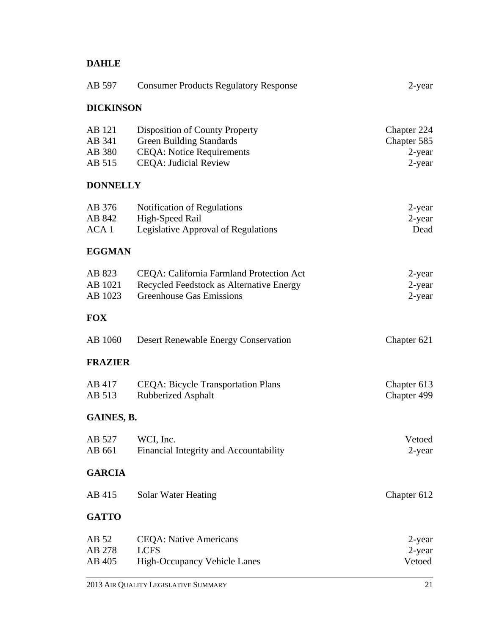# **DAHLE**

| AB 597                               | <b>Consumer Products Regulatory Response</b>                                                                                          | $2$ -year                                      |
|--------------------------------------|---------------------------------------------------------------------------------------------------------------------------------------|------------------------------------------------|
| <b>DICKINSON</b>                     |                                                                                                                                       |                                                |
| AB 121<br>AB 341<br>AB 380<br>AB 515 | Disposition of County Property<br><b>Green Building Standards</b><br><b>CEQA: Notice Requirements</b><br><b>CEQA: Judicial Review</b> | Chapter 224<br>Chapter 585<br>2-year<br>2-year |
| <b>DONNELLY</b>                      |                                                                                                                                       |                                                |
| AB 376<br>AB 842<br>ACA 1            | Notification of Regulations<br>High-Speed Rail<br>Legislative Approval of Regulations                                                 | 2-year<br>2-year<br>Dead                       |
| <b>EGGMAN</b>                        |                                                                                                                                       |                                                |
| AB 823<br>AB 1021<br>AB 1023         | CEQA: California Farmland Protection Act<br>Recycled Feedstock as Alternative Energy<br><b>Greenhouse Gas Emissions</b>               | $2$ -year<br>2-year<br>$2$ -year               |
| <b>FOX</b>                           |                                                                                                                                       |                                                |
| AB 1060                              | <b>Desert Renewable Energy Conservation</b>                                                                                           | Chapter 621                                    |
| <b>FRAZIER</b>                       |                                                                                                                                       |                                                |
| AB 417<br>AB 513                     | <b>CEQA: Bicycle Transportation Plans</b><br><b>Rubberized Asphalt</b>                                                                | Chapter 613<br>Chapter 499                     |
| GAINES, B.                           |                                                                                                                                       |                                                |
| AB 527<br>AB 661                     | WCI, Inc.<br>Financial Integrity and Accountability                                                                                   | Vetoed<br>2-year                               |
| <b>GARCIA</b>                        |                                                                                                                                       |                                                |
| AB 415                               | Solar Water Heating                                                                                                                   | Chapter 612                                    |
| <b>GATTO</b>                         |                                                                                                                                       |                                                |
| AB 52<br>AB 278<br>AB 405            | <b>CEQA</b> : Native Americans<br><b>LCFS</b><br><b>High-Occupancy Vehicle Lanes</b>                                                  | 2-year<br>2-year<br>Vetoed                     |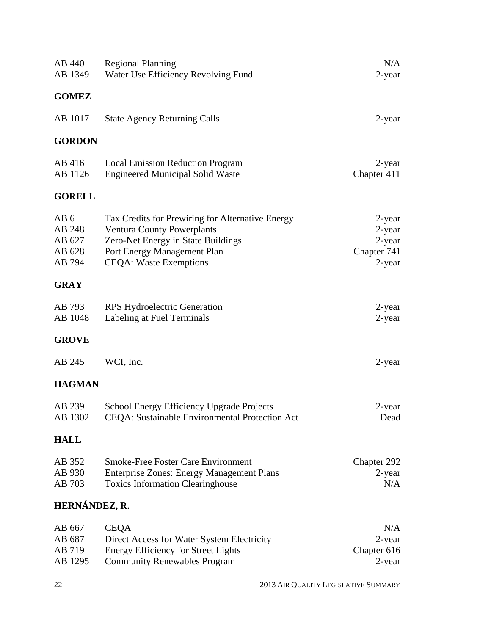| AB 440                                                  | <b>Regional Planning</b>                                                                                                                                                                    | N/A                                                    |
|---------------------------------------------------------|---------------------------------------------------------------------------------------------------------------------------------------------------------------------------------------------|--------------------------------------------------------|
| AB 1349                                                 | Water Use Efficiency Revolving Fund                                                                                                                                                         | 2-year                                                 |
| <b>GOMEZ</b>                                            |                                                                                                                                                                                             |                                                        |
| AB 1017                                                 | <b>State Agency Returning Calls</b>                                                                                                                                                         | 2-year                                                 |
| <b>GORDON</b>                                           |                                                                                                                                                                                             |                                                        |
| AB 416<br>AB 1126                                       | <b>Local Emission Reduction Program</b><br><b>Engineered Municipal Solid Waste</b>                                                                                                          | 2-year<br>Chapter 411                                  |
| <b>GORELL</b>                                           |                                                                                                                                                                                             |                                                        |
| AB <sub>6</sub><br>AB 248<br>AB 627<br>AB 628<br>AB 794 | Tax Credits for Prewiring for Alternative Energy<br><b>Ventura County Powerplants</b><br>Zero-Net Energy in State Buildings<br>Port Energy Management Plan<br><b>CEQA: Waste Exemptions</b> | 2-year<br>2-year<br>2-year<br>Chapter 741<br>$2$ -year |
| <b>GRAY</b>                                             |                                                                                                                                                                                             |                                                        |
| AB 793<br>AB 1048                                       | <b>RPS Hydroelectric Generation</b><br>Labeling at Fuel Terminals                                                                                                                           | 2-year<br>$2$ -year                                    |
| <b>GROVE</b>                                            |                                                                                                                                                                                             |                                                        |
| AB 245                                                  | WCI, Inc.                                                                                                                                                                                   | 2-year                                                 |
| <b>HAGMAN</b>                                           |                                                                                                                                                                                             |                                                        |
| AB 239<br>AB 1302                                       | School Energy Efficiency Upgrade Projects<br>CEQA: Sustainable Environmental Protection Act                                                                                                 | 2-year<br>Dead                                         |
| <b>HALL</b>                                             |                                                                                                                                                                                             |                                                        |
| AB 352<br>AB 930<br>AB 703                              | <b>Smoke-Free Foster Care Environment</b><br><b>Enterprise Zones: Energy Management Plans</b><br><b>Toxics Information Clearinghouse</b>                                                    | Chapter 292<br>2-year<br>N/A                           |
| HERNÁNDEZ, R.                                           |                                                                                                                                                                                             |                                                        |
| AB 667<br>AB 687<br>AB 719<br>AB 1295                   | <b>CEQA</b><br>Direct Access for Water System Electricity<br><b>Energy Efficiency for Street Lights</b><br><b>Community Renewables Program</b>                                              | N/A<br>2-year<br>Chapter 616<br>2-year                 |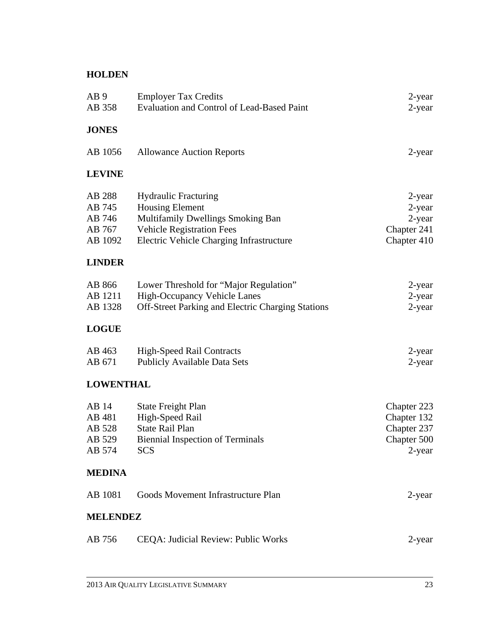# **HOLDEN**

| AB <sub>9</sub><br>AB 358                       | <b>Employer Tax Credits</b><br><b>Evaluation and Control of Lead-Based Paint</b>                                                                                           | 2-year<br>$2$ -year                                                   |
|-------------------------------------------------|----------------------------------------------------------------------------------------------------------------------------------------------------------------------------|-----------------------------------------------------------------------|
| <b>JONES</b>                                    |                                                                                                                                                                            |                                                                       |
| AB 1056                                         | <b>Allowance Auction Reports</b>                                                                                                                                           | $2$ -year                                                             |
| <b>LEVINE</b>                                   |                                                                                                                                                                            |                                                                       |
| AB 288<br>AB 745<br>AB 746<br>AB 767<br>AB 1092 | <b>Hydraulic Fracturing</b><br><b>Housing Element</b><br>Multifamily Dwellings Smoking Ban<br><b>Vehicle Registration Fees</b><br>Electric Vehicle Charging Infrastructure | $2$ -year<br>$2$ -year<br>$2$ -year<br>Chapter 241<br>Chapter 410     |
| <b>LINDER</b>                                   |                                                                                                                                                                            |                                                                       |
| AB 866<br>AB 1211<br>AB 1328                    | Lower Threshold for "Major Regulation"<br><b>High-Occupancy Vehicle Lanes</b><br>Off-Street Parking and Electric Charging Stations                                         | 2-year<br>$2$ -year<br>$2$ -year                                      |
| <b>LOGUE</b>                                    |                                                                                                                                                                            |                                                                       |
| AB 463<br>AB 671                                | <b>High-Speed Rail Contracts</b><br><b>Publicly Available Data Sets</b>                                                                                                    | 2-year<br>$2$ -year                                                   |
| <b>LOWENTHAL</b>                                |                                                                                                                                                                            |                                                                       |
| AB 14<br>AB 481<br>AB 528<br>AB 529<br>AB 574   | <b>State Freight Plan</b><br>High-Speed Rail<br><b>State Rail Plan</b><br><b>Biennial Inspection of Terminals</b><br><b>SCS</b>                                            | Chapter 223<br>Chapter 132<br>Chapter 237<br>Chapter 500<br>$2$ -year |
| <b>MEDINA</b>                                   |                                                                                                                                                                            |                                                                       |
| AB 1081                                         | Goods Movement Infrastructure Plan                                                                                                                                         | 2-year                                                                |
| <b>MELENDEZ</b>                                 |                                                                                                                                                                            |                                                                       |
| AB 756                                          | CEQA: Judicial Review: Public Works                                                                                                                                        | $2$ -year                                                             |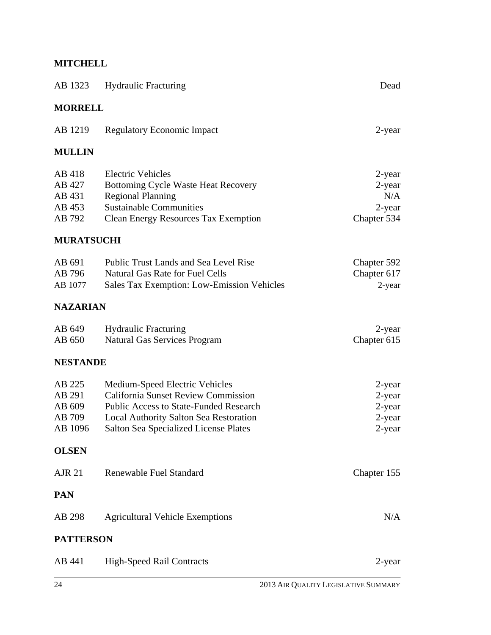# **MITCHELL**

| AB 1323                                         | <b>Hydraulic Fracturing</b>                                                                                                                                                                                                    | Dead                                                |
|-------------------------------------------------|--------------------------------------------------------------------------------------------------------------------------------------------------------------------------------------------------------------------------------|-----------------------------------------------------|
| <b>MORRELL</b>                                  |                                                                                                                                                                                                                                |                                                     |
| AB 1219                                         | <b>Regulatory Economic Impact</b>                                                                                                                                                                                              | 2-year                                              |
| <b>MULLIN</b>                                   |                                                                                                                                                                                                                                |                                                     |
| AB 418<br>AB 427<br>AB 431<br>AB 453<br>AB 792  | <b>Electric Vehicles</b><br><b>Bottoming Cycle Waste Heat Recovery</b><br><b>Regional Planning</b><br><b>Sustainable Communities</b><br><b>Clean Energy Resources Tax Exemption</b>                                            | 2-year<br>$2$ -year<br>N/A<br>2-year<br>Chapter 534 |
| <b>MURATSUCHI</b>                               |                                                                                                                                                                                                                                |                                                     |
| AB 691<br>AB 796<br>AB 1077                     | <b>Public Trust Lands and Sea Level Rise</b><br><b>Natural Gas Rate for Fuel Cells</b><br><b>Sales Tax Exemption: Low-Emission Vehicles</b>                                                                                    | Chapter 592<br>Chapter 617<br>2-year                |
| <b>NAZARIAN</b>                                 |                                                                                                                                                                                                                                |                                                     |
| AB 649<br>AB 650                                | <b>Hydraulic Fracturing</b><br><b>Natural Gas Services Program</b>                                                                                                                                                             | 2-year<br>Chapter 615                               |
| <b>NESTANDE</b>                                 |                                                                                                                                                                                                                                |                                                     |
| AB 225<br>AB 291<br>AB 609<br>AB 709<br>AB 1096 | Medium-Speed Electric Vehicles<br><b>California Sunset Review Commission</b><br><b>Public Access to State-Funded Research</b><br><b>Local Authority Salton Sea Restoration</b><br><b>Salton Sea Specialized License Plates</b> | 2-year<br>2-year<br>2-year<br>2-year<br>2-year      |
| <b>OLSEN</b>                                    |                                                                                                                                                                                                                                |                                                     |
| <b>AJR 21</b>                                   | Renewable Fuel Standard                                                                                                                                                                                                        | Chapter 155                                         |
| <b>PAN</b>                                      |                                                                                                                                                                                                                                |                                                     |
| AB 298                                          | <b>Agricultural Vehicle Exemptions</b>                                                                                                                                                                                         | N/A                                                 |
| <b>PATTERSON</b>                                |                                                                                                                                                                                                                                |                                                     |
| AB 441                                          | <b>High-Speed Rail Contracts</b>                                                                                                                                                                                               | 2-year                                              |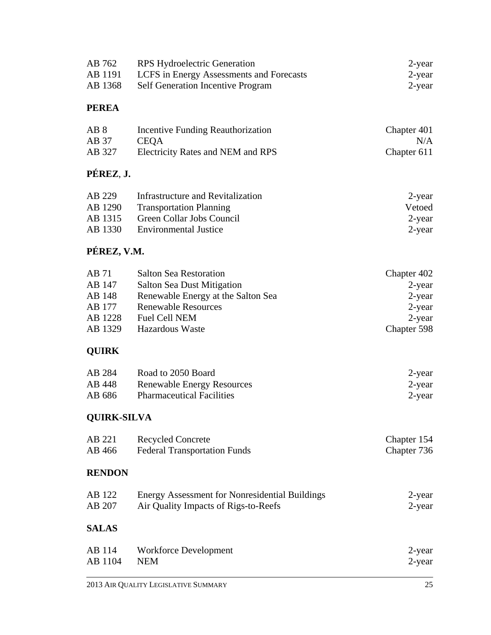|                    | 2013 AIR QUALITY LEGISLATIVE SUMMARY                  | 25          |
|--------------------|-------------------------------------------------------|-------------|
| AB 114             | Workforce Development                                 | 2-year      |
| AB 1104            | <b>NEM</b>                                            | 2-year      |
| <b>SALAS</b>       |                                                       |             |
| AB 122             | <b>Energy Assessment for Nonresidential Buildings</b> | 2-year      |
| AB 207             | Air Quality Impacts of Rigs-to-Reefs                  | 2-year      |
| <b>RENDON</b>      |                                                       |             |
| AB 221             | <b>Recycled Concrete</b>                              | Chapter 154 |
| AB 466             | <b>Federal Transportation Funds</b>                   | Chapter 736 |
| <b>QUIRK-SILVA</b> |                                                       |             |
| AB 284             | Road to 2050 Board                                    | 2-year      |
| AB 448             | <b>Renewable Energy Resources</b>                     | 2-year      |
| AB 686             | <b>Pharmaceutical Facilities</b>                      | $2$ -year   |
| <b>QUIRK</b>       |                                                       |             |
| AB 71              | <b>Salton Sea Restoration</b>                         | Chapter 402 |
| AB 147             | <b>Salton Sea Dust Mitigation</b>                     | $2$ -year   |
| AB 148             | Renewable Energy at the Salton Sea                    | 2-year      |
| AB 177             | <b>Renewable Resources</b>                            | 2-year      |
| AB 1228            | <b>Fuel Cell NEM</b>                                  | 2-year      |
| AB 1329            | Hazardous Waste                                       | Chapter 598 |
| PÉREZ, V.M.        |                                                       |             |
| AB 229             | <b>Infrastructure and Revitalization</b>              | 2-year      |
| AB 1290            | <b>Transportation Planning</b>                        | Vetoed      |
| AB 1315            | Green Collar Jobs Council                             | 2-year      |
| AB 1330            | <b>Environmental Justice</b>                          | 2-year      |
| PÉREZ, J.          |                                                       |             |
| AB <sub>8</sub>    | Incentive Funding Reauthorization                     | Chapter 401 |
| AB 37              | <b>CEQA</b>                                           | N/A         |
| AB 327             | Electricity Rates and NEM and RPS                     | Chapter 611 |
| <b>PEREA</b>       |                                                       |             |
| AB 762             | <b>RPS</b> Hydroelectric Generation                   | 2-year      |
| AB 1191            | LCFS in Energy Assessments and Forecasts              | 2-year      |
| AB 1368            | <b>Self Generation Incentive Program</b>              | 2-year      |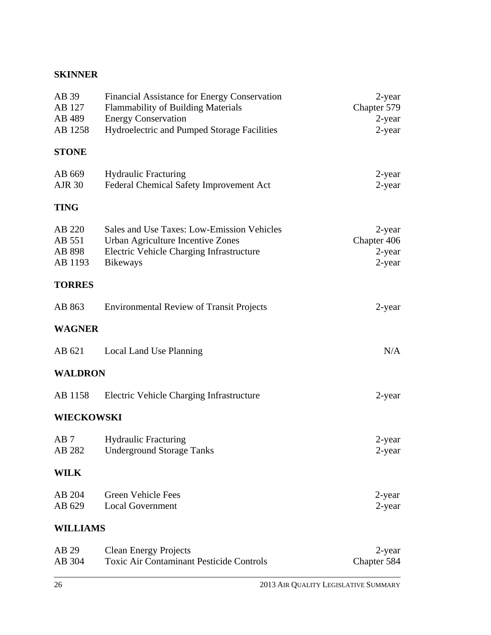# **SKINNER**

| AB 39<br>AB 127<br>AB 489<br>AB 1258  | Financial Assistance for Energy Conservation<br>Flammability of Building Materials<br><b>Energy Conservation</b><br>Hydroelectric and Pumped Storage Facilities | 2-year<br>Chapter 579<br>$2$ -year<br>2-year |
|---------------------------------------|-----------------------------------------------------------------------------------------------------------------------------------------------------------------|----------------------------------------------|
| <b>STONE</b>                          |                                                                                                                                                                 |                                              |
| AB 669<br><b>AJR 30</b>               | <b>Hydraulic Fracturing</b><br>Federal Chemical Safety Improvement Act                                                                                          | 2-year<br>2-year                             |
| <b>TING</b>                           |                                                                                                                                                                 |                                              |
| AB 220<br>AB 551<br>AB 898<br>AB 1193 | Sales and Use Taxes: Low-Emission Vehicles<br>Urban Agriculture Incentive Zones<br>Electric Vehicle Charging Infrastructure<br><b>Bikeways</b>                  | 2-year<br>Chapter 406<br>2-year<br>$2$ -year |
| <b>TORRES</b>                         |                                                                                                                                                                 |                                              |
| AB 863                                | <b>Environmental Review of Transit Projects</b>                                                                                                                 | 2-year                                       |
| <b>WAGNER</b>                         |                                                                                                                                                                 |                                              |
| AB 621                                | Local Land Use Planning                                                                                                                                         | N/A                                          |
| <b>WALDRON</b>                        |                                                                                                                                                                 |                                              |
| AB 1158                               | Electric Vehicle Charging Infrastructure                                                                                                                        | 2-year                                       |
| <b>WIECKOWSKI</b>                     |                                                                                                                                                                 |                                              |
| AB <sub>7</sub><br>AB 282             | <b>Hydraulic Fracturing</b><br><b>Underground Storage Tanks</b>                                                                                                 | 2-year<br>2-year                             |
| <b>WILK</b>                           |                                                                                                                                                                 |                                              |
| AB 204<br>AB 629                      | <b>Green Vehicle Fees</b><br><b>Local Government</b>                                                                                                            | 2-year<br>2-year                             |
| <b>WILLIAMS</b>                       |                                                                                                                                                                 |                                              |
| AB 29<br>AB 304                       | <b>Clean Energy Projects</b><br><b>Toxic Air Contaminant Pesticide Controls</b>                                                                                 | 2-year<br>Chapter 584                        |
|                                       |                                                                                                                                                                 |                                              |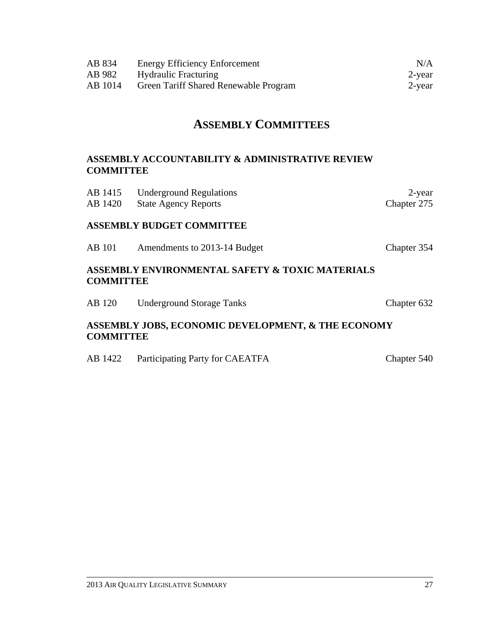| AB 834<br>AB 982<br>AB 1014                                                    | <b>Energy Efficiency Enforcement</b><br><b>Hydraulic Fracturing</b><br>Green Tariff Shared Renewable Program | N/A<br>$2$ -year<br>2-year |
|--------------------------------------------------------------------------------|--------------------------------------------------------------------------------------------------------------|----------------------------|
| <b>ASSEMBLY COMMITTEES</b>                                                     |                                                                                                              |                            |
| <b>ASSEMBLY ACCOUNTABILITY &amp; ADMINISTRATIVE REVIEW</b><br><b>COMMITTEE</b> |                                                                                                              |                            |
| AB 1415<br>AB 1420                                                             | <b>Underground Regulations</b><br><b>State Agency Reports</b>                                                | $2$ -year<br>Chapter 275   |
| <b>ASSEMBLY BUDGET COMMITTEE</b>                                               |                                                                                                              |                            |
| <b>AB</b> 101                                                                  | Amendments to 2013-14 Budget                                                                                 | Chapter 354                |
| <b>ASSEMBLY ENVIRONMENTAL SAFETY &amp; TOXIC MATERIALS</b><br><b>COMMITTEE</b> |                                                                                                              |                            |
| AB 120                                                                         | <b>Underground Storage Tanks</b>                                                                             | Chapter 632                |
| ASSEMBLY JOBS, ECONOMIC DEVELOPMENT, & THE ECONOMY<br><b>COMMITTEE</b>         |                                                                                                              |                            |

AB 1422 Participating Party for CAEATFA Chapter 540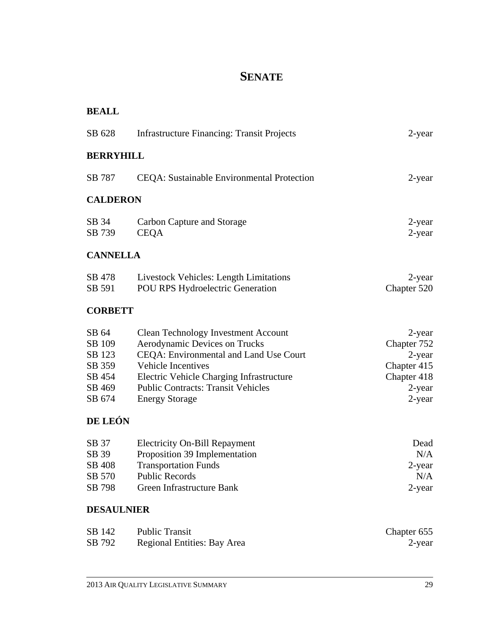## **SENATE**

| <b>BEALL</b>                                                      |                                                                                                                                                                                                                                                                      |                                                                                      |
|-------------------------------------------------------------------|----------------------------------------------------------------------------------------------------------------------------------------------------------------------------------------------------------------------------------------------------------------------|--------------------------------------------------------------------------------------|
| SB 628                                                            | <b>Infrastructure Financing: Transit Projects</b>                                                                                                                                                                                                                    | 2-year                                                                               |
| <b>BERRYHILL</b>                                                  |                                                                                                                                                                                                                                                                      |                                                                                      |
| SB 787                                                            | <b>CEQA</b> : Sustainable Environmental Protection                                                                                                                                                                                                                   | 2-year                                                                               |
| <b>CALDERON</b>                                                   |                                                                                                                                                                                                                                                                      |                                                                                      |
| SB 34<br>SB 739                                                   | Carbon Capture and Storage<br><b>CEQA</b>                                                                                                                                                                                                                            | 2-year<br>$2$ -year                                                                  |
| <b>CANNELLA</b>                                                   |                                                                                                                                                                                                                                                                      |                                                                                      |
| SB 478<br>SB 591                                                  | <b>Livestock Vehicles: Length Limitations</b><br><b>POU RPS Hydroelectric Generation</b>                                                                                                                                                                             | $2$ -year<br>Chapter 520                                                             |
| <b>CORBETT</b>                                                    |                                                                                                                                                                                                                                                                      |                                                                                      |
| SB 64<br>SB 109<br>SB 123<br>SB 359<br>SB 454<br>SB 469<br>SB 674 | <b>Clean Technology Investment Account</b><br>Aerodynamic Devices on Trucks<br>CEQA: Environmental and Land Use Court<br><b>Vehicle Incentives</b><br>Electric Vehicle Charging Infrastructure<br><b>Public Contracts: Transit Vehicles</b><br><b>Energy Storage</b> | 2-year<br>Chapter 752<br>2-year<br>Chapter 415<br>Chapter 418<br>$2$ -year<br>2-year |
| DE LEÓN                                                           |                                                                                                                                                                                                                                                                      |                                                                                      |
| SB 37<br>SB 39<br>SB 408<br>SB 570<br>SB 798<br><b>DESAULNIER</b> | <b>Electricity On-Bill Repayment</b><br>Proposition 39 Implementation<br><b>Transportation Funds</b><br><b>Public Records</b><br>Green Infrastructure Bank                                                                                                           | Dead<br>N/A<br>$2$ -year<br>N/A<br>$2$ -year                                         |
| SB 142                                                            | <b>Public Transit</b>                                                                                                                                                                                                                                                | Chapter 655                                                                          |
| SB 792                                                            | Regional Entities: Bay Area                                                                                                                                                                                                                                          | 2-year                                                                               |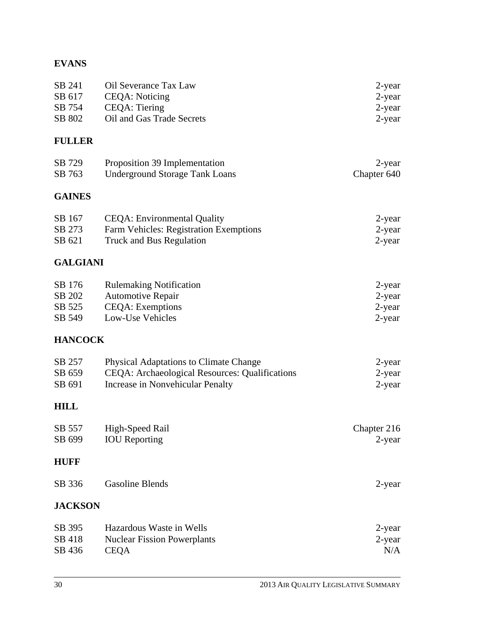### **EVANS**

| 2-year                                                                                |
|---------------------------------------------------------------------------------------|
| 2-year                                                                                |
| $2$ -year                                                                             |
| 2-year                                                                                |
| Oil Severance Tax Law<br>CEOA: Noticing<br>CEOA: Tiering<br>Oil and Gas Trade Secrets |

#### **FULLER**

| SB 729 | Proposition 39 Implementation  | 2-year      |
|--------|--------------------------------|-------------|
| SB 763 | Underground Storage Tank Loans | Chapter 640 |

### **GAINES**

| SB 167 | CEQA: Environmental Quality            | 2-year |
|--------|----------------------------------------|--------|
| SB 273 | Farm Vehicles: Registration Exemptions | 2-year |
| SB 621 | Truck and Bus Regulation               | 2-year |

### **GALGIANI**

| SB 176 | <b>Rulemaking Notification</b> | 2-year    |
|--------|--------------------------------|-----------|
| SB 202 | <b>Automotive Repair</b>       | $2$ -year |
| SB 525 | <b>CEOA</b> : Exemptions       | 2-year    |
| SB 549 | Low-Use Vehicles               | 2-year    |

#### **HANCOCK**

| SB 257 | <b>Physical Adaptations to Climate Change</b>  | 2-year |
|--------|------------------------------------------------|--------|
| SB 659 | CEQA: Archaeological Resources: Qualifications | 2-year |
| SB 691 | Increase in Nonvehicular Penalty               | 2-year |

#### **HILL**

| SB 557<br>SB 699           | High-Speed Rail<br><b>IOU</b> Reporting                                       | Chapter 216<br>$2$ -year   |
|----------------------------|-------------------------------------------------------------------------------|----------------------------|
| <b>HUFF</b>                |                                                                               |                            |
| SB 336                     | Gasoline Blends                                                               | 2-year                     |
| <b>JACKSON</b>             |                                                                               |                            |
| SB 395<br>SB 418<br>SB 436 | Hazardous Waste in Wells<br><b>Nuclear Fission Powerplants</b><br><b>CEQA</b> | 2-year<br>$2$ -year<br>N/A |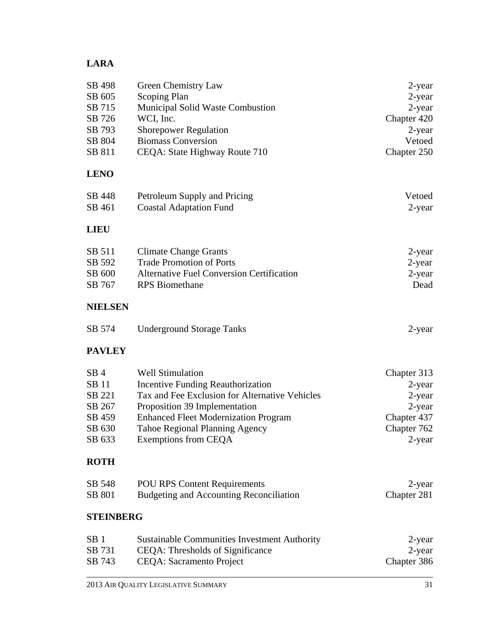### **LARA**

| SB 498<br>SB 605 | Green Chemistry Law<br>Scoping Plan                                          | 2-year<br>$2$ -year        |
|------------------|------------------------------------------------------------------------------|----------------------------|
| SB 715           | Municipal Solid Waste Combustion                                             | $2$ -year                  |
| SB 726           | WCI, Inc.                                                                    | Chapter 420                |
| SB 793           | <b>Shorepower Regulation</b>                                                 | 2-year                     |
| SB 804           | <b>Biomass Conversion</b>                                                    | Vetoed                     |
| SB 811           | CEQA: State Highway Route 710                                                | Chapter 250                |
| <b>LENO</b>      |                                                                              |                            |
| SB 448           | Petroleum Supply and Pricing                                                 | Vetoed                     |
| SB 461           | <b>Coastal Adaptation Fund</b>                                               | 2-year                     |
| <b>LIEU</b>      |                                                                              |                            |
| SB 511           | <b>Climate Change Grants</b>                                                 | 2-year                     |
| SB 592           | <b>Trade Promotion of Ports</b>                                              | 2-year                     |
| SB 600           | <b>Alternative Fuel Conversion Certification</b>                             | $2$ -year<br>Dead          |
| SB 767           | <b>RPS</b> Biomethane                                                        |                            |
| <b>NIELSEN</b>   |                                                                              |                            |
| SB 574           | <b>Underground Storage Tanks</b>                                             | 2-year                     |
| <b>PAVLEY</b>    |                                                                              |                            |
| SB <sub>4</sub>  | <b>Well Stimulation</b>                                                      | Chapter 313                |
| SB 11            | <b>Incentive Funding Reauthorization</b>                                     | 2-year                     |
| SB 221           | Tax and Fee Exclusion for Alternative Vehicles                               | $2$ -year                  |
| SB 267<br>SB 459 | Proposition 39 Implementation<br><b>Enhanced Fleet Modernization Program</b> | 2-year                     |
| SB 630           | <b>Tahoe Regional Planning Agency</b>                                        | Chapter 437<br>Chapter 762 |
| SB 633           | Exemptions from CEQA                                                         | 2-year                     |
| <b>ROTH</b>      |                                                                              |                            |
| SB 548           | <b>POU RPS Content Requirements</b>                                          | 2-year                     |
| SB 801           | <b>Budgeting and Accounting Reconciliation</b>                               | Chapter 281                |
| <b>STEINBERG</b> |                                                                              |                            |
| SB <sub>1</sub>  | <b>Sustainable Communities Investment Authority</b>                          | 2-year                     |
| SB 731           | CEQA: Thresholds of Significance                                             | 2-year                     |
| SB 743           | <b>CEQA:</b> Sacramento Project                                              | Chapter 386                |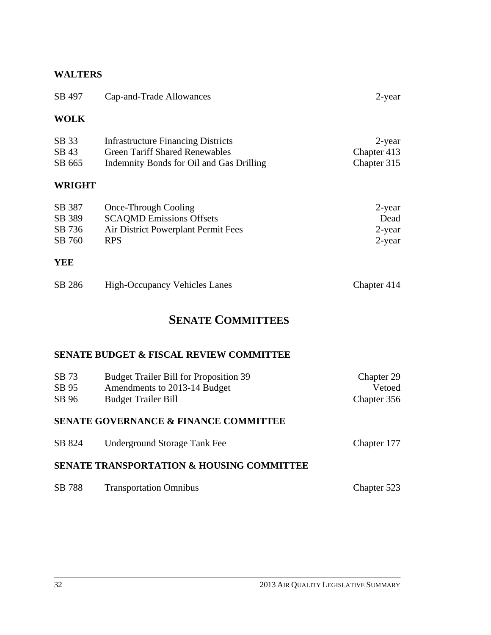#### **WALTERS**

| SB 497                                               | Cap-and-Trade Allowances                                                                                                       | 2-year                                   |
|------------------------------------------------------|--------------------------------------------------------------------------------------------------------------------------------|------------------------------------------|
| <b>WOLK</b>                                          |                                                                                                                                |                                          |
| SB 33<br>SB 43<br>SB 665                             | <b>Infrastructure Financing Districts</b><br><b>Green Tariff Shared Renewables</b><br>Indemnity Bonds for Oil and Gas Drilling | 2-year<br>Chapter 413<br>Chapter 315     |
| <b>WRIGHT</b>                                        |                                                                                                                                |                                          |
| SB 387<br>SB 389<br>SB 736<br>SB 760<br><b>YEE</b>   | <b>Once-Through Cooling</b><br><b>SCAQMD Emissions Offsets</b><br>Air District Powerplant Permit Fees<br><b>RPS</b>            | 2-year<br>Dead<br>$2$ -year<br>$2$ -year |
| SB 286                                               | <b>High-Occupancy Vehicles Lanes</b>                                                                                           | Chapter 414                              |
|                                                      | <b>SENATE COMMITTEES</b>                                                                                                       |                                          |
|                                                      | <b>SENATE BUDGET &amp; FISCAL REVIEW COMMITTEE</b>                                                                             |                                          |
| SB 73<br>SB 95<br>SB 96                              | <b>Budget Trailer Bill for Proposition 39</b><br>Amendments to 2013-14 Budget<br><b>Budget Trailer Bill</b>                    | Chapter 29<br>Vetoed<br>Chapter 356      |
|                                                      | <b>SENATE GOVERNANCE &amp; FINANCE COMMITTEE</b>                                                                               |                                          |
| SB 824                                               | <b>Underground Storage Tank Fee</b>                                                                                            | Chapter 177                              |
| <b>SENATE TRANSPORTATION &amp; HOUSING COMMITTEE</b> |                                                                                                                                |                                          |
| SB 788                                               | <b>Transportation Omnibus</b>                                                                                                  | Chapter 523                              |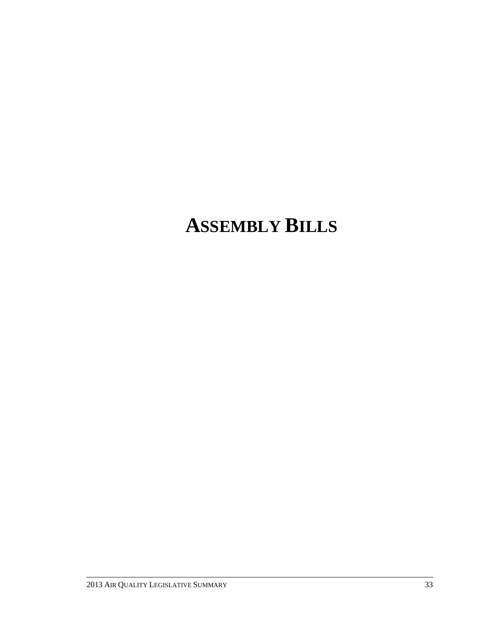# **ASSEMBLY BILLS**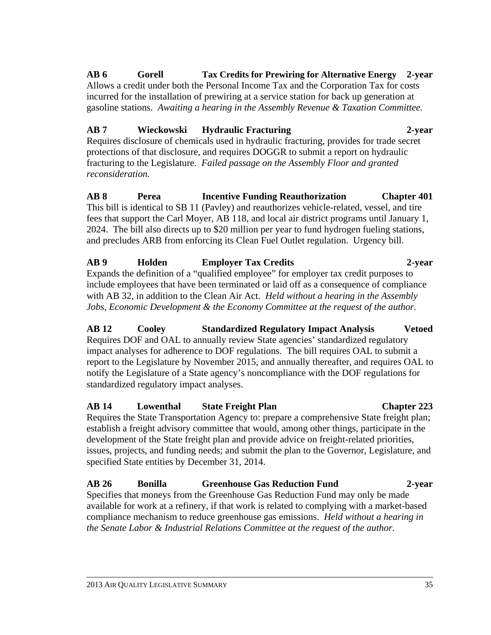#### **AB 6 Gorell Tax Credits for Prewiring for Alternative Energy 2-year**

Allows a credit under both the Personal Income Tax and the Corporation Tax for costs incurred for the installation of prewiring at a service station for back up generation at gasoline stations. *Awaiting a hearing in the Assembly Revenue & Taxation Committee.*

#### **AB 7 Wieckowski Hydraulic Fracturing 2-year**

Requires disclosure of chemicals used in hydraulic fracturing, provides for trade secret protections of that disclosure, and requires DOGGR to submit a report on hydraulic fracturing to the Legislature. *Failed passage on the Assembly Floor and granted reconsideration.*

**AB 8 Perea Incentive Funding Reauthorization Chapter 401**  This bill is identical to SB 11 (Pavley) and reauthorizes vehicle-related, vessel, and tire fees that support the Carl Moyer, AB 118, and local air district programs until January 1, 2024. The bill also directs up to \$20 million per year to fund hydrogen fueling stations, and precludes ARB from enforcing its Clean Fuel Outlet regulation. Urgency bill.

#### **AB 9 Holden Employer Tax Credits 2-year**  Expands the definition of a "qualified employee" for employer tax credit purposes to

include employees that have been terminated or laid off as a consequence of compliance with AB 32, in addition to the Clean Air Act. *Held without a hearing in the Assembly Jobs, Economic Development & the Economy Committee at the request of the author.*

**AB 12 Cooley Standardized Regulatory Impact Analysis Vetoed**  Requires DOF and OAL to annually review State agencies' standardized regulatory impact analyses for adherence to DOF regulations. The bill requires OAL to submit a report to the Legislature by November 2015, and annually thereafter, and requires OAL to notify the Legislature of a State agency's noncompliance with the DOF regulations for standardized regulatory impact analyses.

## **AB 14 Lowenthal State Freight Plan Chapter 223**

Requires the State Transportation Agency to: prepare a comprehensive State freight plan; establish a freight advisory committee that would, among other things, participate in the development of the State freight plan and provide advice on freight-related priorities, issues, projects, and funding needs; and submit the plan to the Governor, Legislature, and specified State entities by December 31, 2014.

**AB 26 Bonilla Greenhouse Gas Reduction Fund 2-year**  Specifies that moneys from the Greenhouse Gas Reduction Fund may only be made available for work at a refinery, if that work is related to complying with a market-based compliance mechanism to reduce greenhouse gas emissions. *Held without a hearing in the Senate Labor & Industrial Relations Committee at the request of the author.*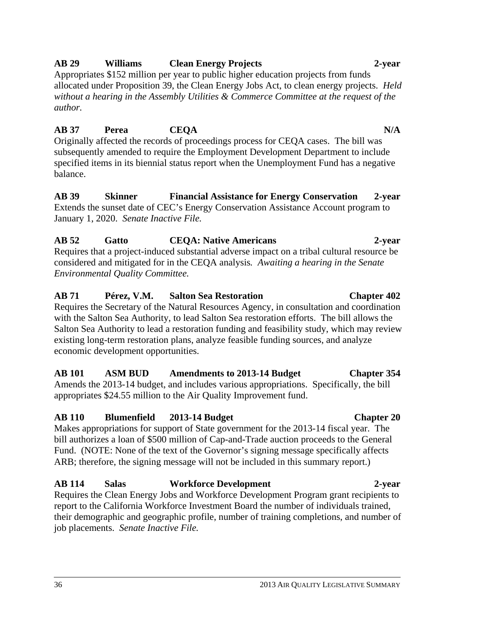#### **AB 29 Williams Clean Energy Projects 2-year**

Appropriates \$152 million per year to public higher education projects from funds allocated under Proposition 39, the Clean Energy Jobs Act, to clean energy projects. *Held without a hearing in the Assembly Utilities & Commerce Committee at the request of the author.*

#### **AB 37 Perea CEQA** N/A

Originally affected the records of proceedings process for CEQA cases. The bill was subsequently amended to require the Employment Development Department to include specified items in its biennial status report when the Unemployment Fund has a negative balance.

#### **AB 39 Skinner Financial Assistance for Energy Conservation 2-year**  Extends the sunset date of CEC's Energy Conservation Assistance Account program to January 1, 2020. *Senate Inactive File.*

#### **AB 52 Gatto CEQA: Native Americans 2-year**

Requires that a project-induced substantial adverse impact on a tribal cultural resource be considered and mitigated for in the CEQA analysis*. Awaiting a hearing in the Senate Environmental Quality Committee.* 

### **AB 71 Pérez, V.M. Salton Sea Restoration Chapter 402**

Requires the Secretary of the Natural Resources Agency, in consultation and coordination with the Salton Sea Authority, to lead Salton Sea restoration efforts. The bill allows the Salton Sea Authority to lead a restoration funding and feasibility study, which may review existing long-term restoration plans, analyze feasible funding sources, and analyze economic development opportunities.

#### **AB 101 ASM BUD Amendments to 2013-14 Budget Chapter 354**

Amends the 2013-14 budget, and includes various appropriations. Specifically, the bill appropriates \$24.55 million to the Air Quality Improvement fund.

#### **AB 110 Blumenfield 2013-14 Budget Chapter 20**

Makes appropriations for support of State government for the 2013-14 fiscal year. The bill authorizes a loan of \$500 million of Cap-and-Trade auction proceeds to the General Fund. (NOTE: None of the text of the Governor's signing message specifically affects ARB; therefore, the signing message will not be included in this summary report.)

### **AB 114 Salas Workforce Development 2-year**

Requires the Clean Energy Jobs and Workforce Development Program grant recipients to report to the California Workforce Investment Board the number of individuals trained, their demographic and geographic profile, number of training completions, and number of job placements. *Senate Inactive File.*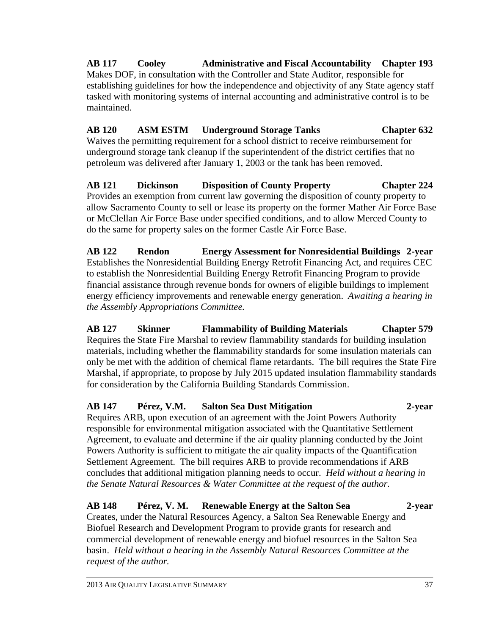## **AB 117 Cooley Administrative and Fiscal Accountability Chapter 193**

Makes DOF, in consultation with the Controller and State Auditor, responsible for establishing guidelines for how the independence and objectivity of any State agency staff tasked with monitoring systems of internal accounting and administrative control is to be maintained.

#### **AB 120 ASM ESTM Underground Storage Tanks Chapter 632**  Waives the permitting requirement for a school district to receive reimbursement for underground storage tank cleanup if the superintendent of the district certifies that no petroleum was delivered after January 1, 2003 or the tank has been removed.

**AB 121 Dickinson Disposition of County Property Chapter 224**  Provides an exemption from current law governing the disposition of county property to allow Sacramento County to sell or lease its property on the former Mather Air Force Base or McClellan Air Force Base under specified conditions, and to allow Merced County to do the same for property sales on the former Castle Air Force Base.

**AB 122 Rendon Energy Assessment for Nonresidential Buildings 2-year**  Establishes the Nonresidential Building Energy Retrofit Financing Act, and requires CEC to establish the Nonresidential Building Energy Retrofit Financing Program to provide financial assistance through revenue bonds for owners of eligible buildings to implement energy efficiency improvements and renewable energy generation. *Awaiting a hearing in the Assembly Appropriations Committee.* 

**AB 127 Skinner Flammability of Building Materials Chapter 579**  Requires the State Fire Marshal to review flammability standards for building insulation materials, including whether the flammability standards for some insulation materials can only be met with the addition of chemical flame retardants. The bill requires the State Fire Marshal, if appropriate, to propose by July 2015 updated insulation flammability standards for consideration by the California Building Standards Commission.

### **AB 147 Pérez, V.M. Salton Sea Dust Mitigation 2-year**

Requires ARB, upon execution of an agreement with the Joint Powers Authority responsible for environmental mitigation associated with the Quantitative Settlement Agreement, to evaluate and determine if the air quality planning conducted by the Joint Powers Authority is sufficient to mitigate the air quality impacts of the Quantification Settlement Agreement. The bill requires ARB to provide recommendations if ARB concludes that additional mitigation planning needs to occur. *Held without a hearing in the Senate Natural Resources & Water Committee at the request of the author.*

## **AB 148 Pérez, V. M. Renewable Energy at the Salton Sea 2-year**

Creates, under the Natural Resources Agency, a Salton Sea Renewable Energy and Biofuel Research and Development Program to provide grants for research and commercial development of renewable energy and biofuel resources in the Salton Sea basin. *Held without a hearing in the Assembly Natural Resources Committee at the request of the author.*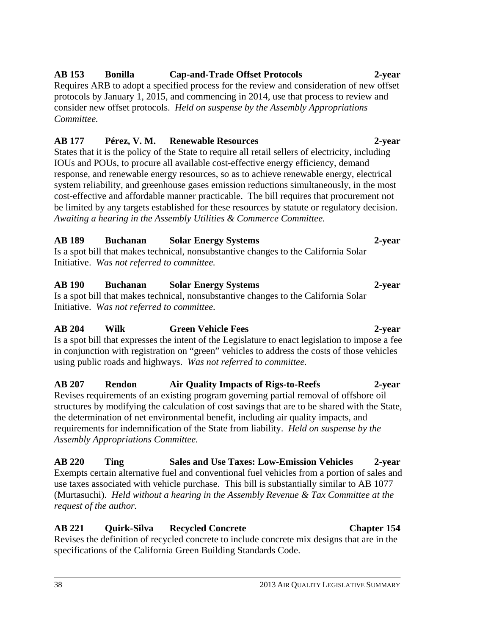#### **AB 153 Bonilla Cap-and-Trade Offset Protocols 2-year**

Requires ARB to adopt a specified process for the review and consideration of new offset protocols by January 1, 2015, and commencing in 2014, use that process to review and consider new offset protocols. *Held on suspense by the Assembly Appropriations Committee.* 

#### **AB 177 Pérez, V. M. Renewable Resources 2-year**

States that it is the policy of the State to require all retail sellers of electricity, including IOUs and POUs, to procure all available cost-effective energy efficiency, demand response, and renewable energy resources, so as to achieve renewable energy, electrical system reliability, and greenhouse gases emission reductions simultaneously, in the most cost-effective and affordable manner practicable. The bill requires that procurement not be limited by any targets established for these resources by statute or regulatory decision. *Awaiting a hearing in the Assembly Utilities & Commerce Committee.*

#### **AB 189 Buchanan Solar Energy Systems 2-year**

Is a spot bill that makes technical, nonsubstantive changes to the California Solar Initiative. *Was not referred to committee.* 

### **AB 190 Buchanan Solar Energy Systems 2-year**

Is a spot bill that makes technical, nonsubstantive changes to the California Solar Initiative. *Was not referred to committee.*

## **AB 204 Wilk Green Vehicle Fees 2-year**

Is a spot bill that expresses the intent of the Legislature to enact legislation to impose a fee in conjunction with registration on "green" vehicles to address the costs of those vehicles using public roads and highways. *Was not referred to committee.* 

#### **AB 207 Rendon Air Quality Impacts of Rigs-to-Reefs 2-year**  Revises requirements of an existing program governing partial removal of offshore oil structures by modifying the calculation of cost savings that are to be shared with the State, the determination of net environmental benefit, including air quality impacts, and requirements for indemnification of the State from liability. *Held on suspense by the Assembly Appropriations Committee.*

**AB 220 Ting Sales and Use Taxes: Low-Emission Vehicles 2-year**  Exempts certain alternative fuel and conventional fuel vehicles from a portion of sales and use taxes associated with vehicle purchase. This bill is substantially similar to AB 1077 (Murtasuchi). *Held without a hearing in the Assembly Revenue & Tax Committee at the request of the author.*

#### **AB 221 Quirk-Silva Recycled Concrete Chapter 154**  Revises the definition of recycled concrete to include concrete mix designs that are in the

specifications of the California Green Building Standards Code.

# 38 2013 AIR QUALITY LEGISLATIVE SUMMARY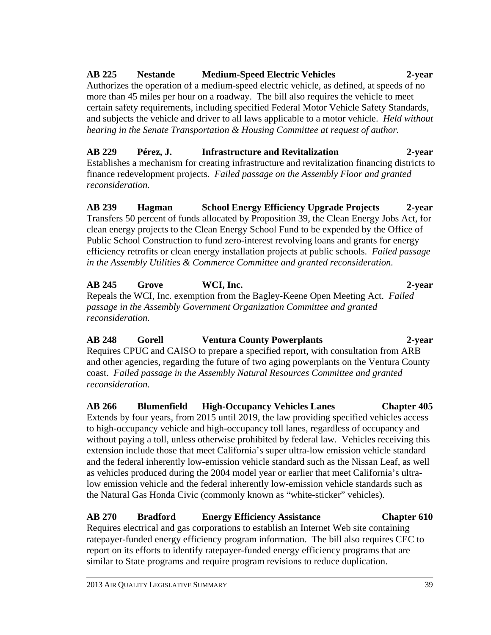#### 2013 AIR QUALITY LEGISLATIVE SUMMARY 39

*reconsideration.* 

# low emission vehicle and the federal inherently low-emission vehicle standards such as the Natural Gas Honda Civic (commonly known as "white-sticker" vehicles).

Requires electrical and gas corporations to establish an Internet Web site containing ratepayer-funded energy efficiency program information. The bill also requires CEC to report on its efforts to identify ratepayer-funded energy efficiency programs that are similar to State programs and require program revisions to reduce duplication.

*reconsideration.* **AB 266 Blumenfield High-Occupancy Vehicles Lanes Chapter 405**  Extends by four years, from 2015 until 2019, the law providing specified vehicles access to high-occupancy vehicle and high-occupancy toll lanes, regardless of occupancy and without paying a toll, unless otherwise prohibited by federal law. Vehicles receiving this extension include those that meet California's super ultra-low emission vehicle standard and the federal inherently low-emission vehicle standard such as the Nissan Leaf, as well as vehicles produced during the 2004 model year or earlier that meet California's ultra-

*passage in the Assembly Government Organization Committee and granted reconsideration.*  **AB 248 Gorell Ventura County Powerplants 2-year**  Requires CPUC and CAISO to prepare a specified report, with consultation from ARB and other agencies, regarding the future of two aging powerplants on the Ventura County coast. *Failed passage in the Assembly Natural Resources Committee and granted* 

**AB 239 Hagman School Energy Efficiency Upgrade Projects 2-year**  Transfers 50 percent of funds allocated by Proposition 39, the Clean Energy Jobs Act, for clean energy projects to the Clean Energy School Fund to be expended by the Office of Public School Construction to fund zero-interest revolving loans and grants for energy efficiency retrofits or clean energy installation projects at public schools. *Failed passage in the Assembly Utilities & Commerce Committee and granted reconsideration.*

**AB 229 Pérez, J. Infrastructure and Revitalization 2-year**  Establishes a mechanism for creating infrastructure and revitalization financing districts to finance redevelopment projects. *Failed passage on the Assembly Floor and granted* 

certain safety requirements, including specified Federal Motor Vehicle Safety Standards, and subjects the vehicle and driver to all laws applicable to a motor vehicle. *Held without hearing in the Senate Transportation & Housing Committee at request of author.* 

more than 45 miles per hour on a roadway. The bill also requires the vehicle to meet

Authorizes the operation of a medium-speed electric vehicle, as defined, at speeds of no

## **AB 225 Nestande Medium-Speed Electric Vehicles 2-year**

**AB 245 Grove WCI, Inc. 2-year**  Repeals the WCI, Inc. exemption from the Bagley-Keene Open Meeting Act. *Failed* 

**AB 270 Bradford Energy Efficiency Assistance Chapter 610**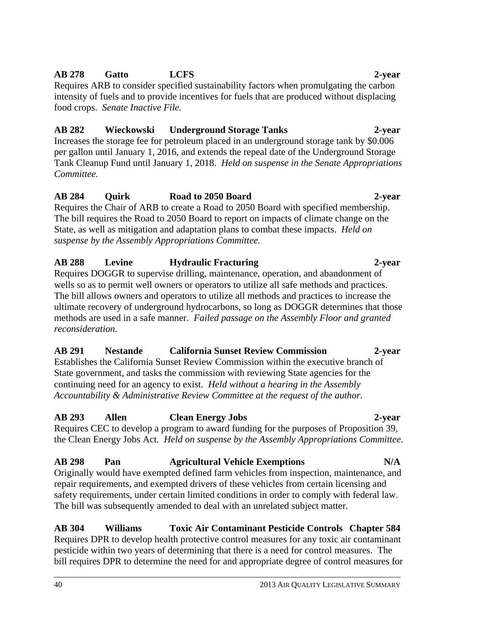#### **AB 278 Gatto LCFS 2-year**

Requires ARB to consider specified sustainability factors when promulgating the carbon intensity of fuels and to provide incentives for fuels that are produced without displacing food crops. *Senate Inactive File.* 

#### **AB 282 Wieckowski Underground Storage Tanks 2-year**

Increases the storage fee for petroleum placed in an underground storage tank by \$0.006 per gallon until January 1, 2016, and extends the repeal date of the Underground Storage Tank Cleanup Fund until January 1, 2018. *Held on suspense in the Senate Appropriations Committee.* 

#### **AB 284 Quirk Road to 2050 Board 2-year**

Requires the Chair of ARB to create a Road to 2050 Board with specified membership. The bill requires the Road to 2050 Board to report on impacts of climate change on the State, as well as mitigation and adaptation plans to combat these impacts. *Held on suspense by the Assembly Appropriations Committee.* 

#### **AB 288 Levine Hydraulic Fracturing 2-year**

Requires DOGGR to supervise drilling, maintenance, operation, and abandonment of wells so as to permit well owners or operators to utilize all safe methods and practices. The bill allows owners and operators to utilize all methods and practices to increase the ultimate recovery of underground hydrocarbons, so long as DOGGR determines that those methods are used in a safe manner. *Failed passage on the Assembly Floor and granted reconsideration.* 

### **AB 291 Nestande California Sunset Review Commission 2-year**

Establishes the California Sunset Review Commission within the executive branch of State government, and tasks the commission with reviewing State agencies for the continuing need for an agency to exist. *Held without a hearing in the Assembly Accountability & Administrative Review Committee at the request of the author.*

### **AB 293 Allen Clean Energy Jobs 2-year**

Requires CEC to develop a program to award funding for the purposes of Proposition 39, the Clean Energy Jobs Act. *Held on suspense by the Assembly Appropriations Committee.*

## AB 298 Pan Agricultural Vehicle Exemptions N/A

Originally would have exempted defined farm vehicles from inspection, maintenance, and repair requirements, and exempted drivers of these vehicles from certain licensing and safety requirements, under certain limited conditions in order to comply with federal law. The bill was subsequently amended to deal with an unrelated subject matter.

#### **AB 304 Williams Toxic Air Contaminant Pesticide Controls Chapter 584**  Requires DPR to develop health protective control measures for any toxic air contaminant pesticide within two years of determining that there is a need for control measures. The bill requires DPR to determine the need for and appropriate degree of control measures for

#### 40 2013 AIR QUALITY LEGISLATIVE SUMMARY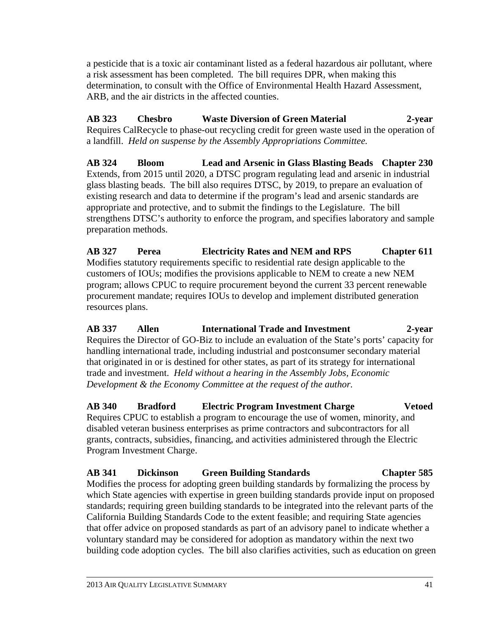a pesticide that is a toxic air contaminant listed as a federal hazardous air pollutant, where a risk assessment has been completed. The bill requires DPR, when making this determination, to consult with the Office of Environmental Health Hazard Assessment, ARB, and the air districts in the affected counties.

**AB 323 Chesbro Waste Diversion of Green Material 2-year**  Requires CalRecycle to phase-out recycling credit for green waste used in the operation of a landfill. *Held on suspense by the Assembly Appropriations Committee.*

**AB 324 Bloom Lead and Arsenic in Glass Blasting Beads Chapter 230**  Extends, from 2015 until 2020, a DTSC program regulating lead and arsenic in industrial glass blasting beads. The bill also requires DTSC, by 2019, to prepare an evaluation of existing research and data to determine if the program's lead and arsenic standards are appropriate and protective, and to submit the findings to the Legislature. The bill strengthens DTSC's authority to enforce the program, and specifies laboratory and sample preparation methods.

**AB 327 Perea Electricity Rates and NEM and RPS Chapter 611**  Modifies statutory requirements specific to residential rate design applicable to the customers of IOUs; modifies the provisions applicable to NEM to create a new NEM program; allows CPUC to require procurement beyond the current 33 percent renewable procurement mandate; requires IOUs to develop and implement distributed generation resources plans.

**AB 337 Allen International Trade and Investment 2-year**  Requires the Director of GO-Biz to include an evaluation of the State's ports' capacity for handling international trade, including industrial and postconsumer secondary material that originated in or is destined for other states, as part of its strategy for international trade and investment. *Held without a hearing in the Assembly Jobs, Economic Development & the Economy Committee at the request of the author.*

**AB 340 Bradford Electric Program Investment Charge Vetoed**  Requires CPUC to establish a program to encourage the use of women, minority, and disabled veteran business enterprises as prime contractors and subcontractors for all grants, contracts, subsidies, financing, and activities administered through the Electric Program Investment Charge.

**AB 341 Dickinson Green Building Standards Chapter 585**  Modifies the process for adopting green building standards by formalizing the process by which State agencies with expertise in green building standards provide input on proposed standards; requiring green building standards to be integrated into the relevant parts of the California Building Standards Code to the extent feasible; and requiring State agencies that offer advice on proposed standards as part of an advisory panel to indicate whether a voluntary standard may be considered for adoption as mandatory within the next two building code adoption cycles. The bill also clarifies activities, such as education on green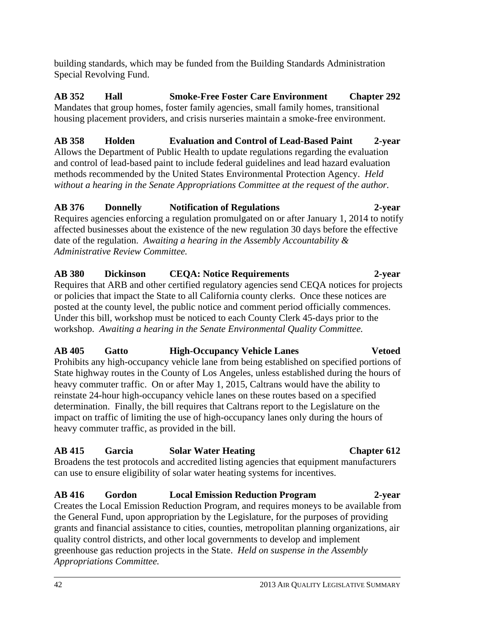building standards, which may be funded from the Building Standards Administration Special Revolving Fund.

**AB 352 Hall Smoke-Free Foster Care Environment Chapter 292**  Mandates that group homes, foster family agencies, small family homes, transitional housing placement providers, and crisis nurseries maintain a smoke-free environment.

#### **AB 358 Holden Evaluation and Control of Lead-Based Paint 2-year**

Allows the Department of Public Health to update regulations regarding the evaluation and control of lead-based paint to include federal guidelines and lead hazard evaluation methods recommended by the United States Environmental Protection Agency. *Held without a hearing in the Senate Appropriations Committee at the request of the author.*

#### **AB 376 Donnelly Notification of Regulations 2-year**

Requires agencies enforcing a regulation promulgated on or after January 1, 2014 to notify affected businesses about the existence of the new regulation 30 days before the effective date of the regulation. *Awaiting a hearing in the Assembly Accountability & Administrative Review Committee.* 

#### **AB 380 Dickinson CEQA: Notice Requirements 2-year**

Requires that ARB and other certified regulatory agencies send CEQA notices for projects or policies that impact the State to all California county clerks. Once these notices are posted at the county level, the public notice and comment period officially commences. Under this bill, workshop must be noticed to each County Clerk 45-days prior to the workshop. *Awaiting a hearing in the Senate Environmental Quality Committee.*

### **AB 405 Gatto High-Occupancy Vehicle Lanes Vetoed**

Prohibits any high-occupancy vehicle lane from being established on specified portions of State highway routes in the County of Los Angeles, unless established during the hours of heavy commuter traffic. On or after May 1, 2015, Caltrans would have the ability to reinstate 24-hour high-occupancy vehicle lanes on these routes based on a specified determination. Finally, the bill requires that Caltrans report to the Legislature on the impact on traffic of limiting the use of high-occupancy lanes only during the hours of heavy commuter traffic, as provided in the bill.

### **AB 415 Garcia Solar Water Heating Chapter 612**

Broadens the test protocols and accredited listing agencies that equipment manufacturers can use to ensure eligibility of solar water heating systems for incentives.

### **AB 416 Gordon Local Emission Reduction Program 2-year**

Creates the Local Emission Reduction Program, and requires moneys to be available from the General Fund, upon appropriation by the Legislature, for the purposes of providing grants and financial assistance to cities, counties, metropolitan planning organizations, air quality control districts, and other local governments to develop and implement greenhouse gas reduction projects in the State. *Held on suspense in the Assembly Appropriations Committee.*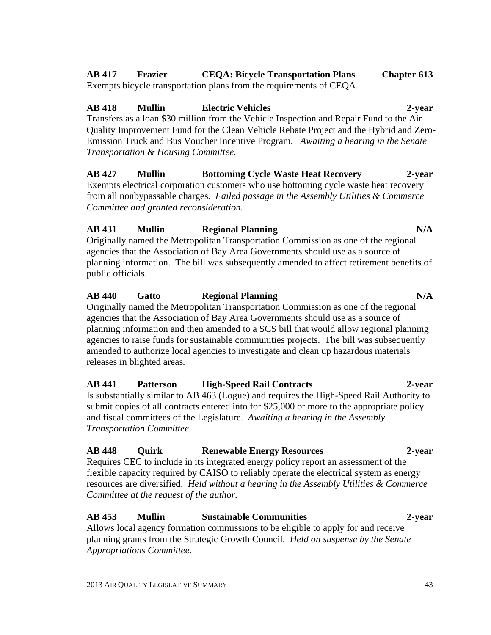### **AB 417 Frazier CEQA: Bicycle Transportation Plans Chapter 613**

Exempts bicycle transportation plans from the requirements of CEQA.

### **AB 418 Mullin Electric Vehicles 2-year**

Transfers as a loan \$30 million from the Vehicle Inspection and Repair Fund to the Air Quality Improvement Fund for the Clean Vehicle Rebate Project and the Hybrid and Zero-Emission Truck and Bus Voucher Incentive Program. *Awaiting a hearing in the Senate Transportation & Housing Committee.* 

**AB 427 Mullin Bottoming Cycle Waste Heat Recovery 2-year**  Exempts electrical corporation customers who use bottoming cycle waste heat recovery from all nonbypassable charges. *Failed passage in the Assembly Utilities & Commerce Committee and granted reconsideration.*

#### **AB 431 Mullin Regional Planning N/A**

Originally named the Metropolitan Transportation Commission as one of the regional agencies that the Association of Bay Area Governments should use as a source of planning information. The bill was subsequently amended to affect retirement benefits of public officials.

#### **AB 440 Gatto Regional Planning N/A**

Originally named the Metropolitan Transportation Commission as one of the regional agencies that the Association of Bay Area Governments should use as a source of planning information and then amended to a SCS bill that would allow regional planning agencies to raise funds for sustainable communities projects. The bill was subsequently amended to authorize local agencies to investigate and clean up hazardous materials releases in blighted areas*.* 

#### **AB 441 Patterson High-Speed Rail Contracts 2-year**  Is substantially similar to AB 463 (Logue) and requires the High-Speed Rail Authority to submit copies of all contracts entered into for \$25,000 or more to the appropriate policy and fiscal committees of the Legislature. *Awaiting a hearing in the Assembly Transportation Committee.*

## **AB 448 Quirk Renewable Energy Resources 2-year**

Requires CEC to include in its integrated energy policy report an assessment of the flexible capacity required by CAISO to reliably operate the electrical system as energy resources are diversified. *Held without a hearing in the Assembly Utilities & Commerce Committee at the request of the author.* 

### **AB 453 Mullin Sustainable Communities 2-year**

Allows local agency formation commissions to be eligible to apply for and receive planning grants from the Strategic Growth Council. *Held on suspense by the Senate Appropriations Committee.*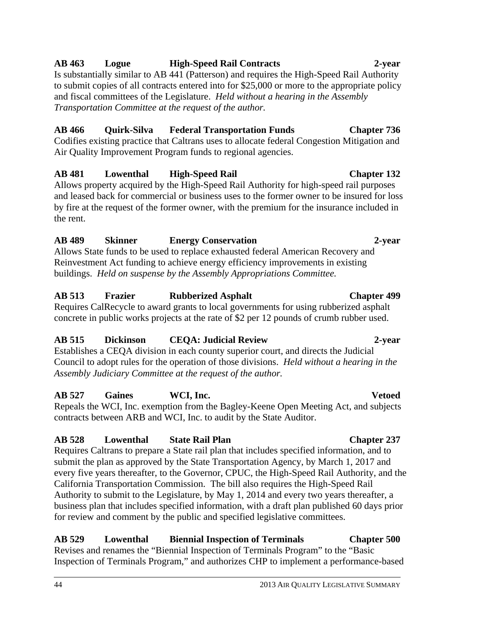#### 44 2013 AIR QUALITY LEGISLATIVE SUMMARY

#### **AB 463 Logue High-Speed Rail Contracts 2-year**

Is substantially similar to AB 441 (Patterson) and requires the High-Speed Rail Authority to submit copies of all contracts entered into for \$25,000 or more to the appropriate policy and fiscal committees of the Legislature. *Held without a hearing in the Assembly Transportation Committee at the request of the author.* 

#### **AB 466 Quirk-Silva Federal Transportation Funds Chapter 736**

Codifies existing practice that Caltrans uses to allocate federal Congestion Mitigation and Air Quality Improvement Program funds to regional agencies.

### **AB 481 Lowenthal High-Speed Rail Chapter 132**

Allows property acquired by the High-Speed Rail Authority for high-speed rail purposes and leased back for commercial or business uses to the former owner to be insured for loss by fire at the request of the former owner, with the premium for the insurance included in the rent.

#### **AB 489 Skinner Energy Conservation 2-year**

Allows State funds to be used to replace exhausted federal American Recovery and Reinvestment Act funding to achieve energy efficiency improvements in existing buildings. *Held on suspense by the Assembly Appropriations Committee.*

### **AB 513 Frazier Rubberized Asphalt Chapter 499**

Requires CalRecycle to award grants to local governments for using rubberized asphalt concrete in public works projects at the rate of \$2 per 12 pounds of crumb rubber used.

### **AB 515 Dickinson CEQA: Judicial Review 2-year**

Establishes a CEQA division in each county superior court, and directs the Judicial Council to adopt rules for the operation of those divisions. *Held without a hearing in the Assembly Judiciary Committee at the request of the author.*

### **AB 527 Gaines WCI, Inc. Vetoed**

Repeals the WCI, Inc. exemption from the Bagley-Keene Open Meeting Act, and subjects contracts between ARB and WCI, Inc. to audit by the State Auditor.

### **AB 528 Lowenthal State Rail Plan Chapter 237**

Requires Caltrans to prepare a State rail plan that includes specified information, and to submit the plan as approved by the State Transportation Agency, by March 1, 2017 and every five years thereafter, to the Governor, CPUC, the High-Speed Rail Authority, and the California Transportation Commission. The bill also requires the High-Speed Rail Authority to submit to the Legislature, by May 1, 2014 and every two years thereafter, a business plan that includes specified information, with a draft plan published 60 days prior for review and comment by the public and specified legislative committees.

**AB 529 Lowenthal Biennial Inspection of Terminals Chapter 500**  Revises and renames the "Biennial Inspection of Terminals Program" to the "Basic Inspection of Terminals Program," and authorizes CHP to implement a performance-based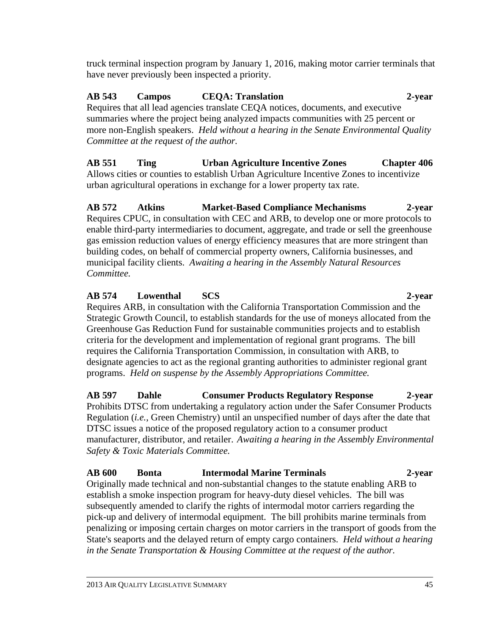truck terminal inspection program by January 1, 2016, making motor carrier terminals that have never previously been inspected a priority.

#### **AB 543 Campos CEQA: Translation 2-year**  Requires that all lead agencies translate CEQA notices, documents, and executive summaries where the project being analyzed impacts communities with 25 percent or more non-English speakers. *Held without a hearing in the Senate Environmental Quality Committee at the request of the author.*

**AB 551 Ting Urban Agriculture Incentive Zones Chapter 406** 

Allows cities or counties to establish Urban Agriculture Incentive Zones to incentivize urban agricultural operations in exchange for a lower property tax rate.

**AB 572 Atkins Market-Based Compliance Mechanisms 2-year**  Requires CPUC, in consultation with CEC and ARB, to develop one or more protocols to enable third-party intermediaries to document, aggregate, and trade or sell the greenhouse gas emission reduction values of energy efficiency measures that are more stringent than building codes, on behalf of commercial property owners, California businesses, and municipal facility clients. *Awaiting a hearing in the Assembly Natural Resources Committee.*

#### **AB 574 Lowenthal SCS 2-year**

Requires ARB, in consultation with the California Transportation Commission and the Strategic Growth Council, to establish standards for the use of moneys allocated from the Greenhouse Gas Reduction Fund for sustainable communities projects and to establish criteria for the development and implementation of regional grant programs. The bill requires the California Transportation Commission, in consultation with ARB, to designate agencies to act as the regional granting authorities to administer regional grant programs. *Held on suspense by the Assembly Appropriations Committee.*

**AB 597 Dahle Consumer Products Regulatory Response 2-year**  Prohibits DTSC from undertaking a regulatory action under the Safer Consumer Products Regulation (*i.e.*, Green Chemistry) until an unspecified number of days after the date that DTSC issues a notice of the proposed regulatory action to a consumer product manufacturer, distributor, and retailer. *Awaiting a hearing in the Assembly Environmental Safety & Toxic Materials Committee.*

**AB 600 Bonta Intermodal Marine Terminals 2-year**  Originally made technical and non-substantial changes to the statute enabling ARB to establish a smoke inspection program for heavy-duty diesel vehicles. The bill was subsequently amended to clarify the rights of intermodal motor carriers regarding the pick-up and delivery of intermodal equipment. The bill prohibits marine terminals from penalizing or imposing certain charges on motor carriers in the transport of goods from the State's seaports and the delayed return of empty cargo containers. *Held without a hearing in the Senate Transportation & Housing Committee at the request of the author.*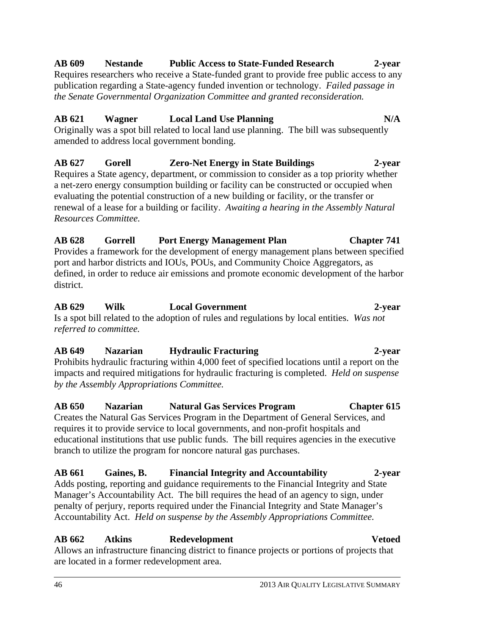#### 46 2013 AIR QUALITY LEGISLATIVE SUMMARY

## **AB 662 Atkins Redevelopment Vetoed**

Allows an infrastructure financing district to finance projects or portions of projects that are located in a former redevelopment area.

**AB 629 Wilk Local Government 2-year**  Is a spot bill related to the adoption of rules and regulations by local entities. *Was not referred to committee.*  **AB 649 Nazarian Hydraulic Fracturing 2-year** 

Prohibits hydraulic fracturing within 4,000 feet of specified locations until a report on the impacts and required mitigations for hydraulic fracturing is completed. *Held on suspense by the Assembly Appropriations Committee.* 

**AB 650 Nazarian Natural Gas Services Program Chapter 615**  Creates the Natural Gas Services Program in the Department of General Services, and requires it to provide service to local governments, and non-profit hospitals and educational institutions that use public funds. The bill requires agencies in the executive branch to utilize the program for noncore natural gas purchases.

**AB 661 Gaines, B. Financial Integrity and Accountability 2-year**  Adds posting, reporting and guidance requirements to the Financial Integrity and State Manager's Accountability Act. The bill requires the head of an agency to sign, under penalty of perjury, reports required under the Financial Integrity and State Manager's Accountability Act. *Held on suspense by the Assembly Appropriations Committee.* 

Provides a framework for the development of energy management plans between specified port and harbor districts and IOUs, POUs, and Community Choice Aggregators, as defined, in order to reduce air emissions and promote economic development of the harbor district.

**AB 628 Gorrell Port Energy Management Plan Chapter 741**

#### evaluating the potential construction of a new building or facility, or the transfer or renewal of a lease for a building or facility. *Awaiting a hearing in the Assembly Natural*

**AB 627 Gorell Zero-Net Energy in State Buildings 2-year**  Requires a State agency, department, or commission to consider as a top priority whether a net-zero energy consumption building or facility can be constructed or occupied when

Originally was a spot bill related to local land use planning. The bill was subsequently

amended to address local government bonding.

*Resources Committee.*

publication regarding a State-agency funded invention or technology. *Failed passage in the Senate Governmental Organization Committee and granted reconsideration.*  **AB 621 Wagner Local Land Use Planning N/A** 

#### **AB 609 Nestande Public Access to State-Funded Research 2-year**  Requires researchers who receive a State-funded grant to provide free public access to any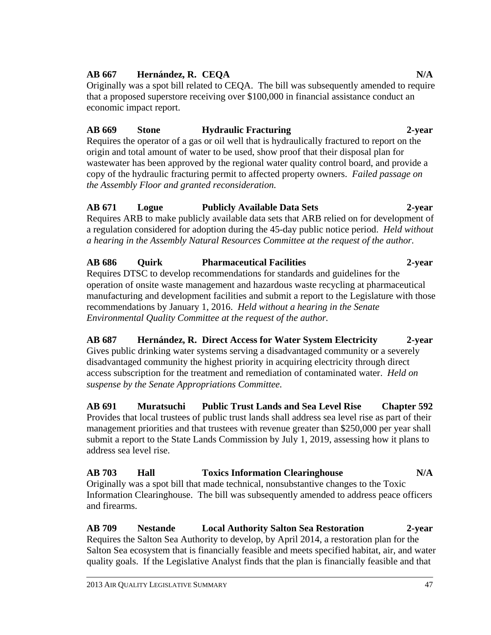#### **AB 667 Hernández, R. CEQA N/A**

Originally was a spot bill related to CEQA. The bill was subsequently amended to require that a proposed superstore receiving over \$100,000 in financial assistance conduct an economic impact report.

## **AB 669 Stone Hydraulic Fracturing 2-year**

Requires the operator of a gas or oil well that is hydraulically fractured to report on the origin and total amount of water to be used, show proof that their disposal plan for wastewater has been approved by the regional water quality control board, and provide a copy of the hydraulic fracturing permit to affected property owners. *Failed passage on the Assembly Floor and granted reconsideration.* 

#### **AB 671 Logue Publicly Available Data Sets 2-year**  Requires ARB to make publicly available data sets that ARB relied on for development of a regulation considered for adoption during the 45-day public notice period. *Held without a hearing in the Assembly Natural Resources Committee at the request of the author.*

**AB 686 Quirk Pharmaceutical Facilities 2-year**  Requires DTSC to develop recommendations for standards and guidelines for the operation of onsite waste management and hazardous waste recycling at pharmaceutical manufacturing and development facilities and submit a report to the Legislature with those recommendations by January 1, 2016. *Held without a hearing in the Senate Environmental Quality Committee at the request of the author.*

**AB 687 Hernández, R. Direct Access for Water System Electricity 2-year**  Gives public drinking water systems serving a disadvantaged community or a severely disadvantaged community the highest priority in acquiring electricity through direct access subscription for the treatment and remediation of contaminated water. *Held on suspense by the Senate Appropriations Committee.*

**AB 691 Muratsuchi Public Trust Lands and Sea Level Rise Chapter 592**  Provides that local trustees of public trust lands shall address sea level rise as part of their management priorities and that trustees with revenue greater than \$250,000 per year shall submit a report to the State Lands Commission by July 1, 2019, assessing how it plans to address sea level rise.

**AB 703 Hall Toxics Information Clearinghouse N/A**  Originally was a spot bill that made technical, nonsubstantive changes to the Toxic Information Clearinghouse. The bill was subsequently amended to address peace officers and firearms.

**AB 709 Nestande Local Authority Salton Sea Restoration 2-year**  Requires the Salton Sea Authority to develop, by April 2014, a restoration plan for the Salton Sea ecosystem that is financially feasible and meets specified habitat, air, and water quality goals. If the Legislative Analyst finds that the plan is financially feasible and that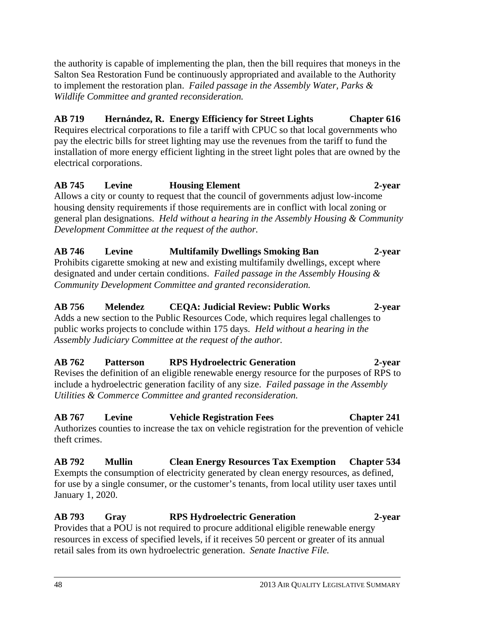the authority is capable of implementing the plan, then the bill requires that moneys in the Salton Sea Restoration Fund be continuously appropriated and available to the Authority to implement the restoration plan. *Failed passage in the Assembly Water, Parks & Wildlife Committee and granted reconsideration.*

#### **AB 719 Hernández, R. Energy Efficiency for Street Lights Chapter 616**  Requires electrical corporations to file a tariff with CPUC so that local governments who pay the electric bills for street lighting may use the revenues from the tariff to fund the installation of more energy efficient lighting in the street light poles that are owned by the electrical corporations.

#### **AB 745 Levine Housing Element 2-year**  Allows a city or county to request that the council of governments adjust low-income housing density requirements if those requirements are in conflict with local zoning or general plan designations. *Held without a hearing in the Assembly Housing & Community Development Committee at the request of the author.*

#### **AB 746 Levine Multifamily Dwellings Smoking Ban 2-year**  Prohibits cigarette smoking at new and existing multifamily dwellings, except where designated and under certain conditions. *Failed passage in the Assembly Housing & Community Development Committee and granted reconsideration.*

#### **AB 756 Melendez CEQA: Judicial Review: Public Works 2-year**  Adds a new section to the Public Resources Code, which requires legal challenges to public works projects to conclude within 175 days. *Held without a hearing in the Assembly Judiciary Committee at the request of the author.*

## **AB 762 Patterson RPS Hydroelectric Generation 2-year**  Revises the definition of an eligible renewable energy resource for the purposes of RPS to

include a hydroelectric generation facility of any size. *Failed passage in the Assembly Utilities & Commerce Committee and granted reconsideration.*

**AB 767 Levine Vehicle Registration Fees Chapter 241**  Authorizes counties to increase the tax on vehicle registration for the prevention of vehicle theft crimes.

**AB 792 Mullin Clean Energy Resources Tax Exemption Chapter 534**  Exempts the consumption of electricity generated by clean energy resources, as defined, for use by a single consumer, or the customer's tenants, from local utility user taxes until January 1, 2020.

**AB 793 Gray RPS Hydroelectric Generation 2-year**  Provides that a POU is not required to procure additional eligible renewable energy resources in excess of specified levels, if it receives 50 percent or greater of its annual retail sales from its own hydroelectric generation. *Senate Inactive File.*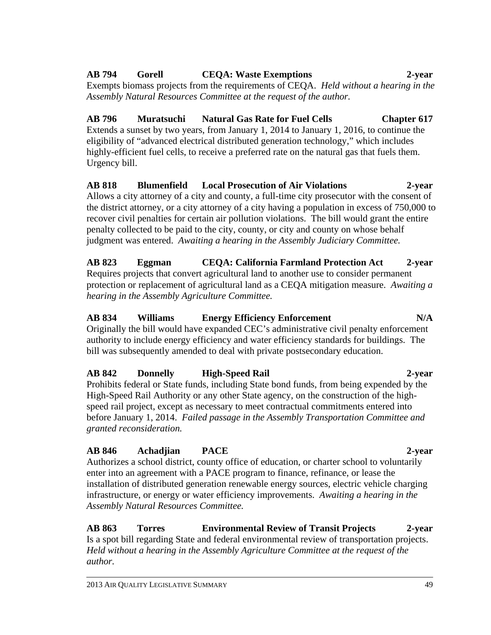#### **AB 794 Gorell CEQA: Waste Exemptions 2-year**

Exempts biomass projects from the requirements of CEQA. *Held without a hearing in the Assembly Natural Resources Committee at the request of the author.* 

#### **AB 796 Muratsuchi Natural Gas Rate for Fuel Cells Chapter 617**  Extends a sunset by two years, from January 1, 2014 to January 1, 2016, to continue the eligibility of "advanced electrical distributed generation technology," which includes highly-efficient fuel cells, to receive a preferred rate on the natural gas that fuels them. Urgency bill.

#### **AB 818 Blumenfield Local Prosecution of Air Violations 2-year**  Allows a city attorney of a city and county, a full-time city prosecutor with the consent of the district attorney, or a city attorney of a city having a population in excess of 750,000 to recover civil penalties for certain air pollution violations. The bill would grant the entire penalty collected to be paid to the city, county, or city and county on whose behalf judgment was entered. *Awaiting a hearing in the Assembly Judiciary Committee.*

#### **AB 823 Eggman CEQA: California Farmland Protection Act 2-year**  Requires projects that convert agricultural land to another use to consider permanent protection or replacement of agricultural land as a CEQA mitigation measure. *Awaiting a hearing in the Assembly Agriculture Committee.*

#### **AB 834 Williams Energy Efficiency Enforcement N/A**  Originally the bill would have expanded CEC's administrative civil penalty enforcement authority to include energy efficiency and water efficiency standards for buildings. The bill was subsequently amended to deal with private postsecondary education.

#### **AB 842 Donnelly High-Speed Rail 2-year**  Prohibits federal or State funds, including State bond funds, from being expended by the High-Speed Rail Authority or any other State agency, on the construction of the highspeed rail project, except as necessary to meet contractual commitments entered into before January 1, 2014. *Failed passage in the Assembly Transportation Committee and granted reconsideration.*

### **AB 846 Achadjian PACE 2-year**

#### Authorizes a school district, county office of education, or charter school to voluntarily enter into an agreement with a PACE program to finance, refinance, or lease the installation of distributed generation renewable energy sources, electric vehicle charging infrastructure, or energy or water efficiency improvements. *Awaiting a hearing in the Assembly Natural Resources Committee.*

#### **AB 863 Torres Environmental Review of Transit Projects 2-year**  Is a spot bill regarding State and federal environmental review of transportation projects. *Held without a hearing in the Assembly Agriculture Committee at the request of the author.*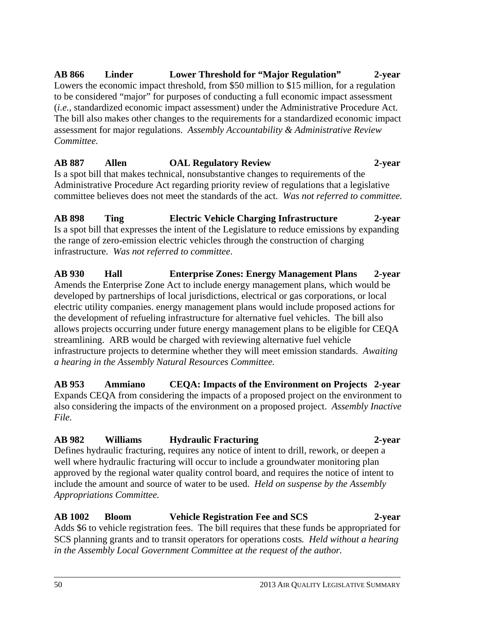**AB 866 Linder Lower Threshold for "Major Regulation" 2-year**  Lowers the economic impact threshold, from \$50 million to \$15 million, for a regulation to be considered "major" for purposes of conducting a full economic impact assessment (*i.e.*, standardized economic impact assessment) under the Administrative Procedure Act. The bill also makes other changes to the requirements for a standardized economic impact assessment for major regulations. *Assembly Accountability & Administrative Review Committee.*

#### **AB 887 Allen OAL Regulatory Review 2-year**

Is a spot bill that makes technical, nonsubstantive changes to requirements of the Administrative Procedure Act regarding priority review of regulations that a legislative committee believes does not meet the standards of the act. *Was not referred to committee.*

**AB 898 Ting Electric Vehicle Charging Infrastructure 2-year**  Is a spot bill that expresses the intent of the Legislature to reduce emissions by expanding the range of zero-emission electric vehicles through the construction of charging infrastructure. *Was not referred to committee*.

**AB 930 Hall Enterprise Zones: Energy Management Plans 2-year**  Amends the Enterprise Zone Act to include energy management plans, which would be developed by partnerships of local jurisdictions, electrical or gas corporations, or local electric utility companies. energy management plans would include proposed actions for the development of refueling infrastructure for alternative fuel vehicles. The bill also allows projects occurring under future energy management plans to be eligible for CEQA streamlining. ARB would be charged with reviewing alternative fuel vehicle infrastructure projects to determine whether they will meet emission standards. *Awaiting a hearing in the Assembly Natural Resources Committee.* 

**AB 953 Ammiano CEQA: Impacts of the Environment on Projects 2-year**  Expands CEQA from considering the impacts of a proposed project on the environment to also considering the impacts of the environment on a proposed project. *Assembly Inactive File.* 

#### **AB 982 Williams Hydraulic Fracturing 2-year**

Defines hydraulic fracturing, requires any notice of intent to drill, rework, or deepen a well where hydraulic fracturing will occur to include a groundwater monitoring plan approved by the regional water quality control board, and requires the notice of intent to include the amount and source of water to be used. *Held on suspense by the Assembly Appropriations Committee.* 

**AB 1002 Bloom Vehicle Registration Fee and SCS 2-year**  Adds \$6 to vehicle registration fees. The bill requires that these funds be appropriated for SCS planning grants and to transit operators for operations costs*. Held without a hearing in the Assembly Local Government Committee at the request of the author.*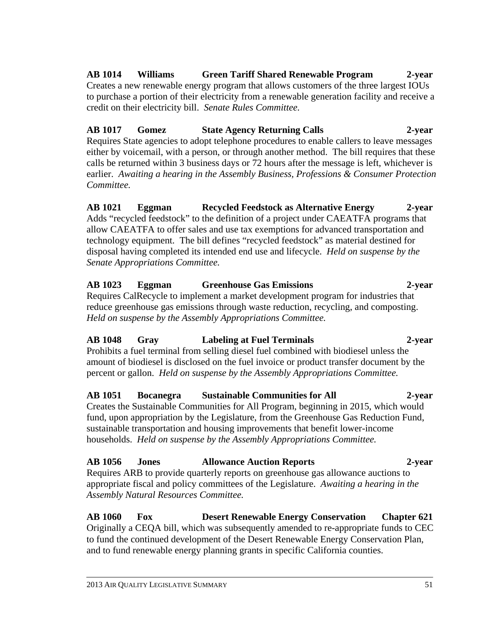#### **AB 1014 Williams Green Tariff Shared Renewable Program 2-year**  Creates a new renewable energy program that allows customers of the three largest IOUs to purchase a portion of their electricity from a renewable generation facility and receive a

credit on their electricity bill. *Senate Rules Committee.* 

## **AB 1017 Gomez State Agency Returning Calls 2-year**

Requires State agencies to adopt telephone procedures to enable callers to leave messages either by voicemail, with a person, or through another method. The bill requires that these calls be returned within 3 business days or 72 hours after the message is left, whichever is earlier. *Awaiting a hearing in the Assembly Business, Professions & Consumer Protection Committee.*

#### **AB 1021 Eggman Recycled Feedstock as Alternative Energy 2-year**  Adds "recycled feedstock" to the definition of a project under CAEATFA programs that allow CAEATFA to offer sales and use tax exemptions for advanced transportation and technology equipment. The bill defines "recycled feedstock" as material destined for disposal having completed its intended end use and lifecycle. *Held on suspense by the Senate Appropriations Committee.*

#### **AB 1023 Eggman Greenhouse Gas Emissions 2-year**  Requires CalRecycle to implement a market development program for industries that reduce greenhouse gas emissions through waste reduction, recycling, and composting. *Held on suspense by the Assembly Appropriations Committee.*

## **AB 1048 Gray Labeling at Fuel Terminals 2-year**

Prohibits a fuel terminal from selling diesel fuel combined with biodiesel unless the amount of biodiesel is disclosed on the fuel invoice or product transfer document by the percent or gallon. *Held on suspense by the Assembly Appropriations Committee.* 

#### **AB 1051 Bocanegra Sustainable Communities for All 2-year**  Creates the Sustainable Communities for All Program, beginning in 2015, which would fund, upon appropriation by the Legislature, from the Greenhouse Gas Reduction Fund, sustainable transportation and housing improvements that benefit lower-income households. *Held on suspense by the Assembly Appropriations Committee.*

#### **AB 1056 Jones Allowance Auction Reports 2-year**  Requires ARB to provide quarterly reports on greenhouse gas allowance auctions to appropriate fiscal and policy committees of the Legislature. *Awaiting a hearing in the Assembly Natural Resources Committee.*

**AB 1060 Fox Desert Renewable Energy Conservation Chapter 621**  Originally a CEQA bill, which was subsequently amended to re-appropriate funds to CEC to fund the continued development of the Desert Renewable Energy Conservation Plan, and to fund renewable energy planning grants in specific California counties.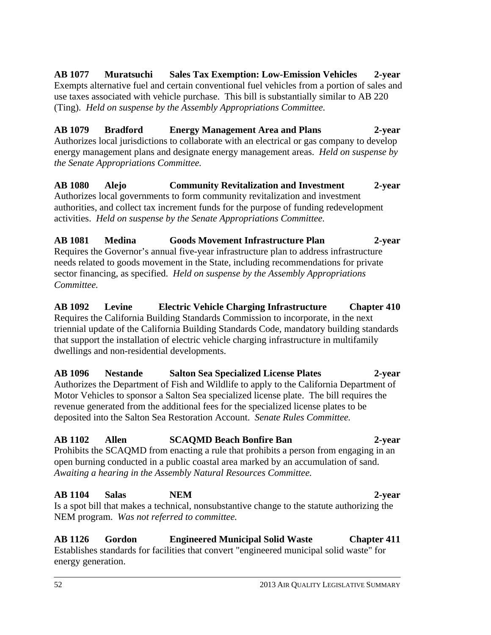**AB 1077 Muratsuchi Sales Tax Exemption: Low-Emission Vehicles 2-year**  Exempts alternative fuel and certain conventional fuel vehicles from a portion of sales and use taxes associated with vehicle purchase. This bill is substantially similar to AB 220 (Ting). *Held on suspense by the Assembly Appropriations Committee.* 

#### **AB 1079 Bradford Energy Management Area and Plans 2-year**  Authorizes local jurisdictions to collaborate with an electrical or gas company to develop energy management plans and designate energy management areas. *Held on suspense by the Senate Appropriations Committee.*

#### **AB 1080 Alejo Community Revitalization and Investment 2-year**  Authorizes local governments to form community revitalization and investment authorities, and collect tax increment funds for the purpose of funding redevelopment activities. *Held on suspense by the Senate Appropriations Committee.*

#### **AB 1081 Medina Goods Movement Infrastructure Plan 2-year**

Requires the Governor's annual five-year infrastructure plan to address infrastructure needs related to goods movement in the State, including recommendations for private sector financing, as specified. *Held on suspense by the Assembly Appropriations Committee.*

#### **AB 1092 Levine Electric Vehicle Charging Infrastructure Chapter 410**

Requires the California Building Standards Commission to incorporate, in the next triennial update of the California Building Standards Code, mandatory building standards that support the installation of electric vehicle charging infrastructure in multifamily dwellings and non-residential developments.

#### **AB 1096 Nestande Salton Sea Specialized License Plates 2-year**

Authorizes the Department of Fish and Wildlife to apply to the California Department of Motor Vehicles to sponsor a Salton Sea specialized license plate. The bill requires the revenue generated from the additional fees for the specialized license plates to be deposited into the Salton Sea Restoration Account. *Senate Rules Committee.*

#### **AB 1102 Allen SCAQMD Beach Bonfire Ban 2-year**

Prohibits the SCAQMD from enacting a rule that prohibits a person from engaging in an open burning conducted in a public coastal area marked by an accumulation of sand. *Awaiting a hearing in the Assembly Natural Resources Committee.* 

### **AB 1104 Salas NEM 2-year**

Is a spot bill that makes a technical, nonsubstantive change to the statute authorizing the NEM program. *Was not referred to committee.* 

#### **AB 1126 Gordon Engineered Municipal Solid Waste Chapter 411**  Establishes standards for facilities that convert "engineered municipal solid waste" for energy generation.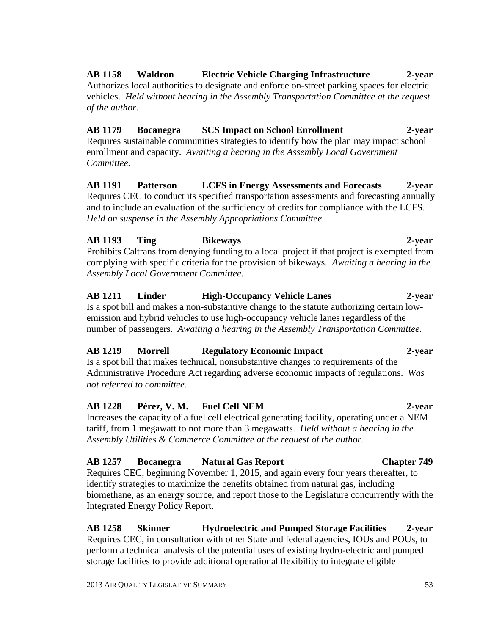#### **AB 1158 Waldron Electric Vehicle Charging Infrastructure 2-year**

Authorizes local authorities to designate and enforce on-street parking spaces for electric vehicles. *Held without hearing in the Assembly Transportation Committee at the request of the author.* 

#### **AB 1179 Bocanegra SCS Impact on School Enrollment 2-year**

Requires sustainable communities strategies to identify how the plan may impact school enrollment and capacity. *Awaiting a hearing in the Assembly Local Government Committee.* 

**AB 1191 Patterson LCFS in Energy Assessments and Forecasts 2-year**  Requires CEC to conduct its specified transportation assessments and forecasting annually and to include an evaluation of the sufficiency of credits for compliance with the LCFS. *Held on suspense in the Assembly Appropriations Committee.* 

#### **AB 1193 Ting Bikeways 2-year**

Prohibits Caltrans from denying funding to a local project if that project is exempted from complying with specific criteria for the provision of bikeways. *Awaiting a hearing in the Assembly Local Government Committee.* 

#### **AB 1211 Linder High-Occupancy Vehicle Lanes 2-year**

Is a spot bill and makes a non-substantive change to the statute authorizing certain lowemission and hybrid vehicles to use high-occupancy vehicle lanes regardless of the number of passengers. *Awaiting a hearing in the Assembly Transportation Committee.* 

#### **AB 1219 Morrell Regulatory Economic Impact 2-year**

Is a spot bill that makes technical, nonsubstantive changes to requirements of the Administrative Procedure Act regarding adverse economic impacts of regulations. *Was not referred to committee*.

#### **AB 1228 Pérez, V. M. Fuel Cell NEM 2-year**

Increases the capacity of a fuel cell electrical generating facility, operating under a NEM tariff, from 1 megawatt to not more than 3 megawatts. *Held without a hearing in the Assembly Utilities & Commerce Committee at the request of the author.* 

#### **AB 1257 Bocanegra Natural Gas Report Chapter 749**

Requires CEC, beginning November 1, 2015, and again every four years thereafter, to identify strategies to maximize the benefits obtained from natural gas, including biomethane, as an energy source, and report those to the Legislature concurrently with the Integrated Energy Policy Report.

#### **AB 1258 Skinner Hydroelectric and Pumped Storage Facilities 2-year**  Requires CEC, in consultation with other State and federal agencies, IOUs and POUs, to perform a technical analysis of the potential uses of existing hydro-electric and pumped storage facilities to provide additional operational flexibility to integrate eligible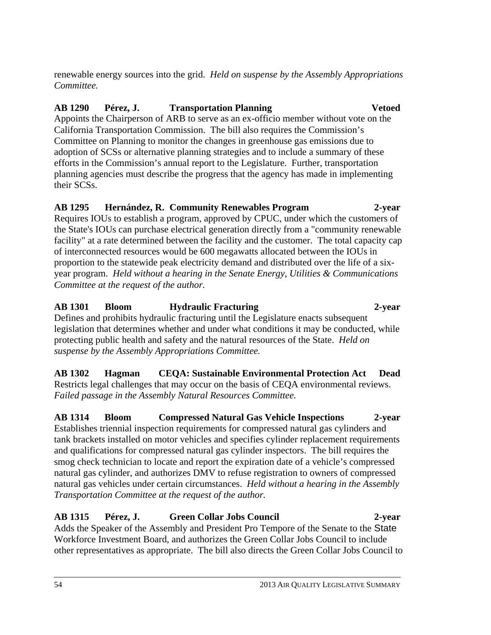renewable energy sources into the grid. *Held on suspense by the Assembly Appropriations Committee.*

#### **AB 1290 Pérez, J. Transportation Planning Vetoed**

Appoints the Chairperson of ARB to serve as an ex-officio member without vote on the California Transportation Commission. The bill also requires the Commission's Committee on Planning to monitor the changes in greenhouse gas emissions due to adoption of SCSs or alternative planning strategies and to include a summary of these efforts in the Commission's annual report to the Legislature. Further, transportation planning agencies must describe the progress that the agency has made in implementing their SCSs.

#### **AB 1295 Hernández, R. Community Renewables Program 2-year**

Requires IOUs to establish a program, approved by CPUC, under which the customers of the State's IOUs can purchase electrical generation directly from a "community renewable facility" at a rate determined between the facility and the customer. The total capacity cap of interconnected resources would be 600 megawatts allocated between the IOUs in proportion to the statewide peak electricity demand and distributed over the life of a sixyear program. *Held without a hearing in the Senate Energy, Utilities & Communications Committee at the request of the author.*

**AB 1301 Bloom Hydraulic Fracturing 2-year**  Defines and prohibits hydraulic fracturing until the Legislature enacts subsequent legislation that determines whether and under what conditions it may be conducted, while protecting public health and safety and the natural resources of the State. *Held on suspense by the Assembly Appropriations Committee.* 

**AB 1302 Hagman CEQA: Sustainable Environmental Protection Act Dead**  Restricts legal challenges that may occur on the basis of CEQA environmental reviews. *Failed passage in the Assembly Natural Resources Committee.*

**AB 1314 Bloom Compressed Natural Gas Vehicle Inspections 2-year** Establishes triennial inspection requirements for compressed natural gas cylinders and tank brackets installed on motor vehicles and specifies cylinder replacement requirements and qualifications for compressed natural gas cylinder inspectors. The bill requires the smog check technician to locate and report the expiration date of a vehicle's compressed natural gas cylinder, and authorizes DMV to refuse registration to owners of compressed natural gas vehicles under certain circumstances. *Held without a hearing in the Assembly Transportation Committee at the request of the author.*

### **AB 1315 Pérez, J. Green Collar Jobs Council 2-year**

Adds the Speaker of the Assembly and President Pro Tempore of the Senate to the State Workforce Investment Board, and authorizes the Green Collar Jobs Council to include other representatives as appropriate. The bill also directs the Green Collar Jobs Council to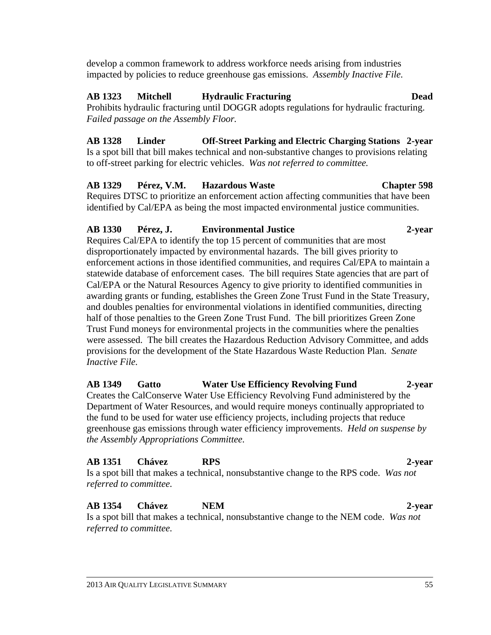develop a common framework to address workforce needs arising from industries impacted by policies to reduce greenhouse gas emissions. *Assembly Inactive File.* 

#### **AB 1323 Mitchell Hydraulic Fracturing Dead**

Prohibits hydraulic fracturing until DOGGR adopts regulations for hydraulic fracturing. *Failed passage on the Assembly Floor.*

**AB 1328 Linder Off-Street Parking and Electric Charging Stations 2-year**  Is a spot bill that bill makes technical and non-substantive changes to provisions relating to off-street parking for electric vehicles. *Was not referred to committee.* 

#### **AB 1329 Pérez, V.M. Hazardous Waste Chapter 598**

Requires DTSC to prioritize an enforcement action affecting communities that have been identified by Cal/EPA as being the most impacted environmental justice communities.

#### **AB 1330 Pérez, J. Environmental Justice 2-year**

Requires Cal/EPA to identify the top 15 percent of communities that are most disproportionately impacted by environmental hazards. The bill gives priority to enforcement actions in those identified communities, and requires Cal/EPA to maintain a statewide database of enforcement cases. The bill requires State agencies that are part of Cal/EPA or the Natural Resources Agency to give priority to identified communities in awarding grants or funding, establishes the Green Zone Trust Fund in the State Treasury, and doubles penalties for environmental violations in identified communities, directing half of those penalties to the Green Zone Trust Fund. The bill prioritizes Green Zone Trust Fund moneys for environmental projects in the communities where the penalties were assessed. The bill creates the Hazardous Reduction Advisory Committee, and adds provisions for the development of the State Hazardous Waste Reduction Plan. *Senate Inactive File.*

#### **AB 1349 Gatto Water Use Efficiency Revolving Fund 2-year**  Creates the CalConserve Water Use Efficiency Revolving Fund administered by the Department of Water Resources, and would require moneys continually appropriated to the fund to be used for water use efficiency projects, including projects that reduce greenhouse gas emissions through water efficiency improvements. *Held on suspense by the Assembly Appropriations Committee.*

#### **AB 1351 Chávez RPS 2-year**

Is a spot bill that makes a technical, nonsubstantive change to the RPS code. *Was not referred to committee.* 

#### **AB 1354 Chávez NEM 2-year**

Is a spot bill that makes a technical, nonsubstantive change to the NEM code. *Was not referred to committee.*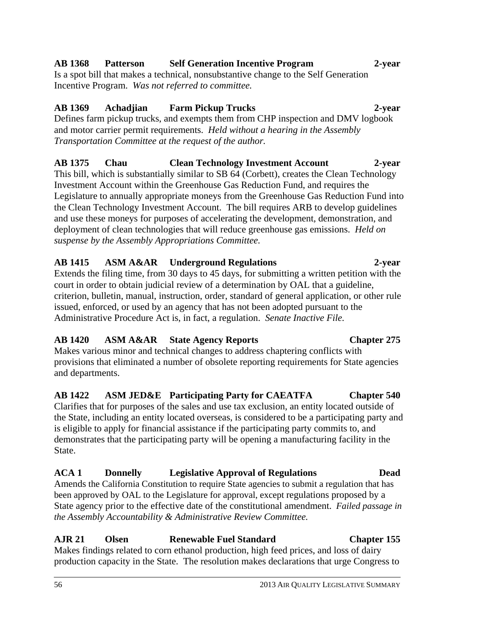# **AB 1368 Patterson Self Generation Incentive Program 2-year**

Is a spot bill that makes a technical, nonsubstantive change to the Self Generation Incentive Program. *Was not referred to committee.* 

## **AB 1369 Achadjian Farm Pickup Trucks 2-year**

Defines farm pickup trucks, and exempts them from CHP inspection and DMV logbook and motor carrier permit requirements. *Held without a hearing in the Assembly Transportation Committee at the request of the author.*

# **AB 1375 Chau Clean Technology Investment Account 2-year**

This bill, which is substantially similar to SB 64 (Corbett), creates the Clean Technology Investment Account within the Greenhouse Gas Reduction Fund, and requires the Legislature to annually appropriate moneys from the Greenhouse Gas Reduction Fund into the Clean Technology Investment Account. The bill requires ARB to develop guidelines and use these moneys for purposes of accelerating the development, demonstration, and deployment of clean technologies that will reduce greenhouse gas emissions. *Held on suspense by the Assembly Appropriations Committee.*

## **AB 1415 ASM A&AR Underground Regulations 2-year**

Extends the filing time, from 30 days to 45 days, for submitting a written petition with the court in order to obtain judicial review of a determination by OAL that a guideline, criterion, bulletin, manual, instruction, order, standard of general application, or other rule issued, enforced, or used by an agency that has not been adopted pursuant to the Administrative Procedure Act is, in fact, a regulation. *Senate Inactive File.*

## **AB 1420 ASM A&AR State Agency Reports Chapter 275**

Makes various minor and technical changes to address chaptering conflicts with provisions that eliminated a number of obsolete reporting requirements for State agencies and departments.

## **AB 1422 ASM JED&E Participating Party for CAEATFA Chapter 540**

Clarifies that for purposes of the sales and use tax exclusion, an entity located outside of the State, including an entity located overseas, is considered to be a participating party and is eligible to apply for financial assistance if the participating party commits to, and demonstrates that the participating party will be opening a manufacturing facility in the State.

## **ACA 1 Donnelly Legislative Approval of Regulations Dead**

Amends the California Constitution to require State agencies to submit a regulation that has been approved by OAL to the Legislature for approval, except regulations proposed by a State agency prior to the effective date of the constitutional amendment. *Failed passage in the Assembly Accountability & Administrative Review Committee.*

# **AJR 21 Olsen Renewable Fuel Standard Chapter 155**

Makes findings related to corn ethanol production, high feed prices, and loss of dairy production capacity in the State. The resolution makes declarations that urge Congress to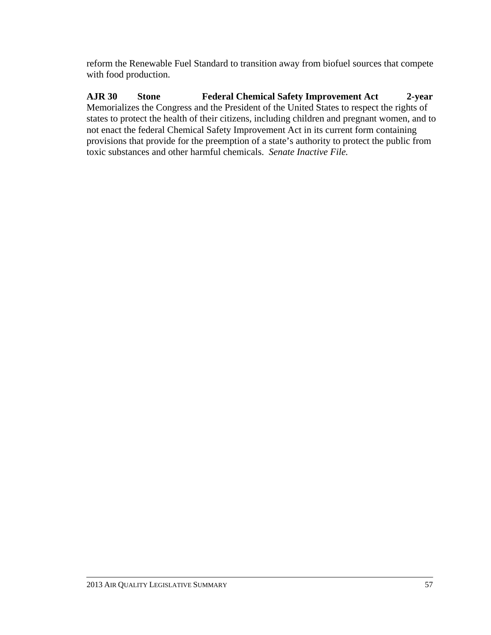reform the Renewable Fuel Standard to transition away from biofuel sources that compete with food production.

**AJR 30 Stone Federal Chemical Safety Improvement Act 2-year**  Memorializes the Congress and the President of the United States to respect the rights of states to protect the health of their citizens, including children and pregnant women, and to not enact the federal Chemical Safety Improvement Act in its current form containing provisions that provide for the preemption of a state's authority to protect the public from toxic substances and other harmful chemicals. *Senate Inactive File.*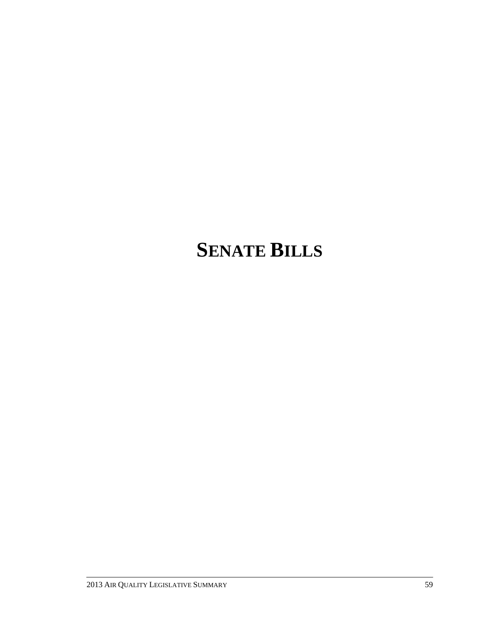# **SENATE BILLS**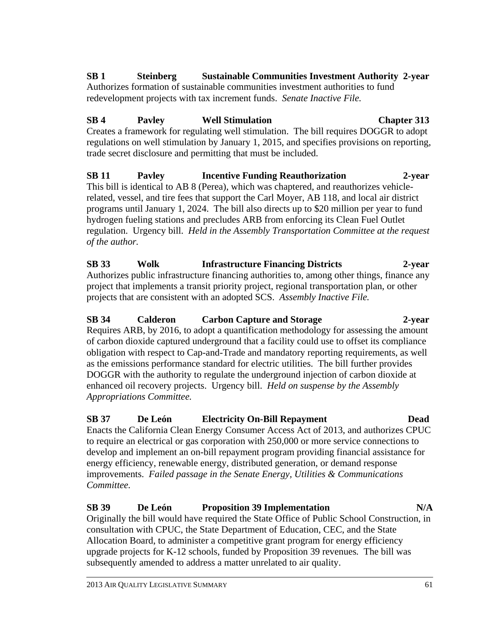#### **SB 1 Steinberg Sustainable Communities Investment Authority 2-year**  Authorizes formation of sustainable communities investment authorities to fund redevelopment projects with tax increment funds. *Senate Inactive File.*

### **SB 4 Pavley Well Stimulation Chapter 313**

Creates a framework for regulating well stimulation. The bill requires DOGGR to adopt regulations on well stimulation by January 1, 2015, and specifies provisions on reporting, trade secret disclosure and permitting that must be included.

**SB 11 Pavley Incentive Funding Reauthorization 2-year**  This bill is identical to AB 8 (Perea), which was chaptered, and reauthorizes vehiclerelated, vessel, and tire fees that support the Carl Moyer, AB 118, and local air district programs until January 1, 2024. The bill also directs up to \$20 million per year to fund hydrogen fueling stations and precludes ARB from enforcing its Clean Fuel Outlet regulation. Urgency bill. *Held in the Assembly Transportation Committee at the request of the author.* 

### **SB 33 Wolk Infrastructure Financing Districts 2-year**

Authorizes public infrastructure financing authorities to, among other things, finance any project that implements a transit priority project, regional transportation plan, or other projects that are consistent with an adopted SCS. *Assembly Inactive File.* 

#### **SB 34 Calderon Carbon Capture and Storage 2-year**

Requires ARB, by 2016, to adopt a quantification methodology for assessing the amount of carbon dioxide captured underground that a facility could use to offset its compliance obligation with respect to Cap-and-Trade and mandatory reporting requirements, as well as the emissions performance standard for electric utilities. The bill further provides DOGGR with the authority to regulate the underground injection of carbon dioxide at enhanced oil recovery projects. Urgency bill. *Held on suspense by the Assembly Appropriations Committee.*

### **SB 37 De León Electricity On-Bill Repayment Dead**

Enacts the California Clean Energy Consumer Access Act of 2013, and authorizes CPUC to require an electrical or gas corporation with 250,000 or more service connections to develop and implement an on-bill repayment program providing financial assistance for energy efficiency, renewable energy, distributed generation, or demand response improvements. *Failed passage in the Senate Energy, Utilities & Communications Committee.* 

#### **SB 39 De León Proposition 39 Implementation N/A**

Originally the bill would have required the State Office of Public School Construction, in consultation with CPUC, the State Department of Education, CEC, and the State Allocation Board, to administer a competitive grant program for energy efficiency upgrade projects for K-12 schools, funded by Proposition 39 revenues*.* The bill was subsequently amended to address a matter unrelated to air quality.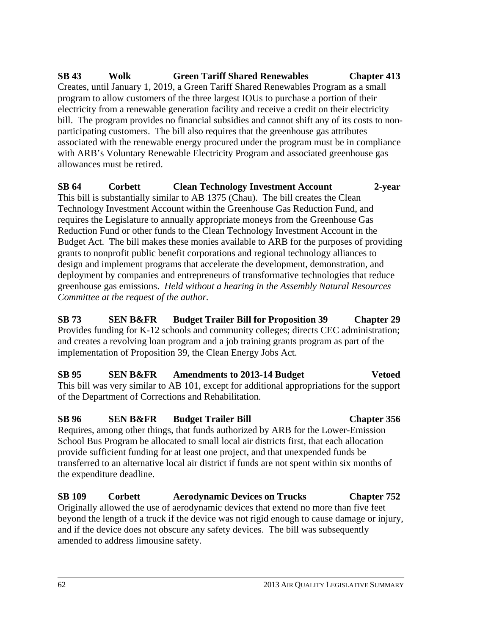**SB 43 Wolk Green Tariff Shared Renewables Chapter 413**  Creates, until January 1, 2019, a Green Tariff Shared Renewables Program as a small program to allow customers of the three largest IOUs to purchase a portion of their electricity from a renewable generation facility and receive a credit on their electricity bill. The program provides no financial subsidies and cannot shift any of its costs to nonparticipating customers. The bill also requires that the greenhouse gas attributes associated with the renewable energy procured under the program must be in compliance with ARB's Voluntary Renewable Electricity Program and associated greenhouse gas allowances must be retired.

**SB 64 Corbett Clean Technology Investment Account 2-year**  This bill is substantially similar to AB 1375 (Chau). The bill creates the Clean Technology Investment Account within the Greenhouse Gas Reduction Fund, and requires the Legislature to annually appropriate moneys from the Greenhouse Gas Reduction Fund or other funds to the Clean Technology Investment Account in the Budget Act. The bill makes these monies available to ARB for the purposes of providing grants to nonprofit public benefit corporations and regional technology alliances to design and implement programs that accelerate the development, demonstration, and deployment by companies and entrepreneurs of transformative technologies that reduce greenhouse gas emissions. *Held without a hearing in the Assembly Natural Resources Committee at the request of the author.*

**SB 73 SEN B&FR Budget Trailer Bill for Proposition 39 Chapter 29**  Provides funding for K-12 schools and community colleges; directs CEC administration; and creates a revolving loan program and a job training grants program as part of the implementation of Proposition 39, the Clean Energy Jobs Act.

**SB 95 SEN B&FR Amendments to 2013-14 Budget Vetoed**  This bill was very similar to AB 101, except for additional appropriations for the support of the Department of Corrections and Rehabilitation.

**SB 96 SEN B&FR Budget Trailer Bill Chapter 356**  Requires, among other things, that funds authorized by ARB for the Lower-Emission School Bus Program be allocated to small local air districts first, that each allocation provide sufficient funding for at least one project, and that unexpended funds be transferred to an alternative local air district if funds are not spent within six months of the expenditure deadline.

**SB 109 Corbett Aerodynamic Devices on Trucks Chapter 752**  Originally allowed the use of aerodynamic devices that extend no more than five feet beyond the length of a truck if the device was not rigid enough to cause damage or injury, and if the device does not obscure any safety devices. The bill was subsequently amended to address limousine safety.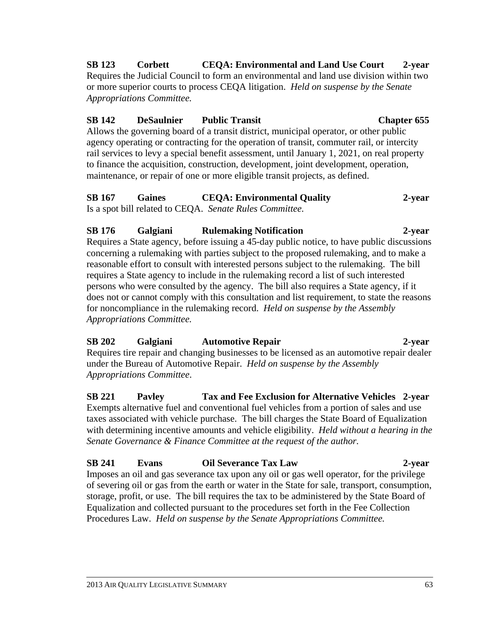**SB 123 Corbett CEQA: Environmental and Land Use Court 2-year**  Requires the Judicial Council to form an environmental and land use division within two or more superior courts to process CEQA litigation. *Held on suspense by the Senate Appropriations Committee.* 

#### **SB 142 DeSaulnier Public Transit Chapter 655**

Allows the governing board of a transit district, municipal operator, or other public agency operating or contracting for the operation of transit, commuter rail, or intercity rail services to levy a special benefit assessment, until January 1, 2021, on real property to finance the acquisition, construction, development, joint development, operation, maintenance, or repair of one or more eligible transit projects, as defined.

#### **SB 167 Gaines CEQA: Environmental Quality 2-year**  Is a spot bill related to CEQA. *Senate Rules Committee.*

#### **SB 176 Galgiani Rulemaking Notification 2-year**

Requires a State agency, before issuing a 45-day public notice, to have public discussions concerning a rulemaking with parties subject to the proposed rulemaking, and to make a reasonable effort to consult with interested persons subject to the rulemaking. The bill requires a State agency to include in the rulemaking record a list of such interested persons who were consulted by the agency. The bill also requires a State agency, if it does not or cannot comply with this consultation and list requirement, to state the reasons for noncompliance in the rulemaking record. *Held on suspense by the Assembly Appropriations Committee.*

## **SB 202 Galgiani Automotive Repair 2-year**

Requires tire repair and changing businesses to be licensed as an automotive repair dealer under the Bureau of Automotive Repair. *Held on suspense by the Assembly Appropriations Committee*.

**SB 221 Pavley Tax and Fee Exclusion for Alternative Vehicles 2-year**  Exempts alternative fuel and conventional fuel vehicles from a portion of sales and use taxes associated with vehicle purchase. The bill charges the State Board of Equalization with determining incentive amounts and vehicle eligibility. *Held without a hearing in the Senate Governance & Finance Committee at the request of the author.* 

#### **SB 241 Evans Oil Severance Tax Law 2-year**

Imposes an oil and gas severance tax upon any oil or gas well operator, for the privilege of severing oil or gas from the earth or water in the State for sale, transport, consumption, storage, profit, or use. The bill requires the tax to be administered by the State Board of Equalization and collected pursuant to the procedures set forth in the Fee Collection Procedures Law. *Held on suspense by the Senate Appropriations Committee.*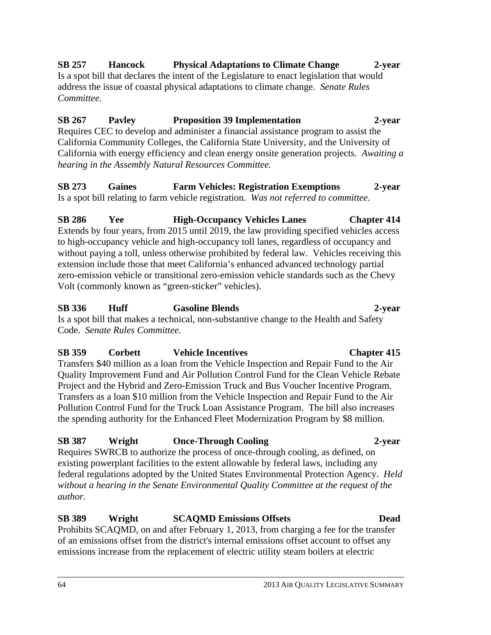### **SB 257 Hancock Physical Adaptations to Climate Change 2-year**

Is a spot bill that declares the intent of the Legislature to enact legislation that would address the issue of coastal physical adaptations to climate change. *Senate Rules Committee.* 

## **SB 267 Pavley Proposition 39 Implementation 2-year**

Requires CEC to develop and administer a financial assistance program to assist the California Community Colleges, the California State University, and the University of California with energy efficiency and clean energy onsite generation projects. *Awaiting a hearing in the Assembly Natural Resources Committee.*

## **SB 273 Gaines Farm Vehicles: Registration Exemptions 2-year**

Is a spot bill relating to farm vehicle registration. *Was not referred to committee.* 

#### **SB 286 Yee High-Occupancy Vehicles Lanes Chapter 414**  Extends by four years, from 2015 until 2019, the law providing specified vehicles access to high-occupancy vehicle and high-occupancy toll lanes, regardless of occupancy and without paying a toll, unless otherwise prohibited by federal law. Vehicles receiving this extension include those that meet California's enhanced advanced technology partial zero-emission vehicle or transitional zero-emission vehicle standards such as the Chevy Volt (commonly known as "green-sticker" vehicles).

## **SB 336 Huff Gasoline Blends 2-year**

Is a spot bill that makes a technical, non-substantive change to the Health and Safety Code. *Senate Rules Committee.*

## **SB 359 Corbett Vehicle Incentives Chapter 415**

Transfers \$40 million as a loan from the Vehicle Inspection and Repair Fund to the Air Quality Improvement Fund and Air Pollution Control Fund for the Clean Vehicle Rebate Project and the Hybrid and Zero-Emission Truck and Bus Voucher Incentive Program. Transfers as a loan \$10 million from the Vehicle Inspection and Repair Fund to the Air Pollution Control Fund for the Truck Loan Assistance Program. The bill also increases the spending authority for the Enhanced Fleet Modernization Program by \$8 million.

## **SB 387 Wright Once-Through Cooling 2-year**

Requires SWRCB to authorize the process of once-through cooling, as defined, on existing powerplant facilities to the extent allowable by federal laws, including any federal regulations adopted by the United States Environmental Protection Agency. *Held without a hearing in the Senate Environmental Quality Committee at the request of the author.*

## **SB 389 Wright SCAQMD Emissions Offsets Dead**

Prohibits SCAQMD, on and after February 1, 2013, from charging a fee for the transfer of an emissions offset from the district's internal emissions offset account to offset any emissions increase from the replacement of electric utility steam boilers at electric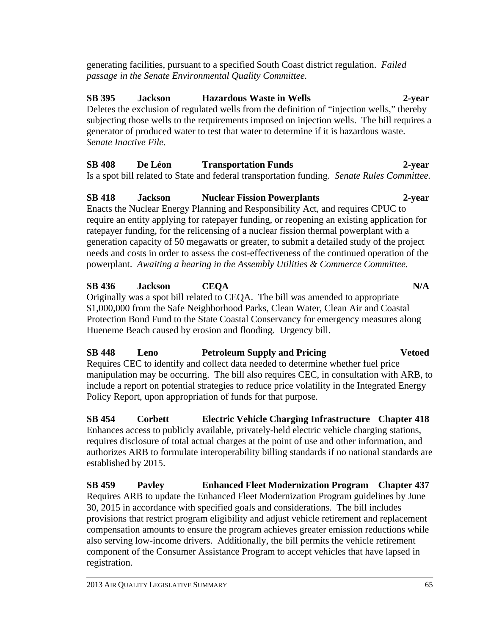generating facilities, pursuant to a specified South Coast district regulation. *Failed passage in the Senate Environmental Quality Committee.*

## **SB 395 Jackson Hazardous Waste in Wells 2-year**  Deletes the exclusion of regulated wells from the definition of "injection wells," thereby subjecting those wells to the requirements imposed on injection wells. The bill requires a generator of produced water to test that water to determine if it is hazardous waste. *Senate Inactive File.*

# **SB 408 De Léon Transportation Funds 2-year**

Is a spot bill related to State and federal transportation funding. *Senate Rules Committee.* 

# **SB 418 Jackson Nuclear Fission Powerplants 2-year**  Enacts the Nuclear Energy Planning and Responsibility Act, and requires CPUC to require an entity applying for ratepayer funding, or reopening an existing application for ratepayer funding, for the relicensing of a nuclear fission thermal powerplant with a generation capacity of 50 megawatts or greater, to submit a detailed study of the project needs and costs in order to assess the cost-effectiveness of the continued operation of the powerplant. *Awaiting a hearing in the Assembly Utilities & Commerce Committee.*

# **SB 436 Jackson CEQA N/A**

Originally was a spot bill related to CEQA. The bill was amended to appropriate \$1,000,000 from the Safe Neighborhood Parks, Clean Water, Clean Air and Coastal Protection Bond Fund to the State Coastal Conservancy for emergency measures along Hueneme Beach caused by erosion and flooding. Urgency bill.

## **SB 448 Leno Petroleum Supply and Pricing Vetoed**  Requires CEC to identify and collect data needed to determine whether fuel price manipulation may be occurring. The bill also requires CEC, in consultation with ARB, to include a report on potential strategies to reduce price volatility in the Integrated Energy Policy Report, upon appropriation of funds for that purpose.

**SB 454 Corbett Electric Vehicle Charging Infrastructure Chapter 418**  Enhances access to publicly available, privately-held electric vehicle charging stations, requires disclosure of total actual charges at the point of use and other information, and authorizes ARB to formulate interoperability billing standards if no national standards are established by 2015.

**SB 459 Pavley Enhanced Fleet Modernization Program Chapter 437**  Requires ARB to update the Enhanced Fleet Modernization Program guidelines by June 30, 2015 in accordance with specified goals and considerations. The bill includes provisions that restrict program eligibility and adjust vehicle retirement and replacement compensation amounts to ensure the program achieves greater emission reductions while also serving low-income drivers. Additionally, the bill permits the vehicle retirement component of the Consumer Assistance Program to accept vehicles that have lapsed in registration.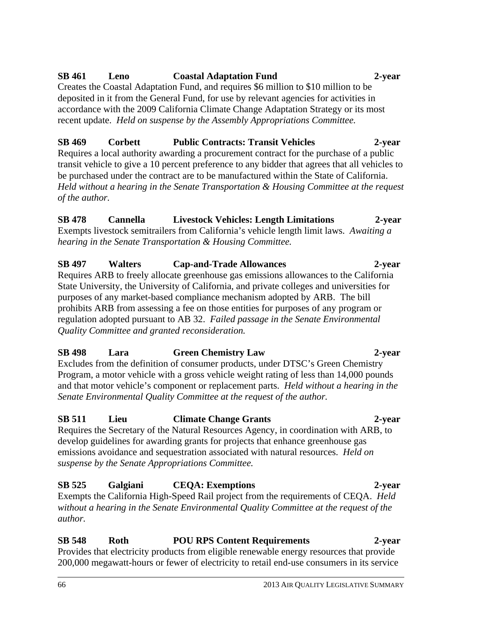# **SB 461 Leno Coastal Adaptation Fund 2-year**

Creates the Coastal Adaptation Fund, and requires \$6 million to \$10 million to be deposited in it from the General Fund, for use by relevant agencies for activities in accordance with the 2009 California Climate Change Adaptation Strategy or its most recent update. *Held on suspense by the Assembly Appropriations Committee.*

# **SB 469 Corbett Public Contracts: Transit Vehicles 2-year**

Requires a local authority awarding a procurement contract for the purchase of a public transit vehicle to give a 10 percent preference to any bidder that agrees that all vehicles to be purchased under the contract are to be manufactured within the State of California. *Held without a hearing in the Senate Transportation & Housing Committee at the request of the author.* 

# **SB 478 Cannella Livestock Vehicles: Length Limitations 2-year**

Exempts livestock semitrailers from California's vehicle length limit laws. *Awaiting a hearing in the Senate Transportation & Housing Committee.* 

# **SB 497 Walters Cap-and-Trade Allowances 2-year**

Requires ARB to freely allocate greenhouse gas emissions allowances to the California State University, the University of California, and private colleges and universities for purposes of any market-based compliance mechanism adopted by ARB. The bill prohibits ARB from assessing a fee on those entities for purposes of any program or regulation adopted pursuant to AB 32. *Failed passage in the Senate Environmental Quality Committee and granted reconsideration.* 

# **SB 498 Lara Green Chemistry Law 2-year**

Excludes from the definition of consumer products, under DTSC's Green Chemistry Program, a motor vehicle with a gross vehicle weight rating of less than 14,000 pounds and that motor vehicle's component or replacement parts. *Held without a hearing in the Senate Environmental Quality Committee at the request of the author.*

# **SB 511 Lieu Climate Change Grants 2-year**

Requires the Secretary of the Natural Resources Agency, in coordination with ARB, to develop guidelines for awarding grants for projects that enhance greenhouse gas emissions avoidance and sequestration associated with natural resources. *Held on suspense by the Senate Appropriations Committee.* 

## **SB 525 Galgiani CEQA: Exemptions 2-year**  Exempts the California High-Speed Rail project from the requirements of CEQA. *Held without a hearing in the Senate Environmental Quality Committee at the request of the*

**SB 548 Roth POU RPS Content Requirements 2-year**  Provides that electricity products from eligible renewable energy resources that provide 200,000 megawatt-hours or fewer of electricity to retail end-use consumers in its service

## 66 2013 AIR QUALITY LEGISLATIVE SUMMARY

*author.*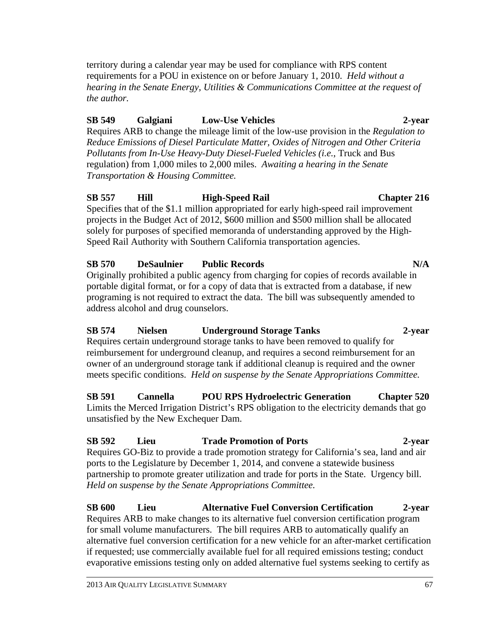territory during a calendar year may be used for compliance with RPS content requirements for a POU in existence on or before January 1, 2010. *Held without a hearing in the Senate Energy, Utilities & Communications Committee at the request of the author.*

# **SB 549 Galgiani Low-Use Vehicles 2-year**

Requires ARB to change the mileage limit of the low-use provision in the *Regulation to Reduce Emissions of Diesel Particulate Matter, Oxides of Nitrogen and Other Criteria Pollutants from In-Use Heavy-Duty Diesel-Fueled Vehicles (i.e.*, Truck and Bus regulation) from 1,000 miles to 2,000 miles. *Awaiting a hearing in the Senate Transportation & Housing Committee.* 

# **SB 557 Hill High-Speed Rail Chapter 216**

Specifies that of the \$1.1 million appropriated for early high-speed rail improvement projects in the Budget Act of 2012, \$600 million and \$500 million shall be allocated solely for purposes of specified memoranda of understanding approved by the High-Speed Rail Authority with Southern California transportation agencies.

# **SB 570 DeSaulnier Public Records N/A**  Originally prohibited a public agency from charging for copies of records available in portable digital format, or for a copy of data that is extracted from a database, if new programing is not required to extract the data. The bill was subsequently amended to address alcohol and drug counselors.

## **SB 574 Nielsen Underground Storage Tanks 2-year**  Requires certain underground storage tanks to have been removed to qualify for reimbursement for underground cleanup, and requires a second reimbursement for an

owner of an underground storage tank if additional cleanup is required and the owner meets specific conditions. *Held on suspense by the Senate Appropriations Committee.* 

**SB 591 Cannella POU RPS Hydroelectric Generation Chapter 520**  Limits the Merced Irrigation District's RPS obligation to the electricity demands that go unsatisfied by the New Exchequer Dam.

# **SB 592 Lieu Trade Promotion of Ports 2-year**

Requires GO-Biz to provide a trade promotion strategy for California's sea, land and air ports to the Legislature by December 1, 2014, and convene a statewide business partnership to promote greater utilization and trade for ports in the State. Urgency bill. *Held on suspense by the Senate Appropriations Committee.*

**SB 600 Lieu Alternative Fuel Conversion Certification 2-year**  Requires ARB to make changes to its alternative fuel conversion certification program for small volume manufacturers. The bill requires ARB to automatically qualify an alternative fuel conversion certification for a new vehicle for an after-market certification if requested; use commercially available fuel for all required emissions testing; conduct evaporative emissions testing only on added alternative fuel systems seeking to certify as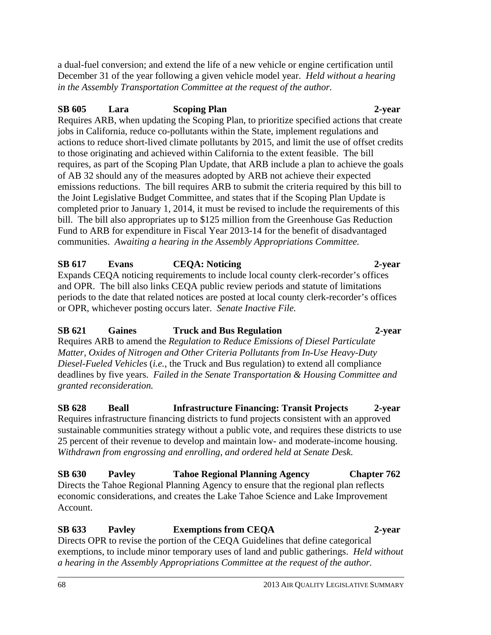a dual-fuel conversion; and extend the life of a new vehicle or engine certification until December 31 of the year following a given vehicle model year. *Held without a hearing in the Assembly Transportation Committee at the request of the author.*

# **SB 605 Lara Scoping Plan 2-year**

Requires ARB, when updating the Scoping Plan, to prioritize specified actions that create jobs in California, reduce co-pollutants within the State, implement regulations and actions to reduce short-lived climate pollutants by 2015, and limit the use of offset credits to those originating and achieved within California to the extent feasible. The bill requires, as part of the Scoping Plan Update, that ARB include a plan to achieve the goals of AB 32 should any of the measures adopted by ARB not achieve their expected emissions reductions. The bill requires ARB to submit the criteria required by this bill to the Joint Legislative Budget Committee, and states that if the Scoping Plan Update is completed prior to January 1, 2014, it must be revised to include the requirements of this bill. The bill also appropriates up to \$125 million from the Greenhouse Gas Reduction Fund to ARB for expenditure in Fiscal Year 2013-14 for the benefit of disadvantaged communities. *Awaiting a hearing in the Assembly Appropriations Committee.* 

# **SB 617 Evans CEQA: Noticing 2-year**

Expands CEQA noticing requirements to include local county clerk-recorder's offices and OPR. The bill also links CEQA public review periods and statute of limitations periods to the date that related notices are posted at local county clerk-recorder's offices or OPR, whichever posting occurs later. *Senate Inactive File.*

# **SB 621 Gaines Truck and Bus Regulation 2-year**

Requires ARB to amend the *Regulation to Reduce Emissions of Diesel Particulate Matter, Oxides of Nitrogen and Other Criteria Pollutants from In-Use Heavy-Duty Diesel-Fueled Vehicles* (*i.e.*, the Truck and Bus regulation) to extend all compliance deadlines by five years. *Failed in the Senate Transportation & Housing Committee and granted reconsideration.*

**SB 628 Beall Infrastructure Financing: Transit Projects 2-year**  Requires infrastructure financing districts to fund projects consistent with an approved sustainable communities strategy without a public vote, and requires these districts to use

25 percent of their revenue to develop and maintain low- and moderate-income housing. *Withdrawn from engrossing and enrolling, and ordered held at Senate Desk.*  **SB 630 Pavley Tahoe Regional Planning Agency Chapter 762** 

Directs the Tahoe Regional Planning Agency to ensure that the regional plan reflects economic considerations, and creates the Lake Tahoe Science and Lake Improvement Account.

## **SB 633 Pavley Exemptions from CEQA 2-year**  Directs OPR to revise the portion of the CEQA Guidelines that define categorical exemptions, to include minor temporary uses of land and public gatherings. *Held without a hearing in the Assembly Appropriations Committee at the request of the author.*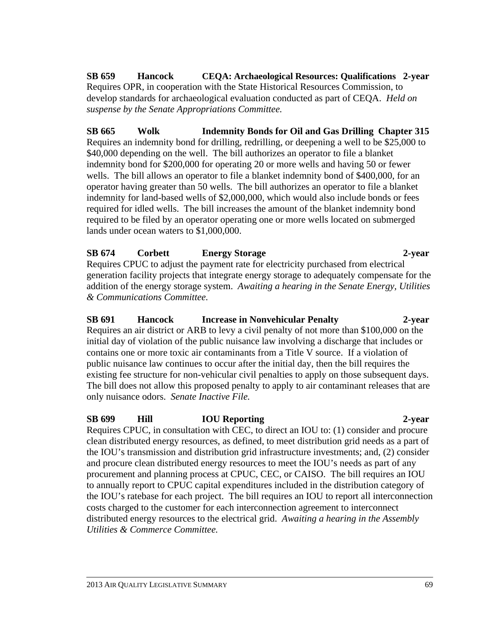**SB 659 Hancock CEQA: Archaeological Resources: Qualifications 2-year**  Requires OPR, in cooperation with the State Historical Resources Commission, to develop standards for archaeological evaluation conducted as part of CEQA. *Held on suspense by the Senate Appropriations Committee.* 

**SB 665 Wolk Indemnity Bonds for Oil and Gas Drilling Chapter 315**  Requires an indemnity bond for drilling, redrilling, or deepening a well to be \$25,000 to \$40,000 depending on the well. The bill authorizes an operator to file a blanket indemnity bond for \$200,000 for operating 20 or more wells and having 50 or fewer wells. The bill allows an operator to file a blanket indemnity bond of \$400,000, for an operator having greater than 50 wells. The bill authorizes an operator to file a blanket indemnity for land-based wells of \$2,000,000, which would also include bonds or fees required for idled wells. The bill increases the amount of the blanket indemnity bond required to be filed by an operator operating one or more wells located on submerged lands under ocean waters to \$1,000,000.

# **SB 674 Corbett Energy Storage 2-year**  Requires CPUC to adjust the payment rate for electricity purchased from electrical

generation facility projects that integrate energy storage to adequately compensate for the addition of the energy storage system. *Awaiting a hearing in the Senate Energy, Utilities & Communications Committee.*

# **SB 691 Hancock Increase in Nonvehicular Penalty 2-year**  Requires an air district or ARB to levy a civil penalty of not more than \$100,000 on the initial day of violation of the public nuisance law involving a discharge that includes or contains one or more toxic air contaminants from a Title V source. If a violation of public nuisance law continues to occur after the initial day, then the bill requires the existing fee structure for non-vehicular civil penalties to apply on those subsequent days. The bill does not allow this proposed penalty to apply to air contaminant releases that are only nuisance odors. *Senate Inactive File.*

**SB 699 Hill IOU Reporting 2-year**  Requires CPUC, in consultation with CEC, to direct an IOU to: (1) consider and procure clean distributed energy resources, as defined, to meet distribution grid needs as a part of the IOU's transmission and distribution grid infrastructure investments; and, (2) consider and procure clean distributed energy resources to meet the IOU's needs as part of any procurement and planning process at CPUC, CEC, or CAISO. The bill requires an IOU to annually report to CPUC capital expenditures included in the distribution category of the IOU's ratebase for each project. The bill requires an IOU to report all interconnection costs charged to the customer for each interconnection agreement to interconnect distributed energy resources to the electrical grid. *Awaiting a hearing in the Assembly Utilities & Commerce Committee.*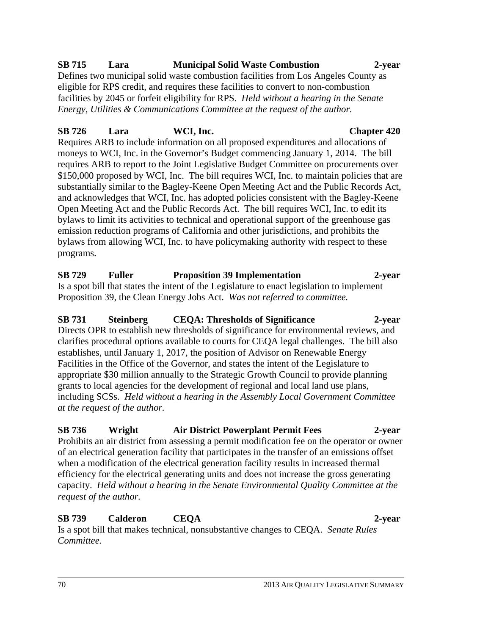# **SB 715 Lara Municipal Solid Waste Combustion 2-year**

Defines two municipal solid waste combustion facilities from Los Angeles County as eligible for RPS credit, and requires these facilities to convert to non-combustion facilities by 2045 or forfeit eligibility for RPS. *Held without a hearing in the Senate Energy, Utilities & Communications Committee at the request of the author.*

# **SB 726 Lara WCI, Inc. Chapter 420**

Requires ARB to include information on all proposed expenditures and allocations of moneys to WCI, Inc. in the Governor's Budget commencing January 1, 2014. The bill requires ARB to report to the Joint Legislative Budget Committee on procurements over \$150,000 proposed by WCI, Inc. The bill requires WCI, Inc. to maintain policies that are substantially similar to the Bagley-Keene Open Meeting Act and the Public Records Act, and acknowledges that WCI, Inc. has adopted policies consistent with the Bagley-Keene Open Meeting Act and the Public Records Act. The bill requires WCI, Inc. to edit its bylaws to limit its activities to technical and operational support of the greenhouse gas emission reduction programs of California and other jurisdictions, and prohibits the bylaws from allowing WCI, Inc. to have policymaking authority with respect to these programs.

# **SB 729 Fuller Proposition 39 Implementation 2-year**

Is a spot bill that states the intent of the Legislature to enact legislation to implement Proposition 39, the Clean Energy Jobs Act. *Was not referred to committee.*

# **SB 731 Steinberg CEQA: Thresholds of Significance 2-year**

Directs OPR to establish new thresholds of significance for environmental reviews, and clarifies procedural options available to courts for CEQA legal challenges. The bill also establishes, until January 1, 2017, the position of Advisor on Renewable Energy Facilities in the Office of the Governor, and states the intent of the Legislature to appropriate \$30 million annually to the Strategic Growth Council to provide planning grants to local agencies for the development of regional and local land use plans, including SCSs. *Held without a hearing in the Assembly Local Government Committee at the request of the author.* 

# **SB 736 Wright Air District Powerplant Permit Fees 2-year**

Prohibits an air district from assessing a permit modification fee on the operator or owner of an electrical generation facility that participates in the transfer of an emissions offset when a modification of the electrical generation facility results in increased thermal efficiency for the electrical generating units and does not increase the gross generating capacity. *Held without a hearing in the Senate Environmental Quality Committee at the request of the author.*

# **SB 739 Calderon CEQA 2-year**

Is a spot bill that makes technical, nonsubstantive changes to CEQA. *Senate Rules Committee.*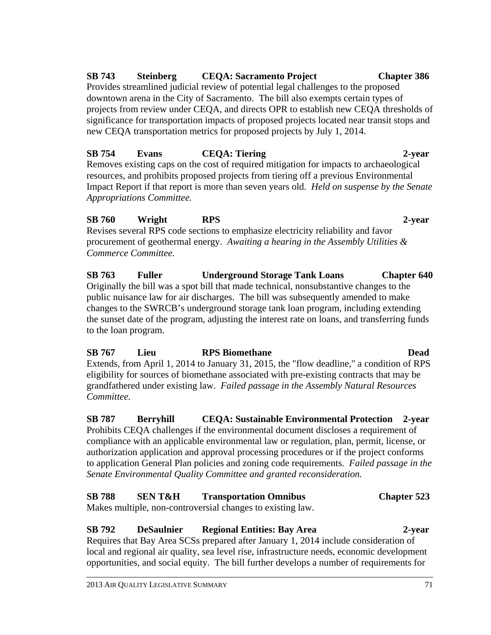# **SB 743 Steinberg CEQA: Sacramento Project Chapter 386**

Provides streamlined judicial review of potential legal challenges to the proposed downtown arena in the City of Sacramento. The bill also exempts certain types of projects from review under CEQA, and directs OPR to establish new CEQA thresholds of significance for transportation impacts of proposed projects located near transit stops and new CEQA transportation metrics for proposed projects by July 1, 2014.

# **SB 754 Evans CEQA: Tiering 2-year**

Removes existing caps on the cost of required mitigation for impacts to archaeological resources, and prohibits proposed projects from tiering off a previous Environmental Impact Report if that report is more than seven years old. *Held on suspense by the Senate Appropriations Committee.* 

# **SB 760 Wright RPS 2-year**

Revises several RPS code sections to emphasize electricity reliability and favor procurement of geothermal energy. *Awaiting a hearing in the Assembly Utilities & Commerce Committee.*

**SB 763 Fuller Underground Storage Tank Loans Chapter 640**  Originally the bill was a spot bill that made technical, nonsubstantive changes to the public nuisance law for air discharges. The bill was subsequently amended to make changes to the SWRCB's underground storage tank loan program, including extending the sunset date of the program, adjusting the interest rate on loans, and transferring funds to the loan program.

## **SB 767 Lieu RPS Biomethane Dead**  Extends, from April 1, 2014 to January 31, 2015, the "flow deadline," a condition of RPS eligibility for sources of biomethane associated with pre-existing contracts that may be grandfathered under existing law. *Failed passage in the Assembly Natural Resources Committee.*

**SB 787 Berryhill CEQA: Sustainable Environmental Protection 2-year**  Prohibits CEQA challenges if the environmental document discloses a requirement of compliance with an applicable environmental law or regulation, plan, permit, license, or authorization application and approval processing procedures or if the project conforms to application General Plan policies and zoning code requirements. *Failed passage in the Senate Environmental Quality Committee and granted reconsideration.* 

# **SB 788 SEN T&H Transportation Omnibus Chapter 523**

Makes multiple, non-controversial changes to existing law.

# **SB 792 DeSaulnier Regional Entities: Bay Area 2-year**

Requires that Bay Area SCSs prepared after January 1, 2014 include consideration of local and regional air quality, sea level rise, infrastructure needs, economic development opportunities, and social equity. The bill further develops a number of requirements for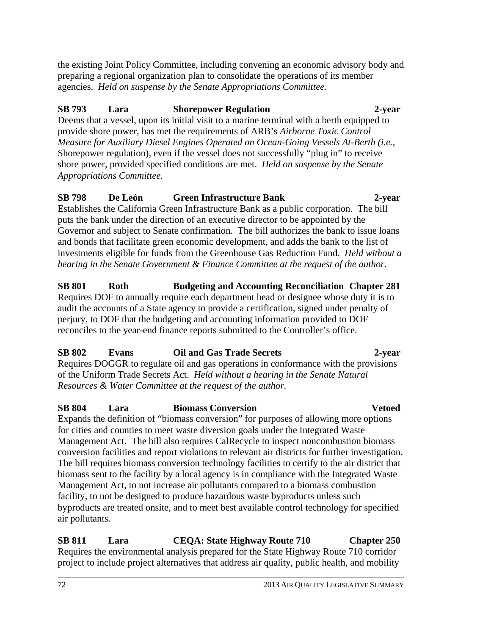the existing Joint Policy Committee, including convening an economic advisory body and preparing a regional organization plan to consolidate the operations of its member agencies. *Held on suspense by the Senate Appropriations Committee.* 

# **SB 793 Lara Shorepower Regulation 2-year**

Deems that a vessel, upon its initial visit to a marine terminal with a berth equipped to provide shore power, has met the requirements of ARB's *Airborne Toxic Control Measure for Auxiliary Diesel Engines Operated on Ocean-Going Vessels At-Berth (i.e.*, Shorepower regulation), even if the vessel does not successfully "plug in" to receive shore power, provided specified conditions are met. *Held on suspense by the Senate Appropriations Committee.* 

# **SB 798 De León Green Infrastructure Bank 2-year**

Establishes the California Green Infrastructure Bank as a public corporation. The bill puts the bank under the direction of an executive director to be appointed by the Governor and subject to Senate confirmation. The bill authorizes the bank to issue loans and bonds that facilitate green economic development, and adds the bank to the list of investments eligible for funds from the Greenhouse Gas Reduction Fund. *Held without a hearing in the Senate Government & Finance Committee at the request of the author.* 

## **SB 801 Roth Budgeting and Accounting Reconciliation Chapter 281**  Requires DOF to annually require each department head or designee whose duty it is to

audit the accounts of a State agency to provide a certification, signed under penalty of perjury, to DOF that the budgeting and accounting information provided to DOF reconciles to the year-end finance reports submitted to the Controller's office.

# **SB 802 Evans Oil and Gas Trade Secrets 2-year**

Requires DOGGR to regulate oil and gas operations in conformance with the provisions of the Uniform Trade Secrets Act. *Held without a hearing in the Senate Natural Resources & Water Committee at the request of the author.*

# **SB 804 Lara Biomass Conversion Vetoed**

Expands the definition of "biomass conversion" for purposes of allowing more options for cities and counties to meet waste diversion goals under the Integrated Waste Management Act. The bill also requires CalRecycle to inspect noncombustion biomass conversion facilities and report violations to relevant air districts for further investigation. The bill requires biomass conversion technology facilities to certify to the air district that biomass sent to the facility by a local agency is in compliance with the Integrated Waste Management Act, to not increase air pollutants compared to a biomass combustion facility, to not be designed to produce hazardous waste byproducts unless such byproducts are treated onsite, and to meet best available control technology for specified air pollutants.

**SB 811 Lara CEQA: State Highway Route 710 Chapter 250**  Requires the environmental analysis prepared for the State Highway Route 710 corridor project to include project alternatives that address air quality, public health, and mobility

## 72 2013 AIR QUALITY LEGISLATIVE SUMMARY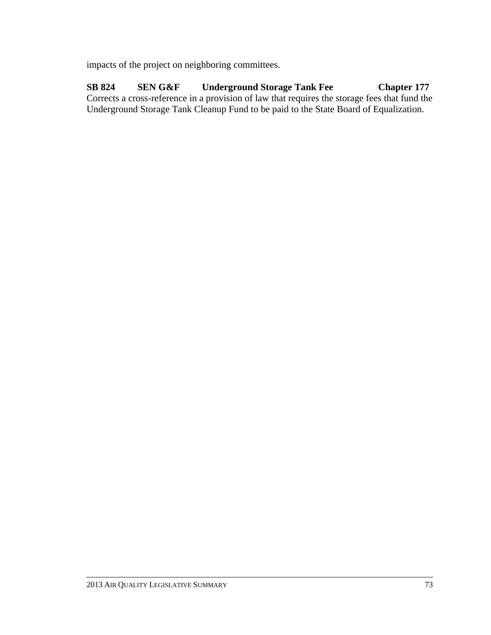impacts of the project on neighboring committees.

**SB 824 SEN G&F Underground Storage Tank Fee Chapter 177**  Corrects a cross-reference in a provision of law that requires the storage fees that fund the Underground Storage Tank Cleanup Fund to be paid to the State Board of Equalization.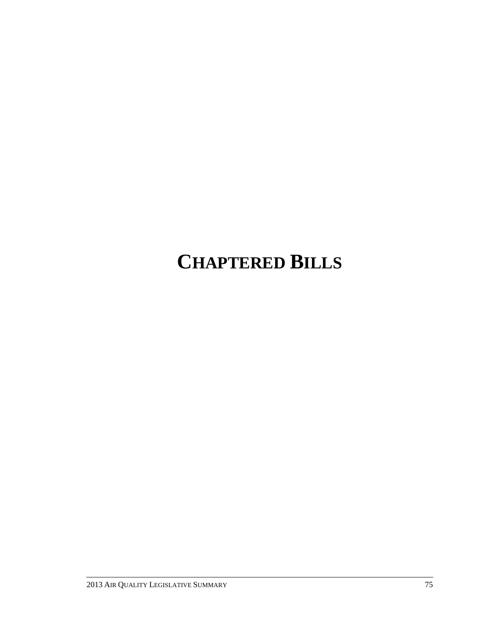# **CHAPTERED BILLS**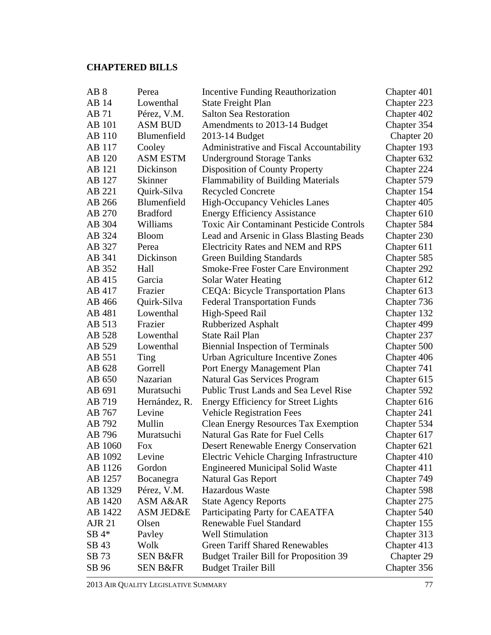# **CHAPTERED BILLS**

| AB <sub>8</sub> | Perea               | Incentive Funding Reauthorization               | Chapter 401 |
|-----------------|---------------------|-------------------------------------------------|-------------|
| AB 14           | Lowenthal           | <b>State Freight Plan</b>                       | Chapter 223 |
| AB 71           | Pérez, V.M.         | <b>Salton Sea Restoration</b>                   | Chapter 402 |
| <b>AB</b> 101   | ASM BUD             | Amendments to 2013-14 Budget                    | Chapter 354 |
| AB 110          | Blumenfield         | 2013-14 Budget                                  | Chapter 20  |
| AB 117          | Cooley              | Administrative and Fiscal Accountability        | Chapter 193 |
| AB 120          | <b>ASM ESTM</b>     | <b>Underground Storage Tanks</b>                | Chapter 632 |
| AB 121          | Dickinson           | Disposition of County Property                  | Chapter 224 |
| AB 127          | Skinner             | <b>Flammability of Building Materials</b>       | Chapter 579 |
| AB 221          | Quirk-Silva         | <b>Recycled Concrete</b>                        | Chapter 154 |
| AB 266          | Blumenfield         | <b>High-Occupancy Vehicles Lanes</b>            | Chapter 405 |
| AB 270          | <b>Bradford</b>     | <b>Energy Efficiency Assistance</b>             | Chapter 610 |
| AB 304          | Williams            | <b>Toxic Air Contaminant Pesticide Controls</b> | Chapter 584 |
| AB 324          | <b>Bloom</b>        | Lead and Arsenic in Glass Blasting Beads        | Chapter 230 |
| AB 327          | Perea               | Electricity Rates and NEM and RPS               | Chapter 611 |
| AB 341          | Dickinson           | <b>Green Building Standards</b>                 | Chapter 585 |
| AB 352          | Hall                | <b>Smoke-Free Foster Care Environment</b>       | Chapter 292 |
| AB 415          | Garcia              | Solar Water Heating                             | Chapter 612 |
| AB 417          | Frazier             | <b>CEQA: Bicycle Transportation Plans</b>       | Chapter 613 |
| AB 466          | Quirk-Silva         | <b>Federal Transportation Funds</b>             | Chapter 736 |
| AB 481          | Lowenthal           | High-Speed Rail                                 | Chapter 132 |
| AB 513          | Frazier             | <b>Rubberized Asphalt</b>                       | Chapter 499 |
| AB 528          | Lowenthal           | <b>State Rail Plan</b>                          | Chapter 237 |
| AB 529          | Lowenthal           | <b>Biennial Inspection of Terminals</b>         | Chapter 500 |
| AB 551          | Ting                | Urban Agriculture Incentive Zones               | Chapter 406 |
| AB 628          | Gorrell             | Port Energy Management Plan                     | Chapter 741 |
| AB 650          | Nazarian            | <b>Natural Gas Services Program</b>             | Chapter 615 |
| AB 691          | Muratsuchi          | Public Trust Lands and Sea Level Rise           | Chapter 592 |
| AB 719          | Hernández, R.       | <b>Energy Efficiency for Street Lights</b>      | Chapter 616 |
| AB 767          | Levine              | <b>Vehicle Registration Fees</b>                | Chapter 241 |
| AB 792          | Mullin              | <b>Clean Energy Resources Tax Exemption</b>     | Chapter 534 |
| AB 796          | Muratsuchi          | <b>Natural Gas Rate for Fuel Cells</b>          | Chapter 617 |
| AB 1060         | Fox                 | <b>Desert Renewable Energy Conservation</b>     | Chapter 621 |
| AB 1092         | Levine              | Electric Vehicle Charging Infrastructure        | Chapter 410 |
| AB 1126         | Gordon              | <b>Engineered Municipal Solid Waste</b>         | Chapter 411 |
| AB 1257         | Bocanegra           | <b>Natural Gas Report</b>                       | Chapter 749 |
| AB 1329         | Pérez, V.M.         | Hazardous Waste                                 | Chapter 598 |
| AB 1420         | ASM A&AR            | <b>State Agency Reports</b>                     | Chapter 275 |
| AB 1422         | ASM JED&E           | Participating Party for CAEATFA                 | Chapter 540 |
| <b>AJR 21</b>   | Olsen               | Renewable Fuel Standard                         | Chapter 155 |
| $SB$ 4*         | Payley              | <b>Well Stimulation</b>                         | Chapter 313 |
| SB 43           | Wolk                | <b>Green Tariff Shared Renewables</b>           | Chapter 413 |
| SB 73           | <b>SEN B&amp;FR</b> | <b>Budget Trailer Bill for Proposition 39</b>   | Chapter 29  |
| SB 96           | <b>SEN B&amp;FR</b> | <b>Budget Trailer Bill</b>                      | Chapter 356 |
|                 |                     |                                                 |             |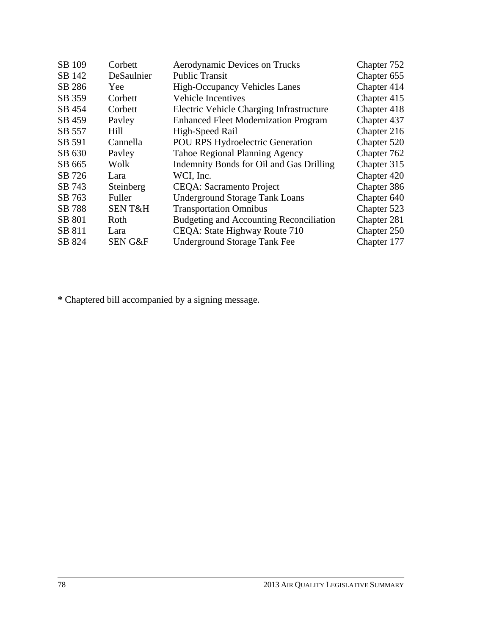| SB 109 | Corbett            | Aerodynamic Devices on Trucks               | Chapter 752 |
|--------|--------------------|---------------------------------------------|-------------|
| SB 142 | DeSaulnier         | <b>Public Transit</b>                       | Chapter 655 |
| SB 286 | Yee                | <b>High-Occupancy Vehicles Lanes</b>        | Chapter 414 |
| SB 359 | Corbett            | <b>Vehicle Incentives</b>                   | Chapter 415 |
| SB 454 | Corbett            | Electric Vehicle Charging Infrastructure    | Chapter 418 |
| SB 459 | Payley             | <b>Enhanced Fleet Modernization Program</b> | Chapter 437 |
| SB 557 | Hill               | High-Speed Rail                             | Chapter 216 |
| SB 591 | Cannella           | <b>POU RPS Hydroelectric Generation</b>     | Chapter 520 |
| SB 630 | Payley             | <b>Tahoe Regional Planning Agency</b>       | Chapter 762 |
| SB 665 | Wolk               | Indemnity Bonds for Oil and Gas Drilling    | Chapter 315 |
| SB 726 | Lara               | WCI, Inc.                                   | Chapter 420 |
| SB 743 | Steinberg          | <b>CEQA</b> : Sacramento Project            | Chapter 386 |
| SB 763 | Fuller             | <b>Underground Storage Tank Loans</b>       | Chapter 640 |
| SB 788 | <b>SENT&amp;H</b>  | <b>Transportation Omnibus</b>               | Chapter 523 |
| SB 801 | Roth               | Budgeting and Accounting Reconciliation     | Chapter 281 |
| SB 811 | Lara               | CEQA: State Highway Route 710               | Chapter 250 |
| SB 824 | <b>SEN G&amp;F</b> | <b>Underground Storage Tank Fee</b>         | Chapter 177 |

**\*** Chaptered bill accompanied by a signing message.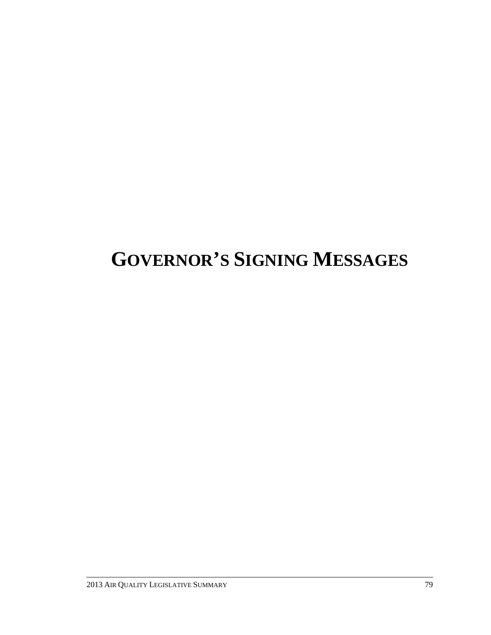# **GOVERNOR'S SIGNING MESSAGES**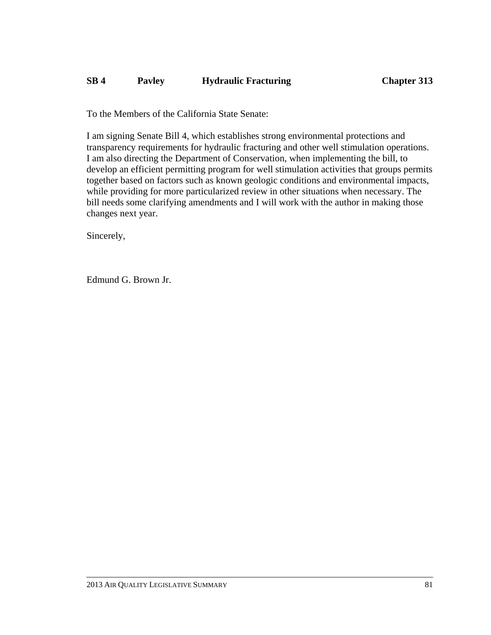# **SB 4 Pavley Hydraulic Fracturing Chapter 313**

To the Members of the California State Senate:

I am signing Senate Bill 4, which establishes strong environmental protections and transparency requirements for hydraulic fracturing and other well stimulation operations. I am also directing the Department of Conservation, when implementing the bill, to develop an efficient permitting program for well stimulation activities that groups permits together based on factors such as known geologic conditions and environmental impacts, while providing for more particularized review in other situations when necessary. The bill needs some clarifying amendments and I will work with the author in making those changes next year.

Sincerely,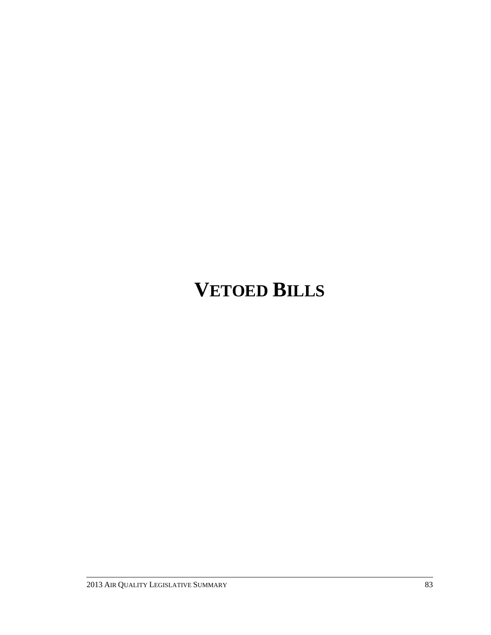# **VETOED BILLS**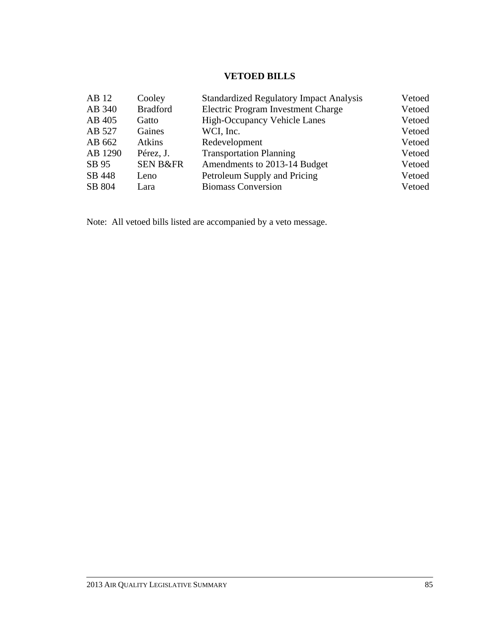# **VETOED BILLS**

| AB 12   | Cooley              | <b>Standardized Regulatory Impact Analysis</b> | Vetoed |
|---------|---------------------|------------------------------------------------|--------|
| AB 340  | <b>Bradford</b>     | Electric Program Investment Charge             | Vetoed |
| AB 405  | Gatto               | <b>High-Occupancy Vehicle Lanes</b>            | Vetoed |
| AB 527  | Gaines              | WCI, Inc.                                      | Vetoed |
| AB 662  | <b>Atkins</b>       | Redevelopment                                  | Vetoed |
| AB 1290 | Pérez, J.           | <b>Transportation Planning</b>                 | Vetoed |
| SB 95   | <b>SEN B&amp;FR</b> | Amendments to 2013-14 Budget                   | Vetoed |
| SB 448  | Leno                | Petroleum Supply and Pricing                   | Vetoed |
| SB 804  | Lara                | <b>Biomass Conversion</b>                      | Vetoed |

Note: All vetoed bills listed are accompanied by a veto message.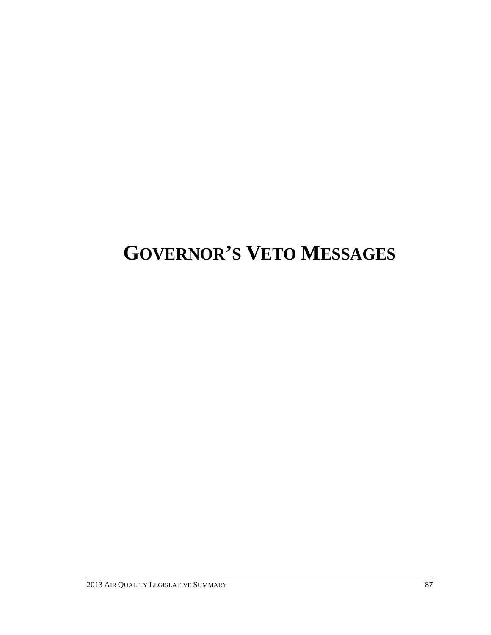# **GOVERNOR'S VETO MESSAGES**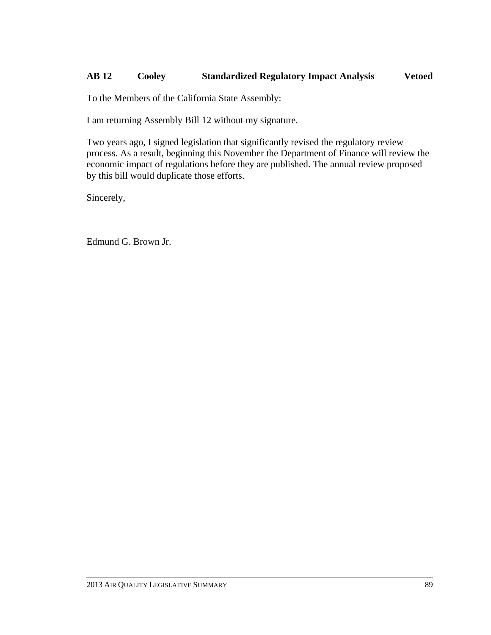# **AB 12 Cooley Standardized Regulatory Impact Analysis Vetoed**

To the Members of the California State Assembly:

I am returning Assembly Bill 12 without my signature.

Two years ago, I signed legislation that significantly revised the regulatory review process. As a result, beginning this November the Department of Finance will review the economic impact of regulations before they are published. The annual review proposed by this bill would duplicate those efforts.

Sincerely,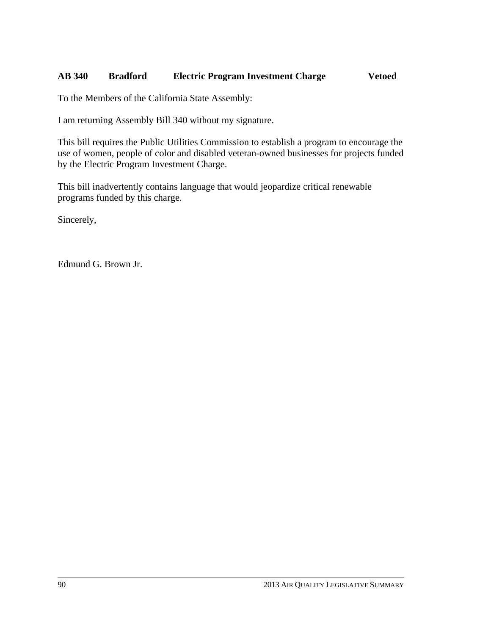# **AB 340 Bradford Electric Program Investment Charge Vetoed**

To the Members of the California State Assembly:

I am returning Assembly Bill 340 without my signature.

This bill requires the Public Utilities Commission to establish a program to encourage the use of women, people of color and disabled veteran-owned businesses for projects funded by the Electric Program Investment Charge.

This bill inadvertently contains language that would jeopardize critical renewable programs funded by this charge.

Sincerely,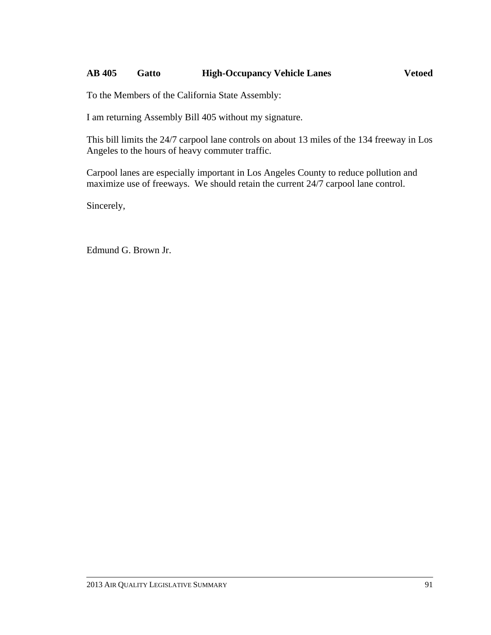# **AB 405 Gatto High-Occupancy Vehicle Lanes Vetoed**

To the Members of the California State Assembly:

I am returning Assembly Bill 405 without my signature.

This bill limits the 24/7 carpool lane controls on about 13 miles of the 134 freeway in Los Angeles to the hours of heavy commuter traffic.

Carpool lanes are especially important in Los Angeles County to reduce pollution and maximize use of freeways. We should retain the current 24/7 carpool lane control.

Sincerely,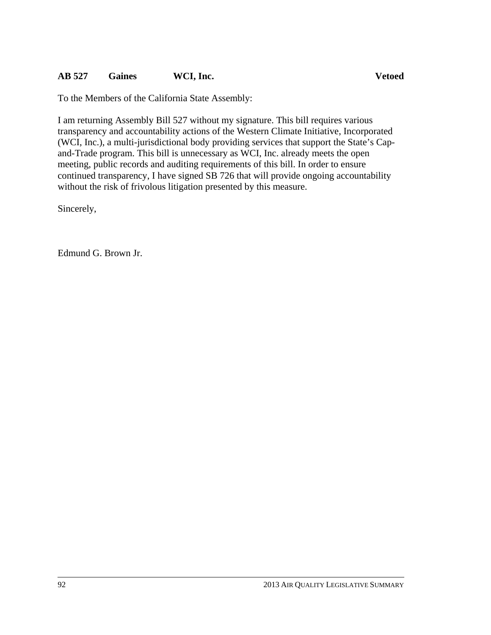# **AB 527 Gaines WCI, Inc. Vetoed**

I am returning Assembly Bill 527 without my signature. This bill requires various transparency and accountability actions of the Western Climate Initiative, Incorporated (WCI, Inc.), a multi-jurisdictional body providing services that support the State's Capand-Trade program. This bill is unnecessary as WCI, Inc. already meets the open meeting, public records and auditing requirements of this bill. In order to ensure continued transparency, I have signed SB 726 that will provide ongoing accountability without the risk of frivolous litigation presented by this measure.

Sincerely,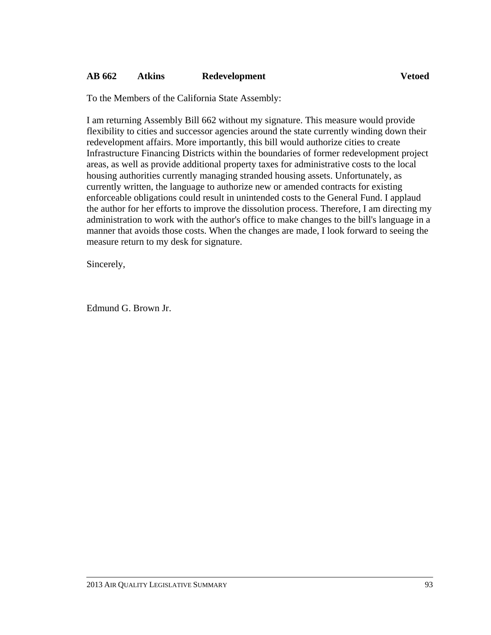# **AB 662 Atkins Redevelopment Vetoed**

To the Members of the California State Assembly:

I am returning Assembly Bill 662 without my signature. This measure would provide flexibility to cities and successor agencies around the state currently winding down their redevelopment affairs. More importantly, this bill would authorize cities to create Infrastructure Financing Districts within the boundaries of former redevelopment project areas, as well as provide additional property taxes for administrative costs to the local housing authorities currently managing stranded housing assets. Unfortunately, as currently written, the language to authorize new or amended contracts for existing enforceable obligations could result in unintended costs to the General Fund. I applaud the author for her efforts to improve the dissolution process. Therefore, I am directing my administration to work with the author's office to make changes to the bill's language in a manner that avoids those costs. When the changes are made, I look forward to seeing the measure return to my desk for signature.

Sincerely,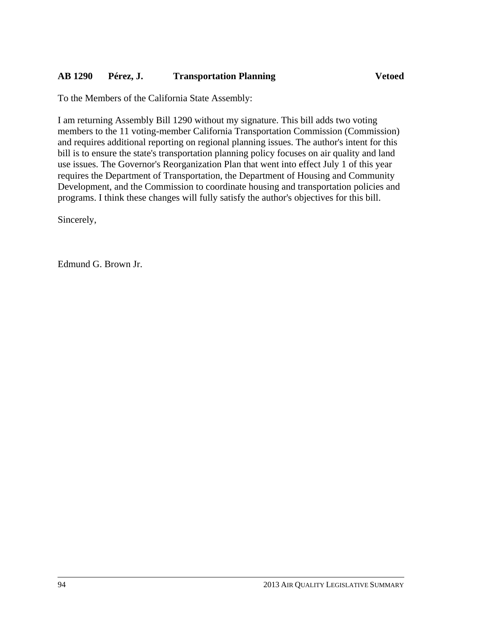# **AB 1290 Pérez, J. Transportation Planning Vetoed**

To the Members of the California State Assembly:

I am returning Assembly Bill 1290 without my signature. This bill adds two voting members to the 11 voting-member California Transportation Commission (Commission) and requires additional reporting on regional planning issues. The author's intent for this bill is to ensure the state's transportation planning policy focuses on air quality and land use issues. The Governor's Reorganization Plan that went into effect July 1 of this year requires the Department of Transportation, the Department of Housing and Community Development, and the Commission to coordinate housing and transportation policies and programs. I think these changes will fully satisfy the author's objectives for this bill.

Sincerely,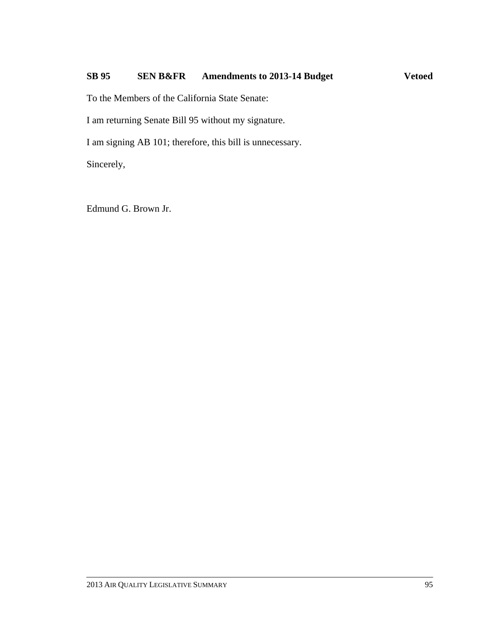# SB 95 SEN B&FR Amendments to 2013-14 Budget Vetoed

To the Members of the California State Senate:

I am returning Senate Bill 95 without my signature.

I am signing AB 101; therefore, this bill is unnecessary.

Sincerely,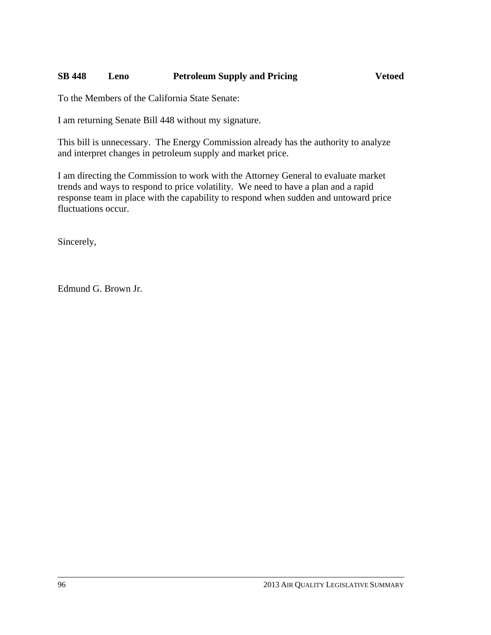# **SB 448 Leno Petroleum Supply and Pricing Vetoed**

To the Members of the California State Senate:

I am returning Senate Bill 448 without my signature.

This bill is unnecessary. The Energy Commission already has the authority to analyze and interpret changes in petroleum supply and market price.

I am directing the Commission to work with the Attorney General to evaluate market trends and ways to respond to price volatility. We need to have a plan and a rapid response team in place with the capability to respond when sudden and untoward price fluctuations occur.

Sincerely,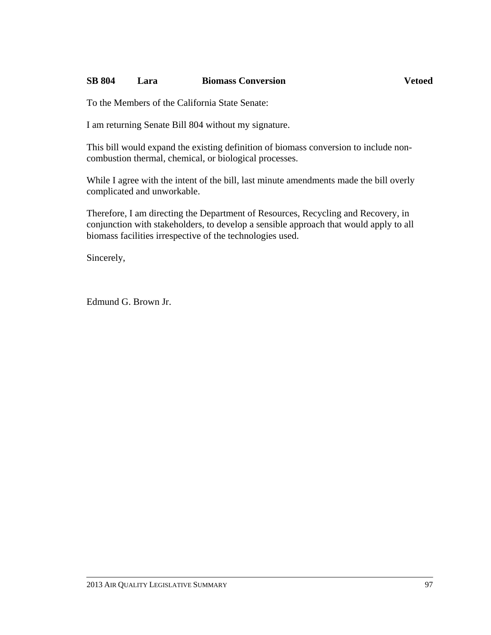## **SB 804 Lara Biomass Conversion Vetoed**

To the Members of the California State Senate:

I am returning Senate Bill 804 without my signature.

This bill would expand the existing definition of biomass conversion to include noncombustion thermal, chemical, or biological processes.

While I agree with the intent of the bill, last minute amendments made the bill overly complicated and unworkable.

Therefore, I am directing the Department of Resources, Recycling and Recovery, in conjunction with stakeholders, to develop a sensible approach that would apply to all biomass facilities irrespective of the technologies used.

Sincerely,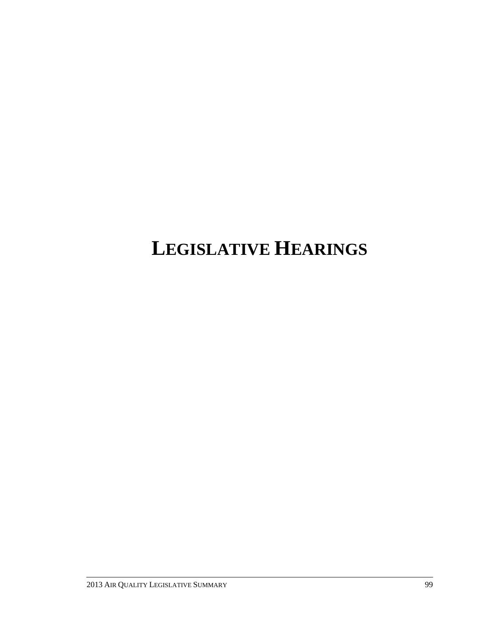# **LEGISLATIVE HEARINGS**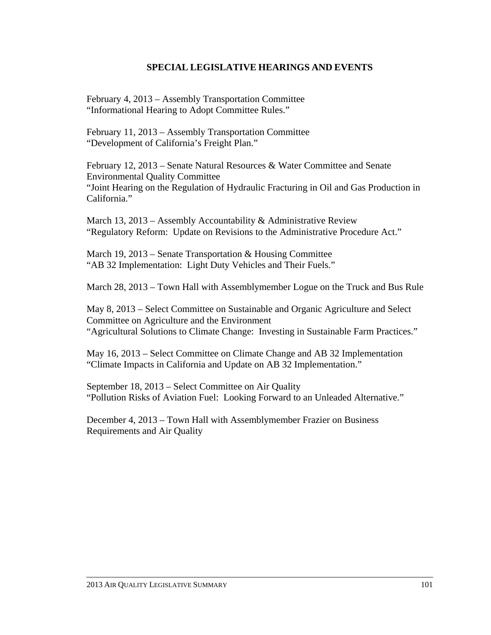## **SPECIAL LEGISLATIVE HEARINGS AND EVENTS**

February 4, 2013 – Assembly Transportation Committee "Informational Hearing to Adopt Committee Rules."

February 11, 2013 – Assembly Transportation Committee "Development of California's Freight Plan."

February 12, 2013 – Senate Natural Resources & Water Committee and Senate Environmental Quality Committee "Joint Hearing on the Regulation of Hydraulic Fracturing in Oil and Gas Production in California."

March 13, 2013 – Assembly Accountability  $&$  Administrative Review "Regulatory Reform: Update on Revisions to the Administrative Procedure Act."

March 19, 2013 – Senate Transportation & Housing Committee "AB 32 Implementation: Light Duty Vehicles and Their Fuels."

March 28, 2013 – Town Hall with Assemblymember Logue on the Truck and Bus Rule

May 8, 2013 – Select Committee on Sustainable and Organic Agriculture and Select Committee on Agriculture and the Environment "Agricultural Solutions to Climate Change: Investing in Sustainable Farm Practices."

May 16, 2013 – Select Committee on Climate Change and AB 32 Implementation "Climate Impacts in California and Update on AB 32 Implementation."

September 18, 2013 – Select Committee on Air Quality "Pollution Risks of Aviation Fuel: Looking Forward to an Unleaded Alternative."

December 4, 2013 – Town Hall with Assemblymember Frazier on Business Requirements and Air Quality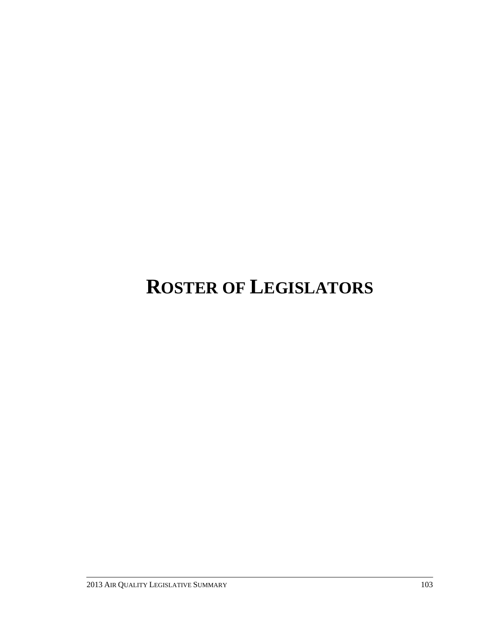## **ROSTER OF LEGISLATORS**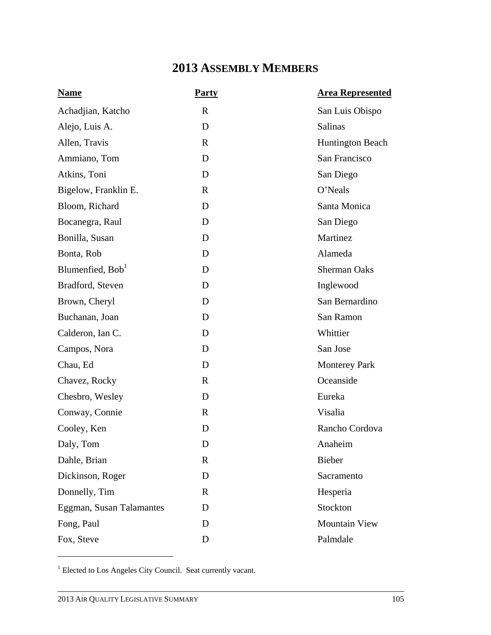## **2013 ASSEMBLY MEMBERS**

| <b>Name</b>                  | <b>Party</b> | <b>Area Represented</b> |
|------------------------------|--------------|-------------------------|
| Achadjian, Katcho            | $\mathbf R$  | San Luis Obispo         |
| Alejo, Luis A.               | D            | Salinas                 |
| Allen, Travis                | $\mathbf R$  | <b>Huntington Beach</b> |
| Ammiano, Tom                 | D            | San Francisco           |
| Atkins, Toni                 | D            | San Diego               |
| Bigelow, Franklin E.         | $\mathbf R$  | O'Neals                 |
| Bloom, Richard               | D            | Santa Monica            |
| Bocanegra, Raul              | D            | San Diego               |
| Bonilla, Susan               | D            | Martinez                |
| Bonta, Rob                   | D            | Alameda                 |
| Blumenfied, Bob <sup>1</sup> | D            | <b>Sherman Oaks</b>     |
| Bradford, Steven             | D            | Inglewood               |
| Brown, Cheryl                | D            | San Bernardino          |
| Buchanan, Joan               | D            | San Ramon               |
| Calderon, Ian C.             | D            | Whittier                |
| Campos, Nora                 | D            | San Jose                |
| Chau, Ed                     | D            | <b>Monterey Park</b>    |
| Chavez, Rocky                | $\mathbf R$  | Oceanside               |
| Chesbro, Wesley              | D            | Eureka                  |
| Conway, Connie               | $\mathbf R$  | Visalia                 |
| Cooley, Ken                  | D            | Rancho Cordova          |
| Daly, Tom                    | D            | Anaheim                 |
| Dahle, Brian                 | $\mathbf R$  | <b>Bieber</b>           |
| Dickinson, Roger             | D            | Sacramento              |
| Donnelly, Tim                | $\mathbf R$  | Hesperia                |
| Eggman, Susan Talamantes     | D            | Stockton                |
| Fong, Paul                   | D            | <b>Mountain View</b>    |
| Fox, Steve                   | D            | Palmdale                |

<sup>1</sup> Elected to Los Angeles City Council. Seat currently vacant.

 $\overline{a}$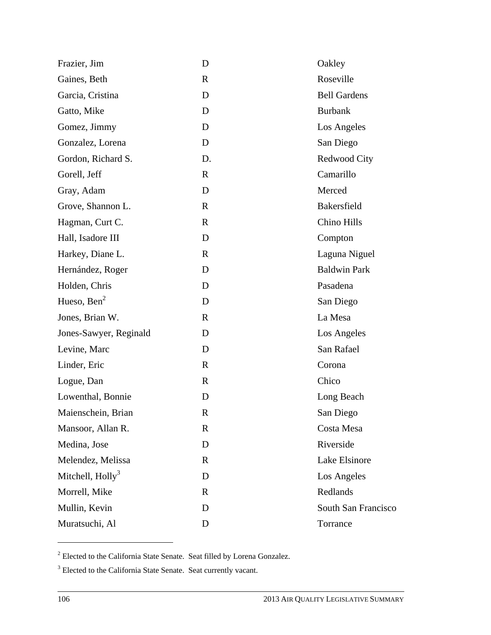| Frazier, Jim                 | D            | Oakley              |
|------------------------------|--------------|---------------------|
| Gaines, Beth                 | $\mathbf R$  | Roseville           |
| Garcia, Cristina             | D            | <b>Bell Gardens</b> |
| Gatto, Mike                  | D            | <b>Burbank</b>      |
| Gomez, Jimmy                 | D            | Los Angeles         |
| Gonzalez, Lorena             | D            | San Diego           |
| Gordon, Richard S.           | D.           | Redwood City        |
| Gorell, Jeff                 | $\mathbf{R}$ | Camarillo           |
| Gray, Adam                   | D            | Merced              |
| Grove, Shannon L.            | $\mathbf R$  | Bakersfield         |
| Hagman, Curt C.              | $\mathbf R$  | Chino Hills         |
| Hall, Isadore III            | D            | Compton             |
| Harkey, Diane L.             | $\mathbf R$  | Laguna Niguel       |
| Hernández, Roger             | D            | <b>Baldwin Park</b> |
| Holden, Chris                | D            | Pasadena            |
| Hueso, $\text{Ben}^2$        | D            | San Diego           |
| Jones, Brian W.              | $\mathbf R$  | La Mesa             |
| Jones-Sawyer, Reginald       | D            | Los Angeles         |
| Levine, Marc                 | D            | San Rafael          |
| Linder, Eric                 | $\mathbf R$  | Corona              |
| Logue, Dan                   | $\mathbf R$  | Chico               |
| Lowenthal, Bonnie            | D            | Long Beach          |
| Maienschein, Brian           | $\mathbb{R}$ | San Diego           |
| Mansoor, Allan R.            | R            | Costa Mesa          |
| Medina, Jose                 | D            | Riverside           |
| Melendez, Melissa            | R            | Lake Elsinore       |
| Mitchell, Holly <sup>3</sup> | D            | Los Angeles         |
| Morrell, Mike                | $\mathbf R$  | Redlands            |
| Mullin, Kevin                | D            | South San Francisco |
| Muratsuchi, Al               | D            | Torrance            |

 $2^2$  Elected to the California State Senate. Seat filled by Lorena Gonzalez.

 $\overline{a}$ 

<sup>&</sup>lt;sup>3</sup> Elected to the California State Senate. Seat currently vacant.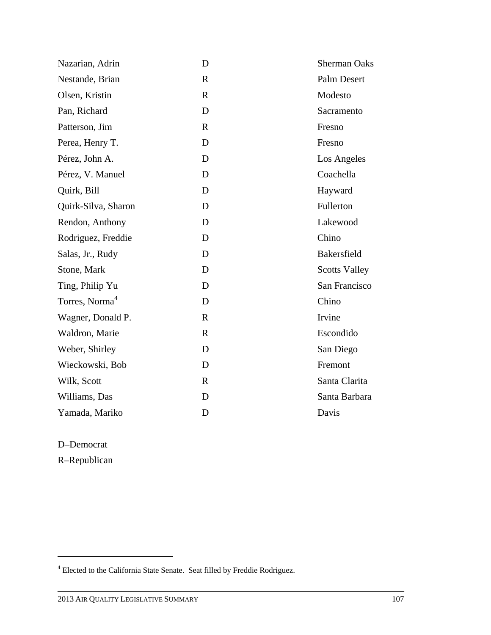| Nazarian, Adrin            | D            | <b>Sherman Oaks</b>  |
|----------------------------|--------------|----------------------|
| Nestande, Brian            | $\mathbf{R}$ | Palm Desert          |
| Olsen, Kristin             | $\mathbf{R}$ | Modesto              |
| Pan, Richard               | D            | Sacramento           |
| Patterson, Jim             | $\mathbf R$  | Fresno               |
| Perea, Henry T.            | D            | Fresno               |
| Pérez, John A.             | D            | Los Angeles          |
| Pérez, V. Manuel           | D            | Coachella            |
| Quirk, Bill                | D            | Hayward              |
| Quirk-Silva, Sharon        | D            | Fullerton            |
| Rendon, Anthony            | D            | Lakewood             |
| Rodriguez, Freddie         | D            | Chino                |
| Salas, Jr., Rudy           | D            | Bakersfield          |
| Stone, Mark                | D            | <b>Scotts Valley</b> |
| Ting, Philip Yu            | D            | San Francisco        |
| Torres, Norma <sup>4</sup> | D            | Chino                |
| Wagner, Donald P.          | $\mathbf R$  | Irvine               |
| Waldron, Marie             | $\mathbf R$  | Escondido            |
| Weber, Shirley             | D            | San Diego            |
| Wieckowski, Bob            | D            | Fremont              |
| Wilk, Scott                | $\mathbf R$  | Santa Clarita        |
| Williams, Das              | D            | Santa Barbara        |
| Yamada, Mariko             | D            | Davis                |

D–Democrat

 $\overline{a}$ 

R–Republican

<sup>&</sup>lt;sup>4</sup> Elected to the California State Senate. Seat filled by Freddie Rodriguez.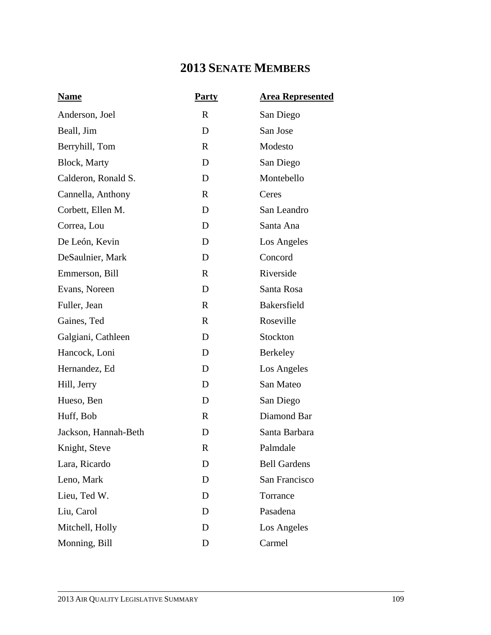## **2013 SENATE MEMBERS**

| <b>Name</b>          | <b>Party</b> | <b>Area Represented</b> |
|----------------------|--------------|-------------------------|
| Anderson, Joel       | $\mathbf R$  | San Diego               |
| Beall, Jim           | D            | San Jose                |
| Berryhill, Tom       | $\mathbf{R}$ | Modesto                 |
| <b>Block</b> , Marty | D            | San Diego               |
| Calderon, Ronald S.  | D            | Montebello              |
| Cannella, Anthony    | $\mathbf{R}$ | Ceres                   |
| Corbett, Ellen M.    | D            | San Leandro             |
| Correa, Lou          | D            | Santa Ana               |
| De León, Kevin       | D            | Los Angeles             |
| DeSaulnier, Mark     | D            | Concord                 |
| Emmerson, Bill       | $\mathbf{R}$ | Riverside               |
| Evans, Noreen        | D            | Santa Rosa              |
| Fuller, Jean         | $\mathbf{R}$ | <b>Bakersfield</b>      |
| Gaines, Ted          | $\mathbf{R}$ | Roseville               |
| Galgiani, Cathleen   | D            | Stockton                |
| Hancock, Loni        | D            | Berkeley                |
| Hernandez, Ed        | D            | Los Angeles             |
| Hill, Jerry          | D            | San Mateo               |
| Hueso, Ben           | D            | San Diego               |
| Huff, Bob            | $\mathbf{R}$ | Diamond Bar             |
| Jackson, Hannah-Beth | D            | Santa Barbara           |
| Knight, Steve        | R            | Palmdale                |
| Lara, Ricardo        | D            | <b>Bell Gardens</b>     |
| Leno, Mark           | D            | San Francisco           |
| Lieu, Ted W.         | D            | Torrance                |
| Liu, Carol           | D            | Pasadena                |
| Mitchell, Holly      | D            | Los Angeles             |
| Monning, Bill        | D            | Carmel                  |